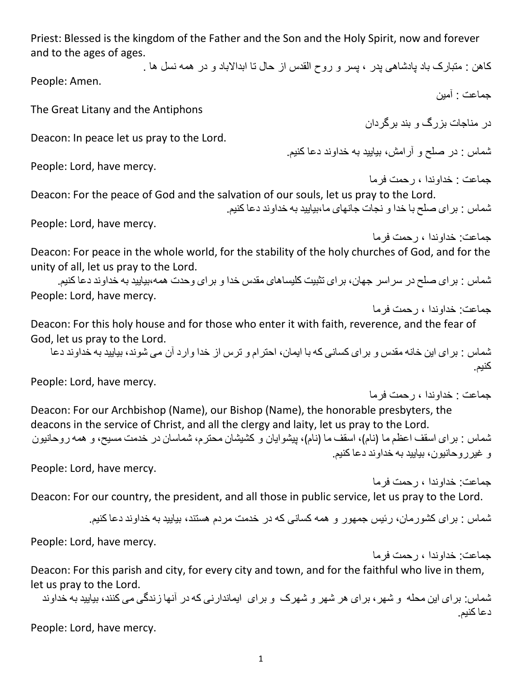Priest: Blessed is the kingdom of the Father and the Son and the Holy Spirit, now and forever and to the ages of ages. کاهن : متبارک باد پادشاهی پدر ، پسر و روح القدس از حال تا ابداالباد و در همه نسل ها . People: Amen. جماعت : آمین The Great Litany and the Antiphons در مناجات بزرگ و بند برگردان Deacon: In peace let us pray to the Lord. شماس : در صلح و آرامش، بیایید به خداوند دعا کنیم. People: Lord, have mercy. جماعت : خداوندا ، رحمت فرما Deacon: For the peace of God and the salvation of our souls, let us pray to the Lord. شماس : برای صلح با خدا و نجات جانهای ما،بیایید به خداوند دعا کنیم. People: Lord, have mercy. جماعت: خداوندا ، رحمت فرما Deacon: For peace in the whole world, for the stability of the holy churches of God, and for the unity of all, let us pray to the Lord. شماس : برای صلح در سراسر جهان، برای تثبیت کلیساهای مقدس خدا و برای وحدت همه،بیایید به خداوند دعا کنیم. People: Lord, have mercy. جماعت: خداوندا ، رحمت فرما Deacon: For this holy house and for those who enter it with faith, reverence, and the fear of God, let us pray to the Lord. شماس : برای این خانه مقدس و برای کسانی که با ایمان، احترام و ترس از خدا وارد آن می شوند، بیایید به خداوند دعا کنیم. People: Lord, have mercy. جماعت : خداوندا ، رحمت فرما Deacon: For our Archbishop (Name), our Bishop (Name), the honorable presbyters, the deacons in the service of Christ, and all the clergy and laity, let us pray to the Lord. شماس : برای اسقف اعظم ما )نام(، اسقف ما )نام(، پیشوایان و کشیشان محترم، شماسان در خدمت مسیح، و همه روحانیون و غیرروحانیون، بیایید به خداوند دعا کنیم. People: Lord, have mercy. جماعت: خداوندا ، رحمت فرما Deacon: For our country, the president, and all those in public service, let us pray to the Lord. شماس : برای کشورمان، رئیس جمهور و همه کسانی که در خدمت مردم هستند، بیایید به خداوند دعا کنیم.

People: Lord, have mercy.

جماعت: خداوندا ، رحمت فرما

Deacon: For this parish and city, for every city and town, and for the faithful who live in them, let us pray to the Lord.

شماس: برای این محله و شهر، برای هر شهر و شهرک و برای ایماندارنی که در آنها زندگی می کنند، بیایید به خداوند دعا کنیم.

People: Lord, have mercy.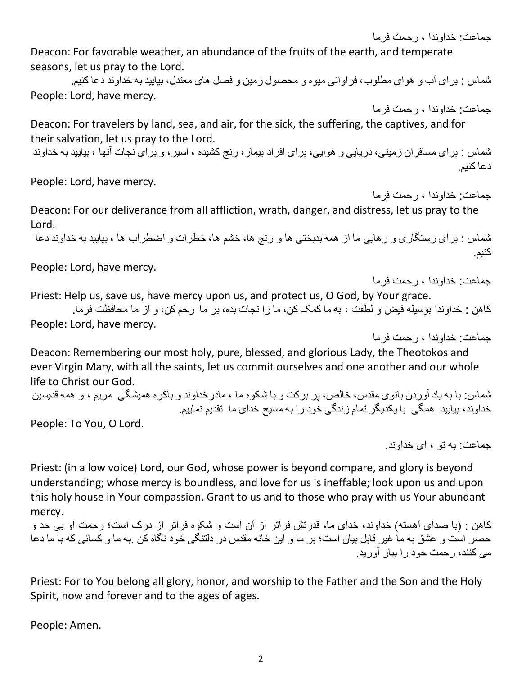جماعت: خداوندا ، رحمت فرما

Deacon: For favorable weather, an abundance of the fruits of the earth, and temperate seasons, let us pray to the Lord.

شماس : برای آب و هوای مطلوب، فراوانی میوه و محصول زمین و فصل های معتدل، بیایید به خداوند دعا کنیم. People: Lord, have mercy.

جماعت: خداوندا ، رحمت فرما

Deacon: For travelers by land, sea, and air, for the sick, the suffering, the captives, and for their salvation, let us pray to the Lord.

شماس : برای مسافران زمینی، دریایی و هوایی، برای افراد بیمار، رنج کشیده ، اسیر، و برای نجات آنها ، بیایید به خداوند دعا کنیم.

People: Lord, have mercy.

جماعت: خداوندا ، رحمت فرما

Deacon: For our deliverance from all affliction, wrath, danger, and distress, let us pray to the Lord.

شماس : برای رستگاری و رهایی ما از همه بدبختی ها و رنج ها، خشم ها، خطرات و اضطراب ها ، بیایید به خداوند دعا کنیم.

People: Lord, have mercy.

جماعت: خداوندا ، رحمت فرما

Priest: Help us, save us, have mercy upon us, and protect us, O God, by Your grace. کاهن : خداوندا بوسیله فیض و لطفت ، به ما کمک کن، ما را نجات بده، بر ما رحم کن، و از ما محافظت فرما. People: Lord, have mercy.

جماعت: خداوندا ، رحمت فرما

Deacon: Remembering our most holy, pure, blessed, and glorious Lady, the Theotokos and ever Virgin Mary, with all the saints, let us commit ourselves and one another and our whole life to Christ our God.

شماس: با به یاد آوردن بانوی مقدس، خالص، پر برکت و با شکوه ما ، مادرخداوند و باکره همیشگی مریم ، و همه قدیسین خداوند، بیایید همگی با یکدیگر تمام زندگی خود را به مسیح خدای ما تقدیم نماییم.

People: To You, O Lord.

جماعت: به تو ، ای خداوند.

Priest: (in a low voice) Lord, our God, whose power is beyond compare, and glory is beyond understanding; whose mercy is boundless, and love for us is ineffable; look upon us and upon this holy house in Your compassion. Grant to us and to those who pray with us Your abundant mercy.

کاهن : (با صدای آهسته) خداوند، خدای ما، قدرتش فراتر از آن است و شکوه فراتر از درک است؛ رحمت او بی حد و حصر است و عشق به ما غیر قابل بیان است؛ بر ما و این خانه مقدس در دلتنگی خود نگاه کن .به ما و کسانی که با ما دعا می کنند، رحمت خود را ببار آورید.

Priest: For to You belong all glory, honor, and worship to the Father and the Son and the Holy Spirit, now and forever and to the ages of ages.

People: Amen.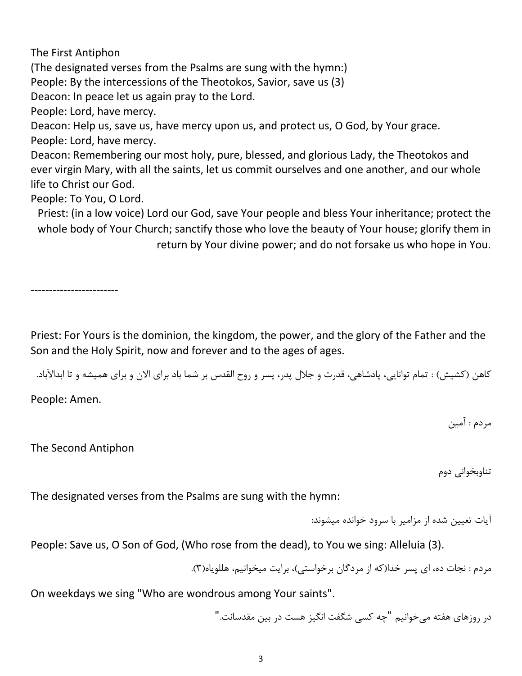The First Antiphon

(The designated verses from the Psalms are sung with the hymn:)

People: By the intercessions of the Theotokos, Savior, save us (3)

Deacon: In peace let us again pray to the Lord.

People: Lord, have mercy.

Deacon: Help us, save us, have mercy upon us, and protect us, O God, by Your grace.

People: Lord, have mercy.

Deacon: Remembering our most holy, pure, blessed, and glorious Lady, the Theotokos and ever virgin Mary, with all the saints, let us commit ourselves and one another, and our whole life to Christ our God.

People: To You, O Lord.

Priest: (in a low voice) Lord our God, save Your people and bless Your inheritance; protect the whole body of Your Church; sanctify those who love the beauty of Your house; glorify them in return by Your divine power; and do not forsake us who hope in You.

------------------------

Priest: For Yours is the dominion, the kingdom, the power, and the glory of the Father and the Son and the Holy Spirit, now and forever and to the ages of ages.

کاهن (کشیش) : تمام توانايي، پادشاهي، قدرت و جلال پدر، پسر و روح القدس بر شما باد براي الان و براي همیشه و تا ابدالآباد. People: Amen.

مردم : آمین

The Second Antiphon

تناوبخواني دوم

The designated verses from the Psalms are sung with the hymn:

آيات تعیین شده از مزامیر با سرود خوانده میشوند:

People: Save us, O Son of God, (Who rose from the dead), to You we sing: Alleluia (3).

مردم : نجات ده، اي پسر خدا(که از مردگان برخواستي)، برايت ميخوانيم، هللوياه(٣).

On weekdays we sing "Who are wondrous among Your saints".

در روزهاي هفته ميخوانیم "چه کسي شگفت انگیز هست در بین مقدسانت."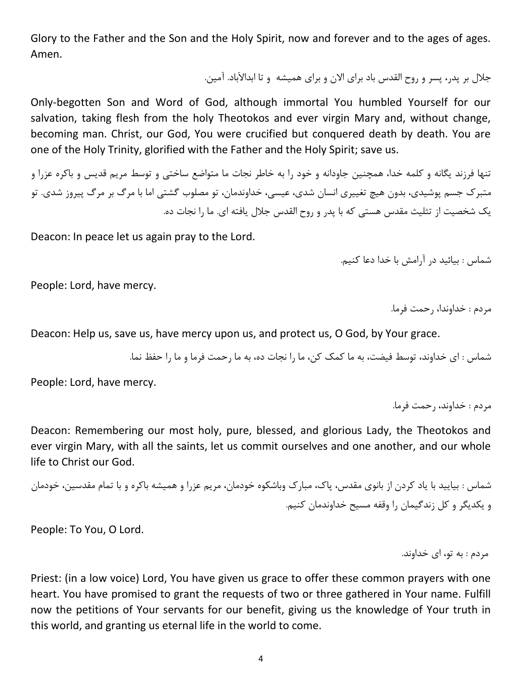Glory to the Father and the Son and the Holy Spirit, now and forever and to the ages of ages. Amen.

جلال بر پدر، پسر و روح القدس باد براي الان و براي همیشه و تا ابدالآباد. آمین.

Only-begotten Son and Word of God, although immortal You humbled Yourself for our salvation, taking flesh from the holy Theotokos and ever virgin Mary and, without change, becoming man. Christ, our God, You were crucified but conquered death by death. You are one of the Holy Trinity, glorified with the Father and the Holy Spirit; save us.

تنها فرزند يگانه و کلمه خدا، همچنین جاودانه و خود را به خاطر نجات ما متواضع ساختي و توسط مريم قديس و باکره عزرا و متبرك جسم پوشیدي، بدون هیچ تغییري انسان شدي، عیسي، خداوندمان، تو مصلوب گشتي اما با مرگ بر مرگ پیروز شدي. تو يك شخصیت از تثلیث مقدس هستي که با پدر و روح القدس جالل يافته اي. ما را نجات ده.

Deacon: In peace let us again pray to the Lord.

شماس : بیائید در آرامش با خدا دعا کنیم.

People: Lord, have mercy.

مردم : خداوندا، رحمت فرما.

Deacon: Help us, save us, have mercy upon us, and protect us, O God, by Your grace.

شماس : اي خداوند، توسط فیضت، به ما کمك کن، ما را نجات ده، به ما رحمت فرما و ما را حفظ نما.

People: Lord, have mercy.

مردم : خداوند، رحمت فرما.

Deacon: Remembering our most holy, pure, blessed, and glorious Lady, the Theotokos and ever virgin Mary, with all the saints, let us commit ourselves and one another, and our whole life to Christ our God.

شماس : بیايید با ياد کردن از بانوي مقدس، پاك، مبارك وباشكوه خودمان، مريم عزرا و همیشه باکره و با تمام مقدسین، خودمان و يكديگر و کل زندگیمان را وقفه مسیح خداوندمان کنیم.

People: To You, O Lord.

مردم : به تو، اي خداوند.

Priest: (in a low voice) Lord, You have given us grace to offer these common prayers with one heart. You have promised to grant the requests of two or three gathered in Your name. Fulfill now the petitions of Your servants for our benefit, giving us the knowledge of Your truth in this world, and granting us eternal life in the world to come.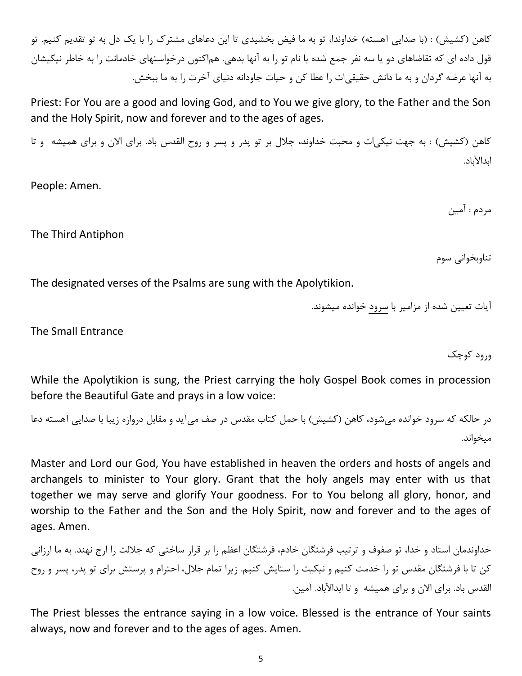کاهن (کشیش) : (با صدايي آهسته) خداوندا، تو به ما فیض بخشیدي تا اين دعاهاي مشترک را با يک دل به تو تقديم کنيم. تو قول داده اي که تقاضاهاي دو يا سه نفر جمع شده با نام تو را به آنها بدهي. هماکنون درخواستهاي خادمانت را به خاطر نیكیشان به آنها عرضه گردان و به ما دانش حقیقيات را عطا کن و حیات جاودانه دنیاي آخرت را به ما ببخش.

Priest: For You are a good and loving God, and to You we give glory, to the Father and the Son and the Holy Spirit, now and forever and to the ages of ages.

کاهن (کشیش) : به جهت نیكي|ت و محبت خداوند، جلال بر تو پدر و پسر و روح القدس باد. براي الان و براي همیشه و تا ابدالآباد.

People: Amen.

The Third Antiphon

The designated verses of the Psalms are sung with the Apolytikion.

The Small Entrance

While the Apolytikion is sung, the Priest carrying the holy Gospel Book comes in procession before the Beautiful Gate and prays in a low voice:

در حالكه كه سرود خوانده مي شود، كاهن (كشيش) با حمل كتاب مقدس در صف مي آيد و مقابل دروازه زيبا با صدايي آهسته دعا میخواند.

Master and Lord our God, You have established in heaven the orders and hosts of angels and archangels to minister to Your glory. Grant that the holy angels may enter with us that together we may serve and glorify Your goodness. For to You belong all glory, honor, and worship to the Father and the Son and the Holy Spirit, now and forever and to the ages of ages. Amen.

خداوندمان استاد و خدا، تو صفوف و ترتیب فرشتگان خادم، فرشتگان اعظم را بر قرار ساختي که جاللت را ارج نهند. به ما ارزاني کن تا با فرشتگان مقدس تو را خدمت کنیم و نیكیت را ستايش کنیم. زيرا تمام جالل، احترام و پرستش براي تو پدر، پسر و روح القدس باد. براي الان و براي همیشه و تا ابدالآباد. آمین.

The Priest blesses the entrance saying in a low voice. Blessed is the entrance of Your saints always, now and forever and to the ages of ages. Amen.

مردم : آمین

تناوبخواني سوم

آيات تعیین شده از مزامیر با سرود خوانده میشوند.

ورود کوچك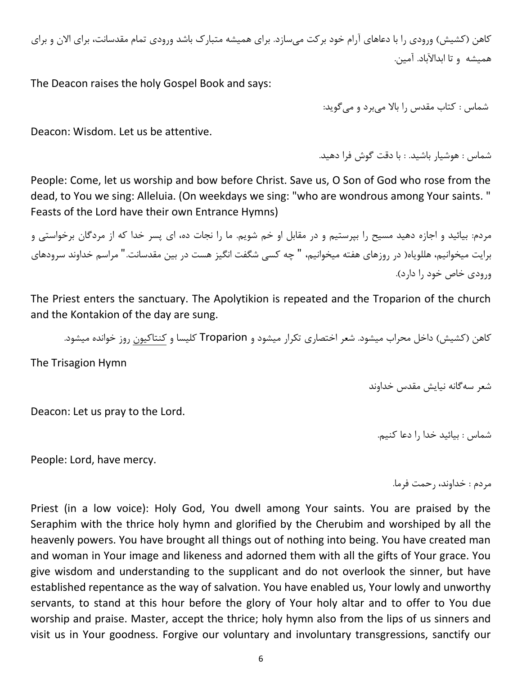کاهن (کشیش) ورودي را با دعاهاي آرام خود برکت ميسازد. براي همیشه متبارک باشد ورودي تمام مقدسانت، براي الان و براي همیشه و تا ابدالآباد. آمین.

The Deacon raises the holy Gospel Book and says:

شماس : کتاب مقدس را باال ميبرد و ميگويد:

Deacon: Wisdom. Let us be attentive.

شماس : هوشیار باشید. : با دقت گوش فرا دهید.

People: Come, let us worship and bow before Christ. Save us, O Son of God who rose from the dead, to You we sing: Alleluia. (On weekdays we sing: "who are wondrous among Your saints. " Feasts of the Lord have their own Entrance Hymns)

مردم: بیائید و اجازه دهید مسیح را بپرستیم و در مقابل او خم شويم. ما را نجات ده، اي پسر خدا که از مردگان برخواستي و برايت میخوانیم، هللوياه) در روزهاي هفته میخوانیم، " چه کسي شگفت انگیز هست در بین مقدسانت." مراسم خداوند سرودهاي ورودي خاص خود را دارد(.

The Priest enters the sanctuary. The Apolytikion is repeated and the Troparion of the church and the Kontakion of the day are sung.

کاهن (کشیش) داخل محراب میشود. شعر اختصاری تکرار میشود و Troparion کلیسا و کنتاکیون روز خوانده میشود.

The Trisagion Hymn

شعر سهگانه نیايش مقدس خداوند

Deacon: Let us pray to the Lord.

شماس : بیائید خدا را دعا کنیم.

People: Lord, have mercy.

مردم : خداوند، رحمت فرما.

Priest (in a low voice): Holy God, You dwell among Your saints. You are praised by the Seraphim with the thrice holy hymn and glorified by the Cherubim and worshiped by all the heavenly powers. You have brought all things out of nothing into being. You have created man and woman in Your image and likeness and adorned them with all the gifts of Your grace. You give wisdom and understanding to the supplicant and do not overlook the sinner, but have established repentance as the way of salvation. You have enabled us, Your lowly and unworthy servants, to stand at this hour before the glory of Your holy altar and to offer to You due worship and praise. Master, accept the thrice; holy hymn also from the lips of us sinners and visit us in Your goodness. Forgive our voluntary and involuntary transgressions, sanctify our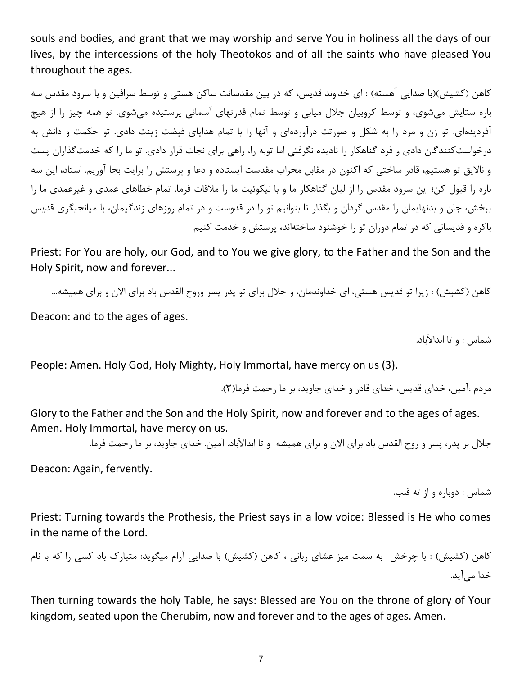souls and bodies, and grant that we may worship and serve You in holiness all the days of our lives, by the intercessions of the holy Theotokos and of all the saints who have pleased You throughout the ages.

کاهن (کشیش)(با صدايي آهسته) : اي خداوند قديس، که در بين مقدسانت ساکن هستي و توسط سرافين و با سرود مقدس سه باره ستايش ميشوي، و توسط کروبیان جالل میابي و توسط تمام قدرتهاي آسماني پرستیده ميشوي. تو همه چیز را از هیچ آفرديدهاي. تو زن و مرد را به شكل و صورتت درآوردهاي و آنها را با تمام هداياي فیضت زينت دادي. تو حكمت و دانش به درخواستکنندگان دادي و فرد گناهكار را ناديده نگرفتي اما توبه را، راهي براي نجات قرار دادي. تو ما را که خدمتگذاران پست و نااليق تو هستیم، قادر ساختي که اکنون در مقابل محراب مقدست ايستاده و دعا و پرستش را برايت بجا آوريم. استاد، اين سه باره را قبول کن؛ اين سرود مقدس را از لبان گناهكار ما و با نیكوئیت ما را مالقات فرما. تمام خطاهاي عمدي و غیرعمدي ما را ببخش، جان و بدنهايمان را مقدس گردان و بگذار تا بتوانیم تو را در قدوست و در تمام روزهاي زندگیمان، با میانجیگري قديس باکره و قديساني که در تمام دوران تو را خوشنود ساختهاند، پرستش و خدمت کنیم.

Priest: For You are holy, our God, and to You we give glory, to the Father and the Son and the Holy Spirit, now and forever...

کاهن (کشیش) : زيرا تو قديس هستي، اي خداوندمان، و جلال براي تو پدر پسر وروح القدس باد براي الان و براي هميشه...

Deacon: and to the ages of ages.

شماس : و تا ابدالآباد.

People: Amen. Holy God, Holy Mighty, Holy Immortal, have mercy on us (3).

مردم :آمین، خداي قديس، خداي قادر و خداي جاويد، بر ما رحمت فرما)3(.

Glory to the Father and the Son and the Holy Spirit, now and forever and to the ages of ages. Amen. Holy Immortal, have mercy on us.

جلال بر پدر، پسر و روح القدس باد براي الان و براي هميشه و تا ابدالآباد. آمين. خداي جاويد، بر ما رحمت فرما.

Deacon: Again, fervently.

شماس : دوباره و از ته قلب.

Priest: Turning towards the Prothesis, the Priest says in a low voice: Blessed is He who comes in the name of the Lord.

کاهن (کشیش) : با چرخش به سمت میز عشاي رباني ، کاهن (کشیش) با صدايي آرام میگويد: متبارک باد کسي را که با نام خدا ميآيد.

Then turning towards the holy Table, he says: Blessed are You on the throne of glory of Your kingdom, seated upon the Cherubim, now and forever and to the ages of ages. Amen.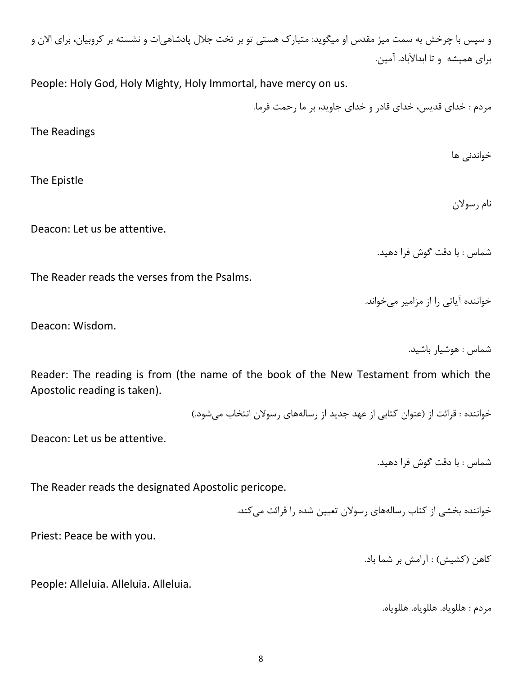و سپس با چرخش به سمت میز مقدس او میگويد: متبارك هستي تو بر تخت جالل پادشاهيات و نشسته بر کروبیان، براي االن و براي همیشه و تا ابداآلباد. آمین.

People: Holy God, Holy Mighty, Holy Immortal, have mercy on us.

مردم : خداي قديس، خداي قادر و خداي جاويد، بر ما رحمت فرما.

The Readings

The Epistle

Deacon: Let us be attentive.

The Reader reads the verses from the Psalms.

Deacon: Wisdom.

Reader: The reading is from (the name of the book of the New Testament from which the Apostolic reading is taken).

خواننده : قرائت از (عنوان کتابي از عهد جديد از رسالههاي رسولان انتخاب مي شود.)

Deacon: Let us be attentive.

شماس : با دقت گوش فرا دهید.

The Reader reads the designated Apostolic pericope.

خواننده بخشي از کتاب رسالههاي رسوالن تعیین شده را قرائت ميکند.

Priest: Peace be with you.

کاهن (کشیش) : آرامش بر شما باد.

People: Alleluia. Alleluia. Alleluia.

مردم : هللوياه. هللوياه. هللوياه.

نام رسوالن

شماس : با دقت گوش فرا دهید.

خواننده آياتي را از مزامیر ميخواند.

شماس : هوشیار باشید.

خواندني ها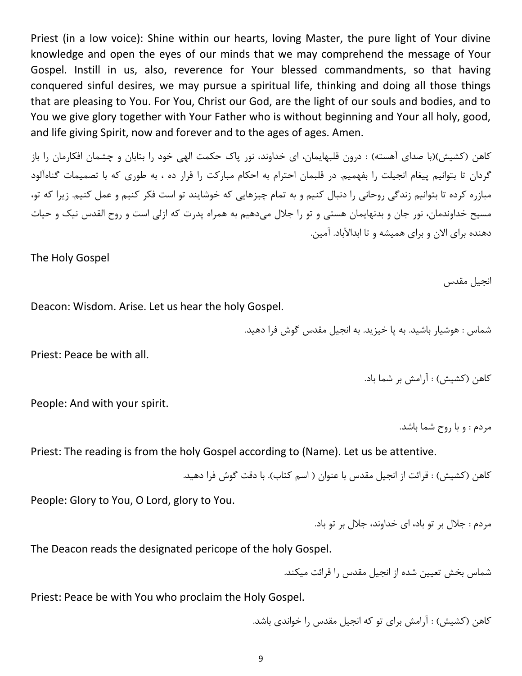Priest (in a low voice): Shine within our hearts, loving Master, the pure light of Your divine knowledge and open the eyes of our minds that we may comprehend the message of Your Gospel. Instill in us, also, reverence for Your blessed commandments, so that having conquered sinful desires, we may pursue a spiritual life, thinking and doing all those things that are pleasing to You. For You, Christ our God, are the light of our souls and bodies, and to You we give glory together with Your Father who is without beginning and Your all holy, good, and life giving Spirit, now and forever and to the ages of ages. Amen.

کاهن (کشیش)(با صدای آهسته) : درون قلبهایمان، ای خداوند، نور پاک حکمت الهی خود را بتابان و چشمان افکارمان را باز گردان تا بتوانیم پیغام انجیلت را بفهمیم. در قلبمان احترام به احكام مبارکت را قرار ده ، به طوري که با تصمیمات گناهآلود مبازره کرده تا بتوانیم زندگي روحاني را دنبال کنیم و به تمام چیزهايي که خوشايند تو است فكر کنیم و عمل کنیم. زيرا که تو، مسیح خداوندمان، نور جان و بدنهايمان هستي و تو را جالل ميدهیم به همراه پدرت که ازلي است و روح القدس نیك و حیات دهنده براي االن و براي همیشه و تا ابداآلباد. آمین.

The Holy Gospel

انجیل مقدس

Deacon: Wisdom. Arise. Let us hear the holy Gospel.

شماس : هوشیار باشید. به پا خیزيد. به انجیل مقدس گوش فرا دهید.

Priest: Peace be with all.

کاهن )کشیش( : آرامش بر شما باد.

People: And with your spirit.

مردم : و با روح شما باشد.

Priest: The reading is from the holy Gospel according to (Name). Let us be attentive.

کاهن )کشیش( : قرائت از انجیل مقدس با عنوان ) اسم کتاب(. با دقت گوش فرا دهید.

People: Glory to You, O Lord, glory to You.

مردم : جالل بر تو باد، اي خداوند، جالل بر تو باد.

The Deacon reads the designated pericope of the holy Gospel.

شماس بخش تعیین شده از انجیل مقدس را قرائت میكند.

Priest: Peace be with You who proclaim the Holy Gospel.

کاهن (کشیش) : آرامش براي تو که انجیل مقدس را خواندي باشد.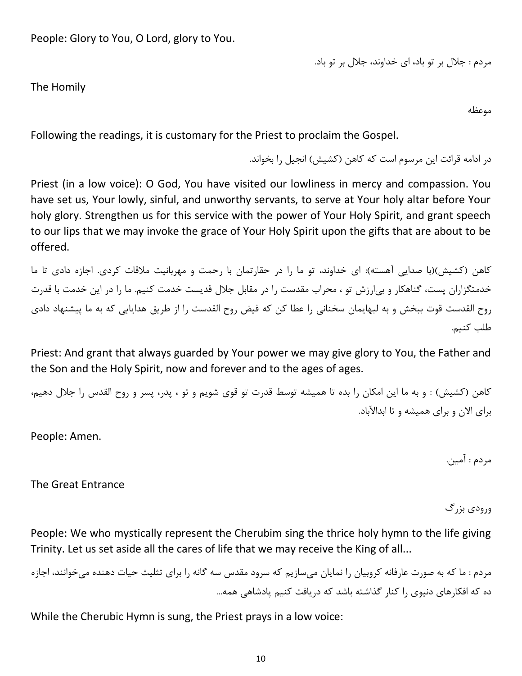People: Glory to You, O Lord, glory to You.

مردم : جالل بر تو باد، اي خداوند، جالل بر تو باد.

The Homily

موعظه

Following the readings, it is customary for the Priest to proclaim the Gospel.

در ادامه قرائت این مرسوم است که کاهن (کشیش) انجیل را بخواند.

Priest (in a low voice): O God, You have visited our lowliness in mercy and compassion. You have set us, Your lowly, sinful, and unworthy servants, to serve at Your holy altar before Your holy glory. Strengthen us for this service with the power of Your Holy Spirit, and grant speech to our lips that we may invoke the grace of Your Holy Spirit upon the gifts that are about to be offered.

کاهن (کشیش)(با صدایی آهسته): ای خداوند، تو ما را در حقارتمان با رحمت و مهربانیت ملاقات کردی. اجازه دادی تا ما خدمتگزاران پست، گناهكار و بيارزش تو ، محراب مقدست را در مقابل جالل قديست خدمت کنیم. ما را در اين خدمت با قدرت روح القدست قوت ببخش و به لبهايمان سخناني را عطا کن که فیض روح القدست را از طريق هدايايي که به ما پیشنهاد دادي طلب کنیم.

Priest: And grant that always guarded by Your power we may give glory to You, the Father and the Son and the Holy Spirit, now and forever and to the ages of ages.

کاهن (کشیش) : و به ما اين امکان را بده تا همیشه توسط قدرت تو قوي شويم و تو ، پدر، پسر و روح القدس را جلال دهیم، برای الان و برای همیشه و تا ابدالآباد.

People: Amen.

مردم : آمین.

The Great Entrance

ورودي بزرگ

People: We who mystically represent the Cherubim sing the thrice holy hymn to the life giving Trinity. Let us set aside all the cares of life that we may receive the King of all...

مردم : ما که به صورت عارفانه کروبیان را نمايان ميسازيم که سرود مقدس سه گانه را براي تثلیث حیات دهنده ميخوانند، اجازه ده که افكارهاي دنیوي را کنار گذاشته باشد که دريافت کنیم پادشاهي همه...

While the Cherubic Hymn is sung, the Priest prays in a low voice: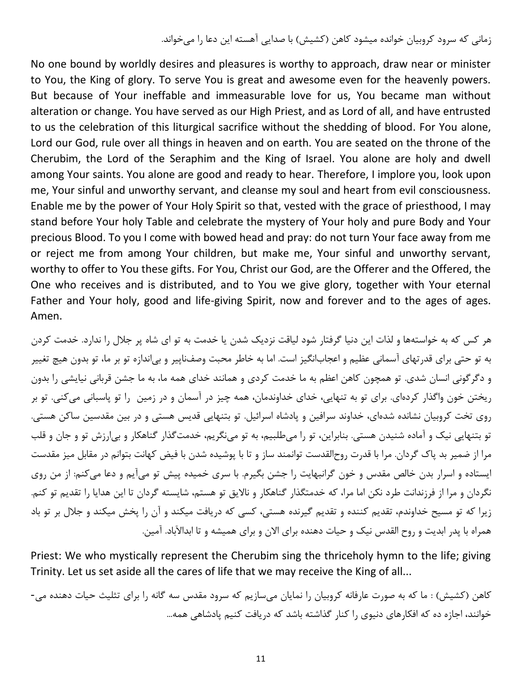زماني که سرود کروبیان خوانده میشود کاهن )کشیش( با صدايي آهسته اين دعا را ميخواند.

No one bound by worldly desires and pleasures is worthy to approach, draw near or minister to You, the King of glory. To serve You is great and awesome even for the heavenly powers. But because of Your ineffable and immeasurable love for us, You became man without alteration or change. You have served as our High Priest, and as Lord of all, and have entrusted to us the celebration of this liturgical sacrifice without the shedding of blood. For You alone, Lord our God, rule over all things in heaven and on earth. You are seated on the throne of the Cherubim, the Lord of the Seraphim and the King of Israel. You alone are holy and dwell among Your saints. You alone are good and ready to hear. Therefore, I implore you, look upon me, Your sinful and unworthy servant, and cleanse my soul and heart from evil consciousness. Enable me by the power of Your Holy Spirit so that, vested with the grace of priesthood, I may stand before Your holy Table and celebrate the mystery of Your holy and pure Body and Your precious Blood. To you I come with bowed head and pray: do not turn Your face away from me or reject me from among Your children, but make me, Your sinful and unworthy servant, worthy to offer to You these gifts. For You, Christ our God, are the Offerer and the Offered, the One who receives and is distributed, and to You we give glory, together with Your eternal Father and Your holy, good and life-giving Spirit, now and forever and to the ages of ages. Amen.

هر کس که به خواستهها و لذات اين دنیا گرفتار شود لیاقت نزديك شدن يا خدمت به تو اي شاه پر جالل را ندارد. خدمت کردن به تو حتي براي قدرتهاي آسماني عظیم و اعجابانگیز است. اما به خاطر محبت وصفناپیر و بياندازه تو بر ما، تو بدون هیچ تغییر و دگرگوني انسان شدي. تو همچون کاهن اعظم به ما خدمت کردي و همانند خداي همه ما، به ما جشن قرباني نیايشي را بدون ريختن خون واگذار کردهاي. براي تو به تنهايي، خداي خداوندمان، همه چیز در آسمان و در زمین را تو پاسباني ميکني. تو بر روي تخت کروبیان نشانده شدهاي، خداوند سرافین و پادشاه اسرائیل. تو بتنهايي قديس هستي و در بین مقدسین ساکن هستي. تو بتنهايي نیك و آماده شنیدن هستي. بنابراين، تو را ميطلبیم، به تو مينگريم، خدمتگذار گناهكار و بيارزش تو و جان و قلب مرا از ضمیر بد پاك گردان. مرا با قدرت روحالقدست توانمند ساز و تا با پوشیده شدن با فیض کهانت بتوانم در مقابل میز مقدست ايستاده و اسرار بدن خالص مقدس و خون گرانبهايت را جشن بگیرم. با سري خمیده پیش تو ميآيم و دعا ميکنم: از من روي نگردان و مرا از فرزندانت طرد نكن اما مرا، که خدمتگذار گناهكار و نااليق تو هستم، شايسته گردان تا اين هدايا را تقديم تو کنم. زيرا که تو مسیح خداوندم، تقديم کننده و تقديم گیرنده هستي، کسي که دريافت میكند و آن را پخش میكند و جالل بر تو باد همراه با پدر ابديت و روح القدس نیك و حیات دهنده براي االن و براي همیشه و تا ابداآلباد. آمین.

Priest: We who mystically represent the Cherubim sing the thriceholy hymn to the life; giving Trinity. Let us set aside all the cares of life that we may receive the King of all...

کاهن (کشیش) : ما که به صورت عارفانه کروبیان را نمايان ميسازيم که سرود مقدس سه گانه را براي تثليث حيات دهنده مي-خوانند، اجازه ده که افكارهاي دنیوي را کنار گذاشته باشد که دريافت کنیم پادشاهي همه...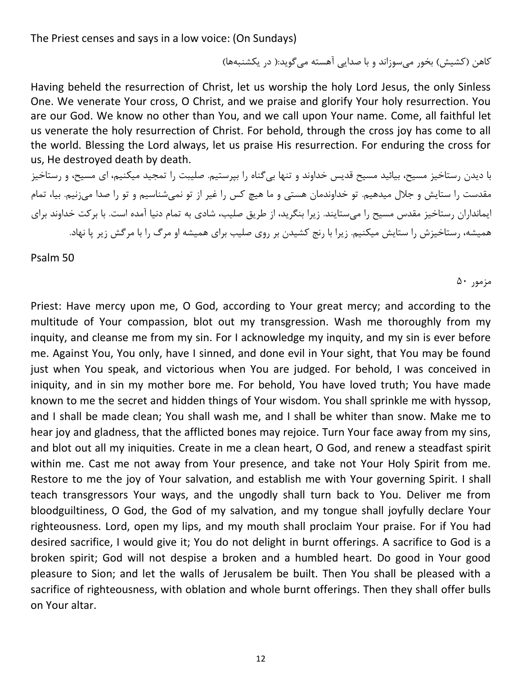The Priest censes and says in a low voice: (On Sundays)

کاهن (کشیش) بخور مي سوزاند و با صدايي آهسته مي گويد:( در يكشنبهها)

Having beheld the resurrection of Christ, let us worship the holy Lord Jesus, the only Sinless One. We venerate Your cross, O Christ, and we praise and glorify Your holy resurrection. You are our God. We know no other than You, and we call upon Your name. Come, all faithful let us venerate the holy resurrection of Christ. For behold, through the cross joy has come to all the world. Blessing the Lord always, let us praise His resurrection. For enduring the cross for us, He destroyed death by death.

با ديدن رستاخیز مسیح، بیائید مسیح قديس خداوند و تنها بيگناه را بپرستیم. صلیبت را تمجید میكنیم، اي مسیح، و رستاخیز مقدست را ستايش و جالل میدهیم. تو خداوندمان هستي و ما هیچ کس را غیر از تو نميشناسیم و تو را صدا ميزنیم. بیا، تمام ايمانداران رستاخیز مقدس مسیح را ميستايند. زيرا بنگريد، از طريق صلیب، شادي به تمام دنیا آمده است. با برکت خداوند براي همیشه، رستاخیزش را ستايش میكنیم. زيرا با رنج کشیدن بر روي صلیب براي همیشه او مرگ را با مرگش زير پا نهاد.

Psalm 50

مزمور 05

Priest: Have mercy upon me, O God, according to Your great mercy; and according to the multitude of Your compassion, blot out my transgression. Wash me thoroughly from my inquity, and cleanse me from my sin. For I acknowledge my inquity, and my sin is ever before me. Against You, You only, have I sinned, and done evil in Your sight, that You may be found just when You speak, and victorious when You are judged. For behold, I was conceived in iniquity, and in sin my mother bore me. For behold, You have loved truth; You have made known to me the secret and hidden things of Your wisdom. You shall sprinkle me with hyssop, and I shall be made clean; You shall wash me, and I shall be whiter than snow. Make me to hear joy and gladness, that the afflicted bones may rejoice. Turn Your face away from my sins, and blot out all my iniquities. Create in me a clean heart, O God, and renew a steadfast spirit within me. Cast me not away from Your presence, and take not Your Holy Spirit from me. Restore to me the joy of Your salvation, and establish me with Your governing Spirit. I shall teach transgressors Your ways, and the ungodly shall turn back to You. Deliver me from bloodguiltiness, O God, the God of my salvation, and my tongue shall joyfully declare Your righteousness. Lord, open my lips, and my mouth shall proclaim Your praise. For if You had desired sacrifice, I would give it; You do not delight in burnt offerings. A sacrifice to God is a broken spirit; God will not despise a broken and a humbled heart. Do good in Your good pleasure to Sion; and let the walls of Jerusalem be built. Then You shall be pleased with a sacrifice of righteousness, with oblation and whole burnt offerings. Then they shall offer bulls on Your altar.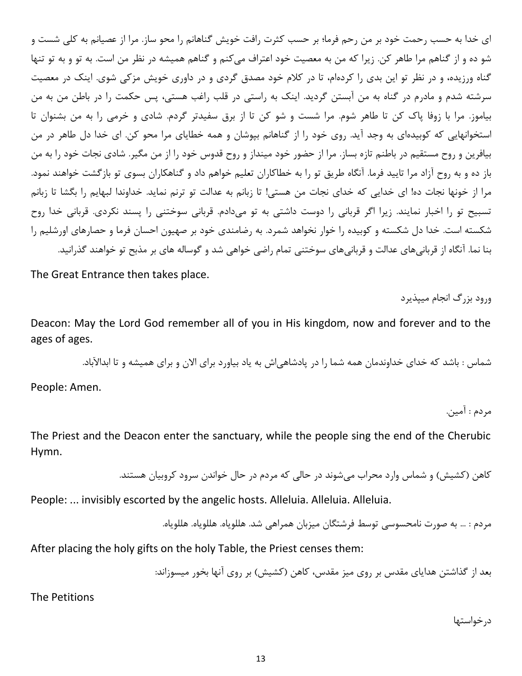اي خدا به حسب رحمت خود بر من رحم فرما؛ بر حسب کثرت رافت خويش گناهانم را محو ساز. مرا از عصیانم به کلي شست و شو ده و از گناهم مرا طاهر کن. زيرا که من به معصیت خود اعتراف ميکنم و گناهم همیشه در نظر من است. به تو و به تو تنها گناه ورزيده، و در نظر تو اين بدي را کردهام، تا در کالم خود مصدق گردي و در داوري خويش مزکي شوي. اينك در معصیت سرشته شدم و مادرم در گناه به من آبستن گرديد. اينك به راستي در قلب راغب هستي، پس حكمت را در باطن من به من بیاموز. مرا با زوفا پاك کن تا طاهر شوم. مرا شست و شو کن تا از برق سفیدتر گردم. شادي و خرمي را به من بشنوان تا استخوانهايي که کوبیدهاي به وجد آيد. روي خود را از گناهانم بپوشان و همه خطاياي مرا محو کن. اي خدا دل طاهر در من بیافرين و روح مستقیم در باطنم تازه بساز. مرا از حضور خود مینداز و روح قدوس خود را از من مگیر. شادي نجات خود را به من باز ده و به روح آزاد مرا تايید فرما. آنگاه طريق تو را به خطاکاران تعلیم خواهم داد و گناهكاران بسوي تو بازگشت خواهند نمود. مرا از خونها نجات ده! اي خدايي که خداي نجات من هستي! تا زبانم به عدالت تو ترنم نمايد. خداوندا لبهايم را بگشا تا زبانم تسبیح تو را اخبار نمايند. زيرا اگر قرباني را دوست داشتي به تو ميدادم. قرباني سوختني را پسند نكردي. قرباني خدا روح شكسته است. خدا دل شكسته و کوبیده را خوار نخواهد شمرد. به رضامندي خود بر صهیون احسان فرما و حصارهاي اورشلیم را بنا نما. آنگاه از قربانيهاي عدالت و قربانيهاي سوختني تمام راضي خواهي شد و گوساله هاي بر مذبح تو خواهند گذرانید.

The Great Entrance then takes place.

ورود بزرگ انجام میپذيرد

Deacon: May the Lord God remember all of you in His kingdom, now and forever and to the ages of ages.

شماس : باشد که خداي خداوندمان همه شما را در پادشاهي اش به ياد بياورد براي الان و براي هميشه و تا ابدالآباد. People: Amen.

## مردم : آمین.

The Priest and the Deacon enter the sanctuary, while the people sing the end of the Cherubic Hymn.

کاهن (کشیش) و شماس وارد محراب مي شوند در حالي که مردم در حال خواندن سرود کروبیان هستند.

People: ... invisibly escorted by the angelic hosts. Alleluia. Alleluia. Alleluia.

مردم : ... به صورت نامحسوسي توسط فرشتگان میزبان همراهي شد. هللوياه. هللوياه. هللوياه.

After placing the holy gifts on the holy Table, the Priest censes them:

بعد از گذاشتن هداياي مقدس بر روي ميز مقدس، كاهن (كشيش) بر روي آنها بخور ميسوزاند:

The Petitions

درخواستها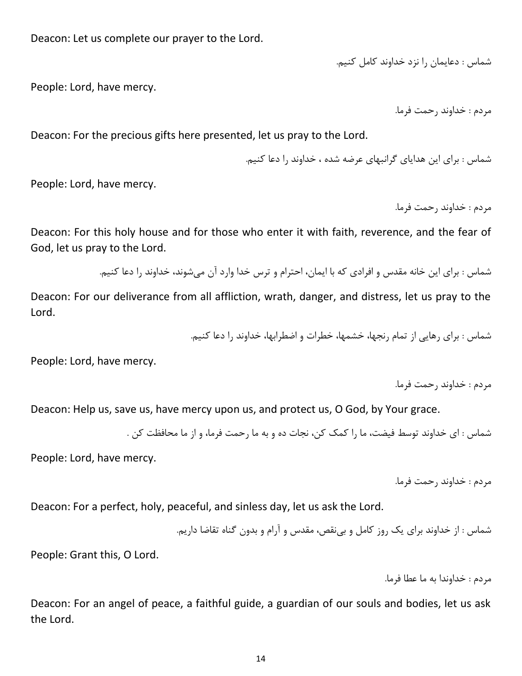Deacon: Let us complete our prayer to the Lord.

شماس : دعايمان را نزد خداوند کامل کنیم.

People: Lord, have mercy.

مردم : خداوند رحمت فرما.

Deacon: For the precious gifts here presented, let us pray to the Lord.

شماس : براي اين هداياي گرانبهاي عرضه شده ، خداوند را دعا کنیم.

People: Lord, have mercy.

مردم : خداوند رحمت فرما.

Deacon: For this holy house and for those who enter it with faith, reverence, and the fear of God, let us pray to the Lord.

شماس : براي اين خانه مقدس و افرادي که با ايمان، احترام و ترس خدا وارد آن ميشوند، خداوند را دعا کنیم.

Deacon: For our deliverance from all affliction, wrath, danger, and distress, let us pray to the Lord.

شماس : براي رهايي از تمام رنجها، خشمها، خطرات و اضطرابها، خداوند را دعا کنیم.

People: Lord, have mercy.

مردم : خداوند رحمت فرما.

Deacon: Help us, save us, have mercy upon us, and protect us, O God, by Your grace.

شماس : اي خداوند توسط فیضت، ما را کمك کن، نجات ده و به ما رحمت فرما، و از ما محافظت کن .

People: Lord, have mercy.

مردم : خداوند رحمت فرما.

Deacon: For a perfect, holy, peaceful, and sinless day, let us ask the Lord.

شماس : از خداوند براي يك روز کامل و بينقص، مقدس و آرام و بدون گناه تقاضا داريم.

People: Grant this, O Lord.

مردم : خداوندا به ما عطا فرما.

Deacon: For an angel of peace, a faithful guide, a guardian of our souls and bodies, let us ask the Lord.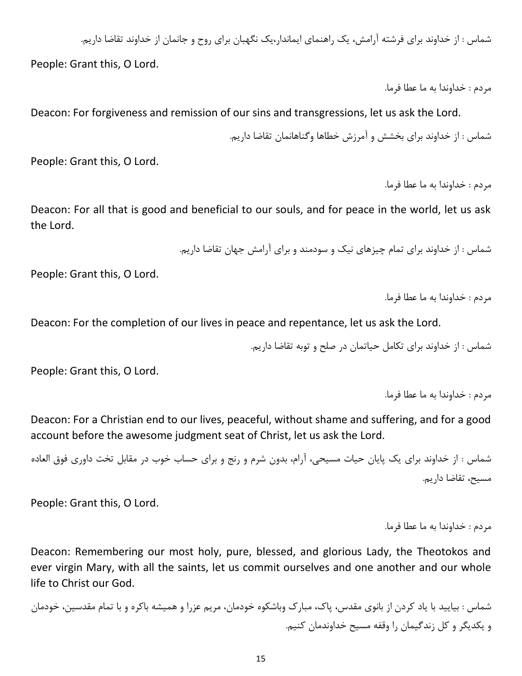شماس : از خداوند براي فرشته آرامش، يك راهنماي ايماندار،يك نگهبان براي روح و جانمان از خداوند تقاضا داريم.

People: Grant this, O Lord.

مردم : خداوندا به ما عطا فرما.

Deacon: For forgiveness and remission of our sins and transgressions, let us ask the Lord.

شماس : از خداوند براي بخشش و آمرزش خطاها وگناهانمان تقاضا داريم.

People: Grant this, O Lord.

مردم : خداوندا به ما عطا فرما.

Deacon: For all that is good and beneficial to our souls, and for peace in the world, let us ask the Lord.

شماس : از خداوند براي تمام چیزهاي نیك و سودمند و براي آرامش جهان تقاضا داريم.

People: Grant this, O Lord.

مردم : خداوندا به ما عطا فرما.

Deacon: For the completion of our lives in peace and repentance, let us ask the Lord.

شماس : از خداوند براي تكامل حیاتمان در صلح و توبه تقاضا داريم.

People: Grant this, O Lord.

مردم : خداوندا به ما عطا فرما.

Deacon: For a Christian end to our lives, peaceful, without shame and suffering, and for a good account before the awesome judgment seat of Christ, let us ask the Lord.

شماس : از خداوند براي يك پايان حیات مسیحي، آرام، بدون شرم و رنج و براي حساب خوب در مقابل تخت داوري فوق العاده مسیح، تقاضا داريم.

People: Grant this, O Lord.

مردم : خداوندا به ما عطا فرما.

Deacon: Remembering our most holy, pure, blessed, and glorious Lady, the Theotokos and ever virgin Mary, with all the saints, let us commit ourselves and one another and our whole life to Christ our God.

شماس : بیايید با ياد کردن از بانوي مقدس، پاك، مبارك وباشكوه خودمان، مريم عزرا و همیشه باکره و با تمام مقدسین، خودمان و يكديگر و کل زندگیمان را وقفه مسیح خداوندمان کنیم.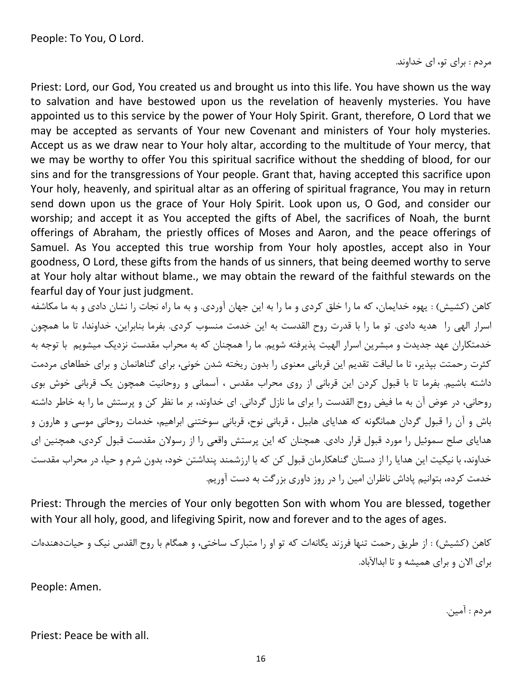مردم : براي تو، اي خداوند.

Priest: Lord, our God, You created us and brought us into this life. You have shown us the way to salvation and have bestowed upon us the revelation of heavenly mysteries. You have appointed us to this service by the power of Your Holy Spirit. Grant, therefore, O Lord that we may be accepted as servants of Your new Covenant and ministers of Your holy mysteries. Accept us as we draw near to Your holy altar, according to the multitude of Your mercy, that we may be worthy to offer You this spiritual sacrifice without the shedding of blood, for our sins and for the transgressions of Your people. Grant that, having accepted this sacrifice upon Your holy, heavenly, and spiritual altar as an offering of spiritual fragrance, You may in return send down upon us the grace of Your Holy Spirit. Look upon us, O God, and consider our worship; and accept it as You accepted the gifts of Abel, the sacrifices of Noah, the burnt offerings of Abraham, the priestly offices of Moses and Aaron, and the peace offerings of Samuel. As You accepted this true worship from Your holy apostles, accept also in Your goodness, O Lord, these gifts from the hands of us sinners, that being deemed worthy to serve at Your holy altar without blame., we may obtain the reward of the faithful stewards on the fearful day of Your just judgment.

کاهن (کشیش) : يهوه خدايمان، که ما را خلق کردي و ما را به اين جهان آوردي. و به ما راه نجات را نشان دادي و به ما مکاشفه اسرار الهي را هديه دادي. تو ما را با قدرت روح القدست به اين خدمت منسوب کردي. بفرما بنابراين، خداوندا، تا ما همچون خدمتكاران عهد جديدت و مبشرين اسرار الهیت پذيرفته شويم. ما را همچنان که به محراب مقدست نزديك میشويم با توجه به کثرت رحمتت بپذير، تا ما لیاقت تقديم اين قرباني معنوي را بدون ريخته شدن خوني، براي گناهانمان و براي خطاهاي مردمت داشته باشیم. بفرما تا با قبول کردن اين قرباني از روي محراب مقدس ، آسماني و روحانیت همچون يك قرباني خوش بوي روحاني، در عوض آن به ما فیض روح القدست را براي ما نازل گرداني. اي خداوند، بر ما نظر کن و پرستش ما را به خاطر داشته باش و آن را قبول گردان همانگونه که هداياي هابیل ، قرباني نوح، قرباني سوختني ابراهیم، خدمات روحاني موسي و هارون و هداياي صلح سموئیل را مورد قبول قرار دادي. همچنان که اين پرستش واقعي را از رسوالن مقدست قبول کردي، همچنین اي خداوند، با نیكیت اين هدايا را از دستان گناهكارمان قبول کن که با ارزشمند پنداشتن خود، بدون شرم و حیا، در محراب مقدست خدمت کرده، بتوانیم پاداش ناظران امین را در روز داوري بزرگت به دست آوريم.

Priest: Through the mercies of Your only begotten Son with whom You are blessed, together with Your all holy, good, and lifegiving Spirit, now and forever and to the ages of ages.

كاهن (كشیش) : از طريق رحمت تنها فرزند يگانهات كه تو او را متبارك ساختي، و همگام با روح القدس نیك و حیاتدهندهات برای الان و برای همیشه و تا ابدالآباد.

People: Amen.

مردم : آمین.

Priest: Peace be with all.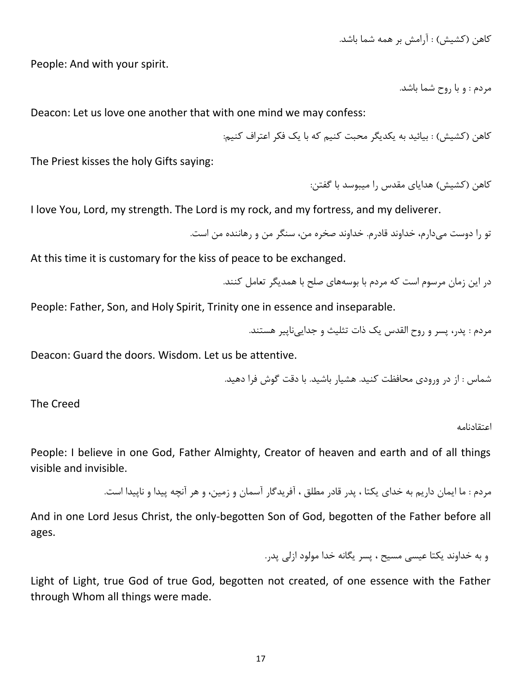کاهن (کشیش) : آرامش بر همه شما باشد.

People: And with your spirit.

مردم : و با روح شما باشد.

Deacon: Let us love one another that with one mind we may confess:

كاهن (كشیش) : بیائید به یكدیگر محبت كنیم كه با یك فكر اعتراف كنیم:

The Priest kisses the holy Gifts saying:

کاهن )کشیش( هداياي مقدس را میبوسد با گفتن:

I love You, Lord, my strength. The Lord is my rock, and my fortress, and my deliverer.

تو را دوست ميدارم، خداوند قادرم. خداوند صخره من، سنگر من و رهاننده من است.

At this time it is customary for the kiss of peace to be exchanged.

در اين زمان مرسوم است که مردم با بوسههاي صلح با همديگر تعامل کنند.

People: Father, Son, and Holy Spirit, Trinity one in essence and inseparable.

مردم : پدر، پسر و روح القدس يک ذات تثليث و جدايي ناپیر هستند.

Deacon: Guard the doors. Wisdom. Let us be attentive.

شماس : از در ورودي محافظت کنید. هشیار باشید. با دقت گوش فرا دهید.

The Creed

اعتقادنامه

People: I believe in one God, Father Almighty, Creator of heaven and earth and of all things visible and invisible.

مردم : ما ايمان داريم به خداي يكتا ، پدر قادر مطلق ، آفريدگار آسمان و زمین، و هر آنچه پیدا و ناپیدا است.

And in one Lord Jesus Christ, the only-begotten Son of God, begotten of the Father before all ages.

و به خداوند يكتا عیسي مسیح ، پسر يگانه خدا مولود ازلي پدر.

Light of Light, true God of true God, begotten not created, of one essence with the Father through Whom all things were made.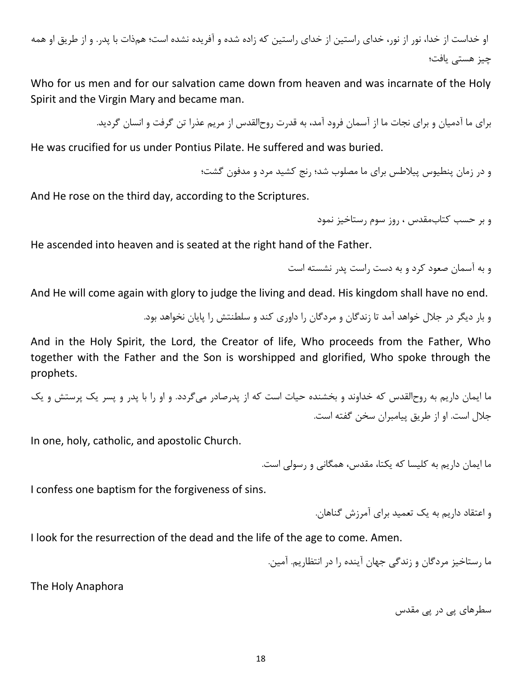او خداست از خدا، نور از نور، خداي راستین از خداي راستین که زاده شده و آفريده نشده است؛ همذات با پدر. و از طريق او همه چیز هستي يافت؛

Who for us men and for our salvation came down from heaven and was incarnate of the Holy Spirit and the Virgin Mary and became man.

براي ما آدمیان و براي نجات ما از آسمان فرود آمد، به قدرت روحالقدس از مريم عذرا تن گرفت و انسان گرديد.

He was crucified for us under Pontius Pilate. He suffered and was buried.

و در زمان پنطیوس پیالطس براي ما مصلوب شد؛ رنج کشید مرد و مدفون گشت؛

And He rose on the third day, according to the Scriptures.

و بر حسب کتابمقدس ، روز سوم رستاخیز نمود

He ascended into heaven and is seated at the right hand of the Father.

و به آسمان صعود کرد و به دست راست پدر نشسته است

And He will come again with glory to judge the living and dead. His kingdom shall have no end.

و بار ديگر در جالل خواهد آمد تا زندگان و مردگان را داوري کند و سلطنتش را پايان نخواهد بود.

And in the Holy Spirit, the Lord, the Creator of life, Who proceeds from the Father, Who together with the Father and the Son is worshipped and glorified, Who spoke through the prophets.

ما ايمان داريم به روحالقدس که خداوند و بخشنده حیات است که از پدرصادر ميگردد. و او را با پدر و پسر يك پرستش و يك جالل است. او از طريق پیامبران سخن گفته است.

In one, holy, catholic, and apostolic Church.

ما ايمان داريم به کلیسا که يكتا، مقدس، همگاني و رسولي است.

I confess one baptism for the forgiveness of sins.

و اعتقاد داريم به يك تعمید براي آمرزش گناهان.

I look for the resurrection of the dead and the life of the age to come. Amen.

ما رستاخیز مردگان و زندگي جهان آينده را در انتظاريم. آمین.

The Holy Anaphora

سطرهاي پي در پي مقدس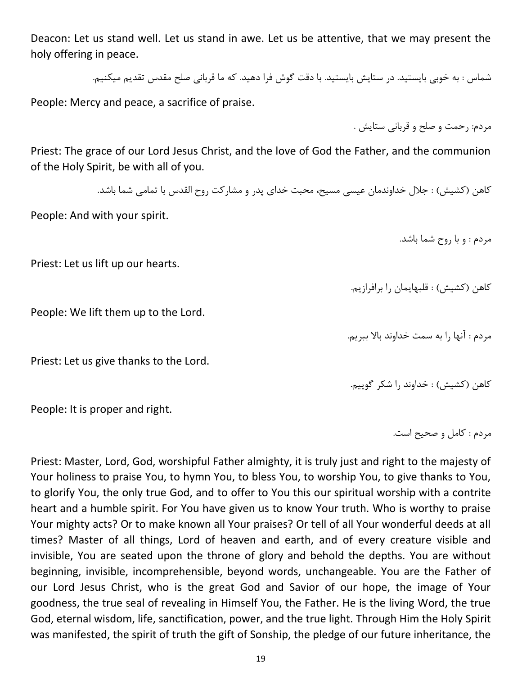Deacon: Let us stand well. Let us stand in awe. Let us be attentive, that we may present the holy offering in peace.

شماس : به خوبي بايستید. در ستايش بايستید. با دقت گوش فرا دهید. که ما قرباني صلح مقدس تقديم میكنیم.

People: Mercy and peace, a sacrifice of praise.

مردم: رحمت و صلح و قرباني ستايش .

Priest: The grace of our Lord Jesus Christ, and the love of God the Father, and the communion of the Holy Spirit, be with all of you.

کاهن )کشیش( : جالل خداوندمان عیسي مسیح، محبت خداي پدر و مشارکت روح القدس با تمامي شما باشد.

People: And with your spirit.

مردم : و با روح شما باشد.

Priest: Let us lift up our hearts.

People: We lift them up to the Lord.

مردم : آنها را به سمت خداوند باال ببريم.

کاهن )کشیش( : قلبهايمان را برافرازيم.

Priest: Let us give thanks to the Lord.

کاهن )کشیش( : خداوند را شكر گويیم.

People: It is proper and right.

مردم : کامل و صحیح است.

Priest: Master, Lord, God, worshipful Father almighty, it is truly just and right to the majesty of Your holiness to praise You, to hymn You, to bless You, to worship You, to give thanks to You, to glorify You, the only true God, and to offer to You this our spiritual worship with a contrite heart and a humble spirit. For You have given us to know Your truth. Who is worthy to praise Your mighty acts? Or to make known all Your praises? Or tell of all Your wonderful deeds at all times? Master of all things, Lord of heaven and earth, and of every creature visible and invisible, You are seated upon the throne of glory and behold the depths. You are without beginning, invisible, incomprehensible, beyond words, unchangeable. You are the Father of our Lord Jesus Christ, who is the great God and Savior of our hope, the image of Your goodness, the true seal of revealing in Himself You, the Father. He is the living Word, the true God, eternal wisdom, life, sanctification, power, and the true light. Through Him the Holy Spirit was manifested, the spirit of truth the gift of Sonship, the pledge of our future inheritance, the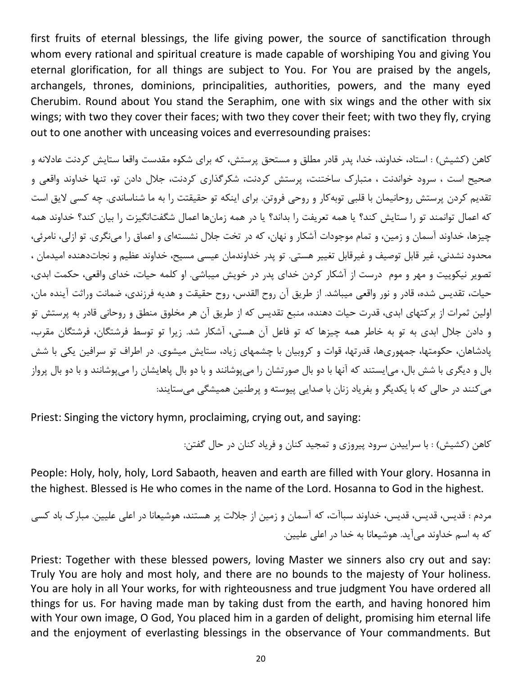first fruits of eternal blessings, the life giving power, the source of sanctification through whom every rational and spiritual creature is made capable of worshiping You and giving You eternal glorification, for all things are subject to You. For You are praised by the angels, archangels, thrones, dominions, principalities, authorities, powers, and the many eyed Cherubim. Round about You stand the Seraphim, one with six wings and the other with six wings; with two they cover their faces; with two they cover their feet; with two they fly, crying out to one another with unceasing voices and everresounding praises:

کاهن (کشیش) : استاد، خداوند، خدا، پدر قادر مطلق و مستحق پرستش، که براي شکوه مقدست واقعا ستايش کردنت عادلانه و صحیح است ، سرود خواندنت ، متبارك ساختنت، پرستش کردنت، شكرگذاري کردنت، جالل دادن تو، تنها خداوند واقعي و تقديم کردن پرستش روحانیمان با قلبي توبهکار و روحي فروتن. براي اينكه تو حقیقتت را به ما شناساندي. چه کسي اليق است که اعمال توانمند تو را ستايش کند؟ يا همه تعريفت را بداند؟ يا در همه زمانها اعمال شگفتانگیزت را بیان کند؟ خداوند همه چیزها، خداوند آسمان و زمین، و تمام موجودات آشكار و نهان، که در تخت جالل نشستهاي و اعماق را مينگري. تو ازلي، نامرئي، محدود نشدني، غیر قابل توصیف و غیرقابل تغییر هستي. تو پدر خداوندمان عیسي مسیح، خداوند عظیم و نجاتدهنده امیدمان ، تصوير نیكويیت و مهر و موم درست از آشكار کردن خداي پدر در خويش میباشي. او کلمه حیات، خداي واقعي، حكمت ابدي، حیات، تقديس شده، قادر و نور واقعي میباشد. از طريق آن روح القدس، روح حقیقت و هديه فرزندي، ضمانت وراثت آينده مان، اولین ثمرات از برکتهاي ابدي، قدرت حیات دهنده، منبع تقديس که از طريق آن هر مخلوق منطق و روحاني قادر به پرستش تو و دادن جالل ابدي به تو به خاطر همه چیزها که تو فاعل آن هستي، آشكار شد. زيرا تو توسط فرشتگان، فرشتگان مقرب، پادشاهان، حكومتها، جمهوريها، قدرتها، قوات و کروبیان با چشمهاي زياد، ستايش میشوي. در اطراف تو سرافین يكي با شش بال و ديگري با شش بال، ميايستند که آنها با دو بال صورتشان را ميپوشانند و با دو بال پاهايشان را ميپوشانند و با دو بال پرواز ميکنند در حالي که با يكديگر و بفرياد زنان با صدايي پیوسته و پرطنین همیشگي ميستايند:

Priest: Singing the victory hymn, proclaiming, crying out, and saying:

کاهن (کشیش) : با سرايیدن سرود پیروزي و تمجید کنان و فرياد کنان در حال گفتن:

People: Holy, holy, holy, Lord Sabaoth, heaven and earth are filled with Your glory. Hosanna in the highest. Blessed is He who comes in the name of the Lord. Hosanna to God in the highest.

مردم : قديس، قديس، قديس، خداوند سباآت، که آسمان و زمین از جاللت پر هستند، هوشیعانا در اعلي علیین. مبارك باد کسي که به اسم خداوند ميآيد. هوشیعانا به خدا در اعلي علیین.

Priest: Together with these blessed powers, loving Master we sinners also cry out and say: Truly You are holy and most holy, and there are no bounds to the majesty of Your holiness. You are holy in all Your works, for with righteousness and true judgment You have ordered all things for us. For having made man by taking dust from the earth, and having honored him with Your own image, O God, You placed him in a garden of delight, promising him eternal life and the enjoyment of everlasting blessings in the observance of Your commandments. But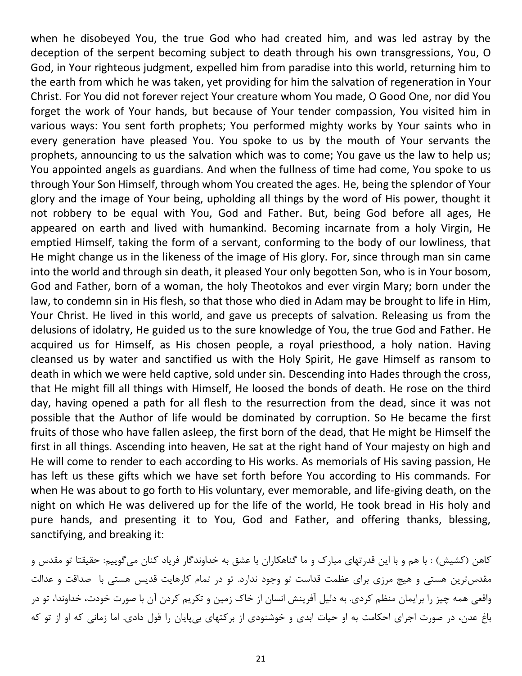when he disobeyed You, the true God who had created him, and was led astray by the deception of the serpent becoming subject to death through his own transgressions, You, O God, in Your righteous judgment, expelled him from paradise into this world, returning him to the earth from which he was taken, yet providing for him the salvation of regeneration in Your Christ. For You did not forever reject Your creature whom You made, O Good One, nor did You forget the work of Your hands, but because of Your tender compassion, You visited him in various ways: You sent forth prophets; You performed mighty works by Your saints who in every generation have pleased You. You spoke to us by the mouth of Your servants the prophets, announcing to us the salvation which was to come; You gave us the law to help us; You appointed angels as guardians. And when the fullness of time had come, You spoke to us through Your Son Himself, through whom You created the ages. He, being the splendor of Your glory and the image of Your being, upholding all things by the word of His power, thought it not robbery to be equal with You, God and Father. But, being God before all ages, He appeared on earth and lived with humankind. Becoming incarnate from a holy Virgin, He emptied Himself, taking the form of a servant, conforming to the body of our lowliness, that He might change us in the likeness of the image of His glory. For, since through man sin came into the world and through sin death, it pleased Your only begotten Son, who is in Your bosom, God and Father, born of a woman, the holy Theotokos and ever virgin Mary; born under the law, to condemn sin in His flesh, so that those who died in Adam may be brought to life in Him, Your Christ. He lived in this world, and gave us precepts of salvation. Releasing us from the delusions of idolatry, He guided us to the sure knowledge of You, the true God and Father. He acquired us for Himself, as His chosen people, a royal priesthood, a holy nation. Having cleansed us by water and sanctified us with the Holy Spirit, He gave Himself as ransom to death in which we were held captive, sold under sin. Descending into Hades through the cross, that He might fill all things with Himself, He loosed the bonds of death. He rose on the third day, having opened a path for all flesh to the resurrection from the dead, since it was not possible that the Author of life would be dominated by corruption. So He became the first fruits of those who have fallen asleep, the first born of the dead, that He might be Himself the first in all things. Ascending into heaven, He sat at the right hand of Your majesty on high and He will come to render to each according to His works. As memorials of His saving passion, He has left us these gifts which we have set forth before You according to His commands. For when He was about to go forth to His voluntary, ever memorable, and life-giving death, on the night on which He was delivered up for the life of the world, He took bread in His holy and pure hands, and presenting it to You, God and Father, and offering thanks, blessing, sanctifying, and breaking it:

کاهن (کشیش) : با هم و با اين قدرتهاي مبارک و ما گناهکاران با عشق به خداوندگار فرياد کنان ميگوييم: حقيقتا تو مقدس و مقدسترين هستي و هیچ مرزي براي عظمت قداست تو وجود ندارد. تو در تمام کارهايت قديس هستي با صداقت و عدالت واقعي همه چیز را برايمان منظم کردي. به دلیل آفرينش انسان از خاك زمین و تكريم کردن آن با صورت خودت، خداوندا، تو در باغ عدن، در صورت اجراي احكامت به او حیات ابدي و خوشنودي از برکتهاي بيپايان را قول دادي. اما زماني که او از تو که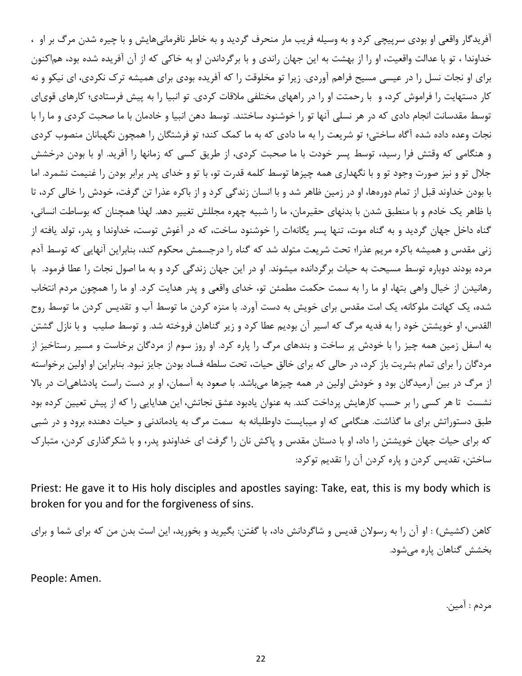آفريدگار واقعي او بودي سرپیچي کرد و به وسیله فريب مار منحرف گرديد و به خاطر نافرمانيهايش و با چیره شدن مرگ بر او ، خداوندا ، تو با عدالت واقعیت، او را از بهشت به اين جهان راندي و با برگرداندن او به خاکي که از آن آفريده شده بود، هماکنون براي او نجات نسل را در عیسي مسیح فراهم آوردي. زيرا تو مخلوقت را که آفريده بودي براي همیشه ترك نكردي، اي نیكو و نه کار دستهايت را فراموش کرد، و با رحمتت او را در راههاي مختلفي مالقات کردي. تو انبیا را به پیش فرستادي؛ کارهاي قوياي توسط مقدسانت انجام دادي که در هر نسلي آنها تو را خوشنود ساختند. توسط دهن انبیا و خادمان با ما صحبت کردي و ما را با نجات وعده داده شده آگاه ساختي؛ تو شريعت را به ما دادي که به ما کمك کند؛ تو فرشتگان را همچون نگهبانان منصوب کردي و هنگامي که وقتش فرا رسید، توسط پسر خودت با ما صحبت کردي، از طريق کسي که زمانها را آفريد. او با بودن درخشش جالل تو و نیز صورت وجود تو و با نگهداري همه چیزها توسط کلمه قدرت تو، با تو و خداي پدر برابر بودن را غنیمت نشمرد. اما با بودن خداوند قبل از تمام دورهها، او در زمین ظاهر شد و با انسان زندگي کرد و از باکره عذرا تن گرفت، خودش را خالي کرد، تا با ظاهر يك خادم و با منطبق شدن با بدنهاي حقیرمان، ما را شبیه چهره مجللش تغییر دهد. لهذا همچنان که بوساطت انساني، گناه داخل جهان گرديد و به گناه موت، تنها پسر يگانهات را خوشنود ساخت، که در آغوش توست، خداوندا و پدر، تولد يافته از زني مقدس و همیشه باکره مريم عذرا؛ تحت شريعت متولد شد که گناه را درجسمش محكوم کند، بنابراين آنهايي که توسط آدم مرده بودند دوباره توسط مسیحت به حیات برگردانده میشوند. او در اين جهان زندگي کرد و به ما اصول نجات را عطا فرمود. با رهانیدن از خیال واهي بتها، او ما را به سمت حكمت مطمئن تو، خداي واقعي و پدر هدايت کرد. او ما را همچون مردم انتخاب شده، يك کهانت ملوکانه، يك امت مقدس براي خويش به دست آورد. با منزه کردن ما توسط آب و تقديس کردن ما توسط روح القدس، او خويشتن خود را به فديه مرگ که اسیر آن بوديم عطا کرد و زير گناهان فروخته شد. و توسط صلیب و با نازل گشتن به اسفل زمین همه چیز را با خودش پر ساخت و بندهاي مرگ را پاره کرد. او روز سوم از مردگان برخاست و مسیر رستاخیز از مردگان را براي تمام بشريت باز کرد، در حالي که براي خالق حیات، تحت سلطه فساد بودن جايز نبود. بنابراين او اولین برخواسته از مرگ در بین آرمیدگان بود و خودش اولین در همه چیزها ميباشد. با صعود به آسمان، او بر دست راست پادشاهيات در باال نشست تا هر کسي را بر حسب کارهايش پرداخت کند. به عنوان يادبود عشق نجاتش، اين هدايايي را که از پیش تعیین کرده بود طبق دستوراتش براي ما گذاشت. هنگامي که او میبايست داوطلبانه به سمت مرگ به يادماندني و حیات دهنده برود و در شبي که براي حیات جهان خويشتن را داد، او با دستان مقدس و پاکش نان را گرفت اي خداوندو پدر، و با شكرگذاري کردن، متبارك ساختن، تقديس کردن و پاره کردن آن را تقديم توکرد:

Priest: He gave it to His holy disciples and apostles saying: Take, eat, this is my body which is broken for you and for the forgiveness of sins.

کاهن (کشیش) : او آن را به رسولان قديس و شاگردانش داد، با گفتن: بگیريد و بخوريد، اين است بدن من که براي شما و براي بخشش گناهان پاره ميشود.

People: Amen.

مردم : آمین.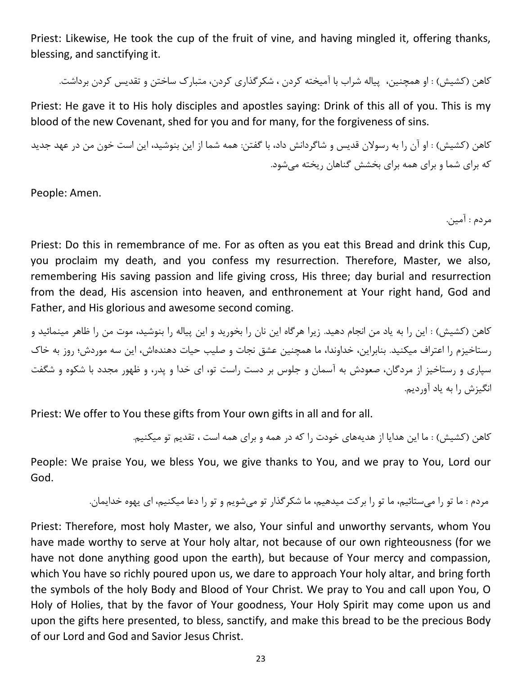Priest: Likewise, He took the cup of the fruit of vine, and having mingled it, offering thanks, blessing, and sanctifying it.

کاهن )کشیش( : او همچنین، پیاله شراب با آمیخته کردن ، شكرگذاري کردن، متبارك ساختن و تقديس کردن برداشت.

Priest: He gave it to His holy disciples and apostles saying: Drink of this all of you. This is my blood of the new Covenant, shed for you and for many, for the forgiveness of sins.

کاهن (کشیش) : او آن را به رسولان قديس و شاگردانش داد، با گفتن: همه شما از اين بنوشيد، اين است خون من در عهد جديد که براي شما و براي همه براي بخشش گناهان ريخته ميشود.

People: Amen.

مردم : آمین.

Priest: Do this in remembrance of me. For as often as you eat this Bread and drink this Cup, you proclaim my death, and you confess my resurrection. Therefore, Master, we also, remembering His saving passion and life giving cross, His three; day burial and resurrection from the dead, His ascension into heaven, and enthronement at Your right hand, God and Father, and His glorious and awesome second coming.

کاهن )کشیش( : اين را به ياد من انجام دهید. زيرا هرگاه اين نان را بخوريد و اين پیاله را بنوشید، موت من را ظاهر مینمائید و رستاخیزم را اعتراف میكنید. بنابراين، خداوندا، ما همچنین عشق نجات و صلیب حیات دهندهاش، اين سه موردش؛ روز به خاك سپاري و رستاخیز از مردگان، صعودش به آسمان و جلوس بر دست راست تو، اي خدا و پدر، و ظهور مجدد با شكوه و شگفت انگیزش را به ياد آورديم.

Priest: We offer to You these gifts from Your own gifts in all and for all.

کاهن )کشیش( : ما اين هدايا از هديههاي خودت را که در همه و براي همه است ، تقديم تو میكنیم.

People: We praise You, we bless You, we give thanks to You, and we pray to You, Lord our God.

مردم : ما تو را ميستائیم، ما تو را برکت میدهیم، ما شكرگذار تو ميشويم و تو را دعا میكنیم، اي يهوه خدايمان.

Priest: Therefore, most holy Master, we also, Your sinful and unworthy servants, whom You have made worthy to serve at Your holy altar, not because of our own righteousness (for we have not done anything good upon the earth), but because of Your mercy and compassion, which You have so richly poured upon us, we dare to approach Your holy altar, and bring forth the symbols of the holy Body and Blood of Your Christ. We pray to You and call upon You, O Holy of Holies, that by the favor of Your goodness, Your Holy Spirit may come upon us and upon the gifts here presented, to bless, sanctify, and make this bread to be the precious Body of our Lord and God and Savior Jesus Christ.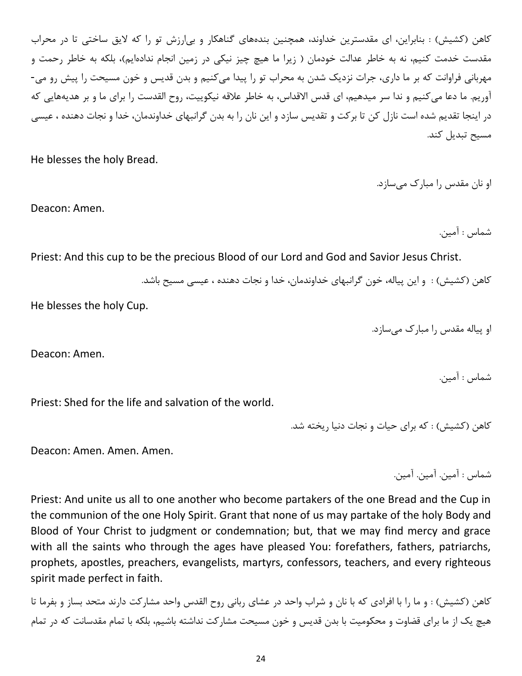کاهن (کشیش) : بنابراین، اي مقدسترين خداوند، همچنین بندههاي گناهکار و بي|رزش تو را که لايق ساختي تا در محراب مقدست خدمت كنیم، نه به خاطر عدالت خودمان ( زيرا ما هیچ چیز نیكي در زمین انجام ندادهایم)، بلكه به خاطر رحمت و مهرباني فراوانت که بر ما داري، جرات نزديك شدن به محراب تو را پیدا ميکنیم و بدن قديس و خون مسیحت را پیش رو مي- آوريم. ما دعا ميکنیم و ندا سر میدهیم، اي قدس االقداس، به خاطر عالقه نیكويیت، روح القدست را براي ما و بر هديههايي که در اينجا تقديم شده است نازل کن تا برکت و تقديس سازد و اين نان را به بدن گرانبهاي خداوندمان، خدا و نجات دهنده ، عیسي مسیح تبديل کند.

He blesses the holy Bread.

او نان مقدس را مبارك ميسازد.

Deacon: Amen.

شماس : آمین.

Priest: And this cup to be the precious Blood of our Lord and God and Savior Jesus Christ.

کاهن )کشیش( : و اين پیاله، خون گرانبهاي خداوندمان، خدا و نجات دهنده ، عیسي مسیح باشد.

He blesses the holy Cup.

او پیاله مقدس را مبارك ميسازد.

Deacon: Amen.

شماس : آمین.

Priest: Shed for the life and salvation of the world.

کاهن )کشیش( : که براي حیات و نجات دنیا ريخته شد.

Deacon: Amen. Amen. Amen.

شماس : آمین. آمین. آمین.

Priest: And unite us all to one another who become partakers of the one Bread and the Cup in the communion of the one Holy Spirit. Grant that none of us may partake of the holy Body and Blood of Your Christ to judgment or condemnation; but, that we may find mercy and grace with all the saints who through the ages have pleased You: forefathers, fathers, patriarchs, prophets, apostles, preachers, evangelists, martyrs, confessors, teachers, and every righteous spirit made perfect in faith.

کاهن (کشیش) : و ما را با افرادي که با نان و شراب واحد در عشاي رباني روح القدس واحد مشارکت دارند متحد بساز و بفرما تا هیچ يك از ما براي قضاوت و محكومیت با بدن قديس و خون مسیحت مشارکت نداشته باشیم، بلكه با تمام مقدسانت که در تمام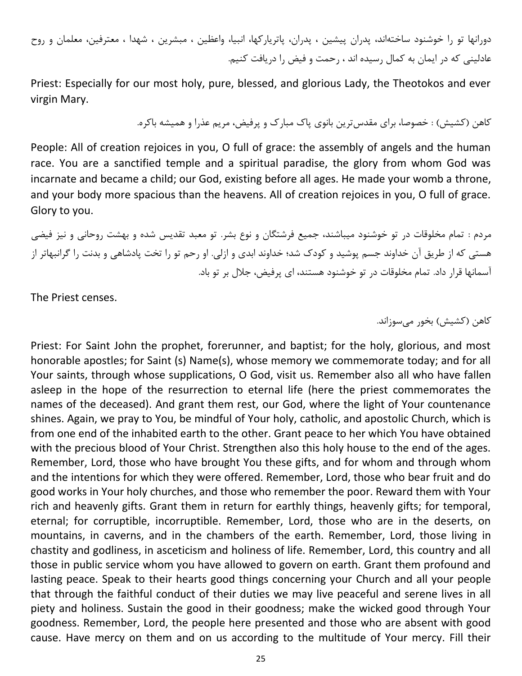دورانها تو را خوشنود ساختهاند، پدران پیشین ، پدران، پاتريارکها، انبیا، واعظین ، مبشرين ، شهدا ، معترفین، معلمان و روح عادلیني که در ايمان به کمال رسیده اند ، رحمت و فیض را دريافت کنیم.

Priest: Especially for our most holy, pure, blessed, and glorious Lady, the Theotokos and ever virgin Mary.

کاهن (کشیش) : خصوصا، براي مقدس ترين بانوي پاک مبارک و پرفیض، مريم عذرا و همیشه باکره.

People: All of creation rejoices in you, O full of grace: the assembly of angels and the human race. You are a sanctified temple and a spiritual paradise, the glory from whom God was incarnate and became a child; our God, existing before all ages. He made your womb a throne, and your body more spacious than the heavens. All of creation rejoices in you, O full of grace. Glory to you.

مردم : تمام مخلوقات در تو خوشنود میباشند، جمیع فرشتگان و نوع بشر. تو معبد تقديس شده و بهشت روحاني و نیز فیضي هستي که از طريق آن خداوند جسم پوشید و کودك شد؛ خداوند ابدي و ازلي. او رحم تو را تخت پادشاهي و بدنت را گرانبهاتر از آسمانها قرار داد. تمام مخلوقات در تو خوشنود هستند، اي پرفیض، جالل بر تو باد.

The Priest censes.

کاهن )کشیش( بخور ميسوزاند.

Priest: For Saint John the prophet, forerunner, and baptist; for the holy, glorious, and most honorable apostles; for Saint (s) Name(s), whose memory we commemorate today; and for all Your saints, through whose supplications, O God, visit us. Remember also all who have fallen asleep in the hope of the resurrection to eternal life (here the priest commemorates the names of the deceased). And grant them rest, our God, where the light of Your countenance shines. Again, we pray to You, be mindful of Your holy, catholic, and apostolic Church, which is from one end of the inhabited earth to the other. Grant peace to her which You have obtained with the precious blood of Your Christ. Strengthen also this holy house to the end of the ages. Remember, Lord, those who have brought You these gifts, and for whom and through whom and the intentions for which they were offered. Remember, Lord, those who bear fruit and do good works in Your holy churches, and those who remember the poor. Reward them with Your rich and heavenly gifts. Grant them in return for earthly things, heavenly gifts; for temporal, eternal; for corruptible, incorruptible. Remember, Lord, those who are in the deserts, on mountains, in caverns, and in the chambers of the earth. Remember, Lord, those living in chastity and godliness, in asceticism and holiness of life. Remember, Lord, this country and all those in public service whom you have allowed to govern on earth. Grant them profound and lasting peace. Speak to their hearts good things concerning your Church and all your people that through the faithful conduct of their duties we may live peaceful and serene lives in all piety and holiness. Sustain the good in their goodness; make the wicked good through Your goodness. Remember, Lord, the people here presented and those who are absent with good cause. Have mercy on them and on us according to the multitude of Your mercy. Fill their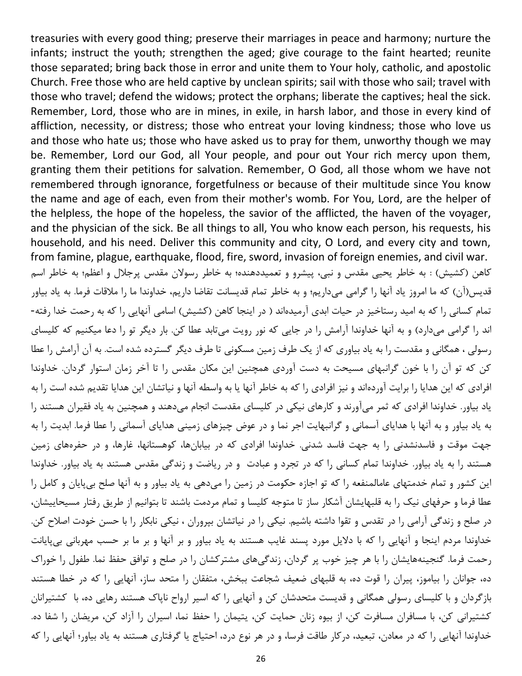treasuries with every good thing; preserve their marriages in peace and harmony; nurture the infants; instruct the youth; strengthen the aged; give courage to the faint hearted; reunite those separated; bring back those in error and unite them to Your holy, catholic, and apostolic Church. Free those who are held captive by unclean spirits; sail with those who sail; travel with those who travel; defend the widows; protect the orphans; liberate the captives; heal the sick. Remember, Lord, those who are in mines, in exile, in harsh labor, and those in every kind of affliction, necessity, or distress; those who entreat your loving kindness; those who love us and those who hate us; those who have asked us to pray for them, unworthy though we may be. Remember, Lord our God, all Your people, and pour out Your rich mercy upon them, granting them their petitions for salvation. Remember, O God, all those whom we have not remembered through ignorance, forgetfulness or because of their multitude since You know the name and age of each, even from their mother's womb. For You, Lord, are the helper of the helpless, the hope of the hopeless, the savior of the afflicted, the haven of the voyager, and the physician of the sick. Be all things to all, You who know each person, his requests, his household, and his need. Deliver this community and city, O Lord, and every city and town, from famine, plague, earthquake, flood, fire, sword, invasion of foreign enemies, and civil war. کاهن (کشیش) : به خاطر يحيي مقدس و نبي، پيشرو و تعميددهنده؛ به خاطر رسولان مقدس پرجلال و اعظم؛ به خاطر اسم قديس(آن) که ما امروز ياد آنها را گرامي مي<اريم؛ و به خاطر تمام قديسانت تقاضا داريم، خداوندا ما را ملاقات فرما. به ياد بياور تمام کساني را که به امید رستاخیز در حیات ابدي آرمیدهاند ( در اينجا کاهن (کشيش) اسامي آنهايي را که به رحمت خدا رفته-اند را گرامي ميدارد) و به آنها خداوندا آرامش را در جايي كه نور رويت ميتابد عطا كن. بار ديگر تو را دعا ميكنيم كه كليساي رسولي ، همگاني و مقدست را به ياد بیاوري که از يك طرف زمین مسكوني تا طرف ديگر گسترده شده است. به آن آرامش را عطا کن که تو آن را با خون گرانبهاي مسیحت به دست آوردي همچنین اين مكان مقدس را تا آخر زمان استوار گردان. خداوندا افرادي که اين هدايا را برايت آوردهاند و نیز افرادي را که به خاطر آنها يا به واسطه آنها و نیاتشان اين هدايا تقديم شده است را به ياد بیاور. خداوندا افرادي که ثمر ميآورند و کارهاي نیكي در کلیساي مقدست انجام ميدهند و همچنین به ياد فقیران هستند را به ياد بیاور و به آنها با هداياي آسماني و گرانبهايت اجر نما و در عوض چیزهاي زمیني هداياي آسماني را عطا فرما. ابديت را به جهت موقت و فاسدنشدني را به جهت فاسد شدني. خداوندا افرادي که در بیابانها، کوهستانها، غارها، و در حفرههاي زمین هستند را به ياد بیاور. خداوندا تمام کساني را که در تجرد و عبادت و در رياضت و زندگي مقدس هستند به ياد بیاور. خداوندا اين کشور و تمام خدمتهاي عامالمنفعه را که تو اجازه حكومت در زمین را ميدهي به ياد بیاور و به آنها صلح بيپايان و کامل را عطا فرما و حرفهاي نیك را به قلبهايشان آشكار ساز تا متوجه کلیسا و تمام مردمت باشند تا بتوانیم از طريق رفتار مسیحايیشان، در صلح و زندگي آرامي را در تقدس و تقوا داشته باشیم. نیكي را در نیاتشان بپروران ، نیكي نابكار را با حسن خودت اصالح کن. خداوندا مردم اينجا و آنهايي را که با داليل مورد پسند غايب هستند به ياد بیاور و بر آنها و بر ما بر حسب مهرباني بيپايانت رحمت فرما. گنجینههايشان را با هر چیز خوب پر گردان، زندگيهاي مشترکشان را در صلح و توافق حفظ نما. طفول را خوراك ده، جوانان را بیاموز، پیران را قوت ده، به قلبهاي ضعیف شجاعت ببخش، متفقان را متحد ساز، آنهايي را که در خطا هستند بازگردان و با کلیساي رسولي همگاني و قديست متحدشان کن و آنهايي را که اسیر ارواح ناپاك هستند رهايي ده، با کشتیرانان کشتیراني کن، با مسافران مسافرت کن، از بیوه زنان حمايت کن، يتیمان را حفظ نما، اسیران را آزاد کن، مريضان را شفا ده. خداوندا آنهايي را که در معادن، تبعید، درکار طاقت فرسا، و در هر نوع درد، احتیاج يا گرفتاري هستند به ياد بیاور؛ آنهايي را که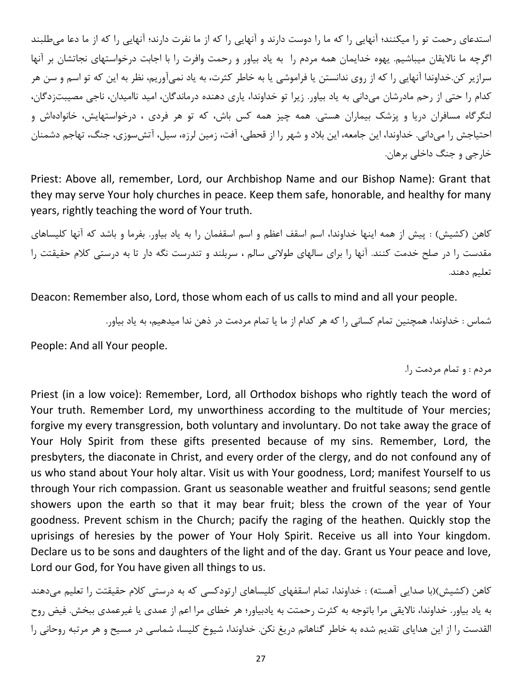استدعاي رحمت تو را میكنند؛ آنهايي را که ما را دوست دارند و آنهايي را که از ما نفرت دارند؛ آنهايي را که از ما دعا ميطلبند اگرچه ما نااليقان میباشیم. يهوه خدايمان همه مردم را به ياد بیاور و رحمت وافرت را با اجابت درخواستهاي نجاتشان بر آنها سرازير کن.خداوندا آنهايي را که از روي ندانستن يا فراموشي يا به خاطر کثرت، به ياد نميآوريم، نظر به اين که تو اسم و سن هر کدام را حتي از رحم مادرشان ميداني به ياد بیاور. زيرا تو خداوندا، ياري دهنده درماندگان، امید ناامیدان، ناجي مصیبتزدگان، لنگرگاه مسافران دريا و پزشك بیماران هستي. همه چیز همه کس باش، که تو هر فردي ، درخواستهايش، خانوادهاش و احتیاجش را ميداني. خداوندا، اين جامعه، اين بالد و شهر را از قحطي، آفت، زمین لرزه، سیل، آتشسوزي، جنگ، تهاجم دشمنان خارجي و جنگ داخلي برهان.

Priest: Above all, remember, Lord, our Archbishop Name and our Bishop Name): Grant that they may serve Your holy churches in peace. Keep them safe, honorable, and healthy for many years, rightly teaching the word of Your truth.

کاهن (کشیش) : پیش از همه اینها خداوندا، اسم اسقف اعظم و اسم اسقفمان را به یاد بیاور. بفرما و باشد که آنها کلیساهای مقدست را در صلح خدمت کنند. آنها را براي سالهاي طوالني سالم ، سربلند و تندرست نگه دار تا به درستي کالم حقیقتت را تعلیم دهند.

Deacon: Remember also, Lord, those whom each of us calls to mind and all your people.

شماس : خداوندا، همچنین تمام کساني را که هر کدام از ما يا تمام مردمت در ذهن ندا میدهیم، به ياد بیاور.

People: And all Your people.

مردم : و تمام مردمت را.

Priest (in a low voice): Remember, Lord, all Orthodox bishops who rightly teach the word of Your truth. Remember Lord, my unworthiness according to the multitude of Your mercies; forgive my every transgression, both voluntary and involuntary. Do not take away the grace of Your Holy Spirit from these gifts presented because of my sins. Remember, Lord, the presbyters, the diaconate in Christ, and every order of the clergy, and do not confound any of us who stand about Your holy altar. Visit us with Your goodness, Lord; manifest Yourself to us through Your rich compassion. Grant us seasonable weather and fruitful seasons; send gentle showers upon the earth so that it may bear fruit; bless the crown of the year of Your goodness. Prevent schism in the Church; pacify the raging of the heathen. Quickly stop the uprisings of heresies by the power of Your Holy Spirit. Receive us all into Your kingdom. Declare us to be sons and daughters of the light and of the day. Grant us Your peace and love, Lord our God, for You have given all things to us.

کاهن (کشیش)(با صدايي آهسته) : خداوندا، تمام اسقفهاي کلیساهاي ارتودکسي که به درستي کلام حقیقتت را تعلیم ميدهند به ياد بیاور. خداوندا، نااليقي مرا باتوجه به کثرت رحمتت به يادبیاور؛ هر خطاي مرا اعم از عمدي يا غیرعمدي ببخش. فیض روح القدست را از اين هداياي تقديم شده به خاطر گناهانم دريغ نكن. خداوندا، شیوخ کلیسا، شماسي در مسیح و هر مرتبه روحاني را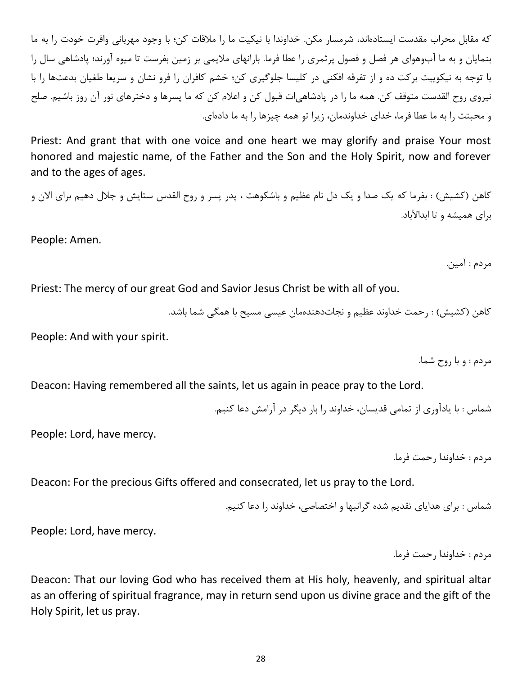که مقابل محراب مقدست ايستادهاند، شرمسار مكن. خداوندا با نیكیت ما را مالقات کن؛ با وجود مهرباني وافرت خودت را به ما بنمايان و به ما آبوهواي هر فصل و فصول پرثمري را عطا فرما. بارانهاي ماليمي بر زمین بفرست تا میوه آورند؛ پادشاهي سال را با توجه به نیكويیت برکت ده و از تفرقه افكني در کلیسا جلوگیري کن؛ خشم کافران را فرو نشان و سريعا طغیان بدعتها را با نیروي روح القدست متوقف کن. همه ما را در پادشاهيات قبول کن و اعالم کن که ما پسرها و دخترهاي نور آن روز باشیم. صلح و محبتت را به ما عطا فرما، خداي خداوندمان، زيرا تو همه چیزها را به ما دادهاي.

Priest: And grant that with one voice and one heart we may glorify and praise Your most honored and majestic name, of the Father and the Son and the Holy Spirit, now and forever and to the ages of ages.

كاهن (كشيش) : بفرما كه يك صدا و يك دل نام عظيم و باشكوهت ، پدر پسر و روح القدس ستايش و جلال دهيم براي الان و برای همیشه و تا ابدالآباد.

People: Amen.

مردم : آمین.

Priest: The mercy of our great God and Savior Jesus Christ be with all of you.

کاهن (کشیش) : رحمت خداوند عظیم و نجاتدهندهمان عیسی مسیح با همگی شما باشد.

People: And with your spirit.

مردم : و با روح شما.

Deacon: Having remembered all the saints, let us again in peace pray to the Lord.

شماس : با يادآوري از تمامي قديسان، خداوند را بار ديگر در آرامش دعا کنیم.

People: Lord, have mercy.

مردم : خداوندا رحمت فرما.

Deacon: For the precious Gifts offered and consecrated, let us pray to the Lord.

شماس : براي هداياي تقديم شده گرانبها و اختصاصي، خداوند را دعا کنیم.

People: Lord, have mercy.

مردم : خداوندا رحمت فرما.

Deacon: That our loving God who has received them at His holy, heavenly, and spiritual altar as an offering of spiritual fragrance, may in return send upon us divine grace and the gift of the Holy Spirit, let us pray.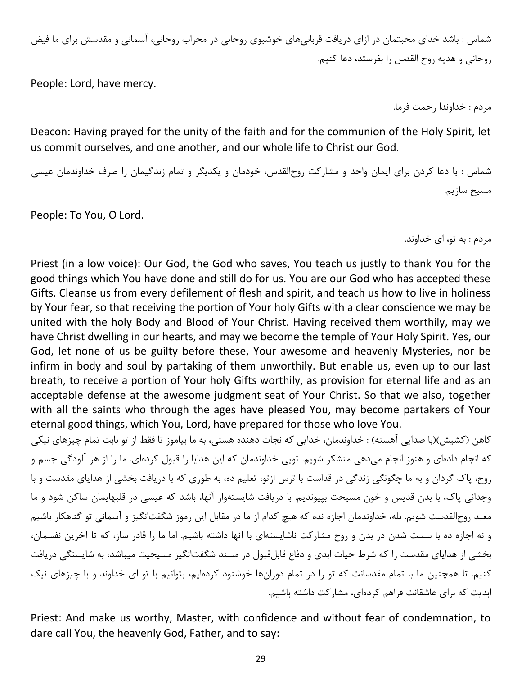شماس : باشد خداي محبتمان در ازاي دريافت قربانيهاي خوشبوي روحاني در محراب روحاني، آسماني و مقدسش براي ما فیض روحاني و هديه روح القدس را بفرستد، دعا کنیم.

People: Lord, have mercy.

مردم : خداوندا رحمت فرما.

Deacon: Having prayed for the unity of the faith and for the communion of the Holy Spirit, let us commit ourselves, and one another, and our whole life to Christ our God.

شماس : با دعا کردن براي ايمان واحد و مشارکت روحالقدس، خودمان و يكديگر و تمام زندگیمان را صرف خداوندمان عیسي مسیح سازيم.

People: To You, O Lord.

مردم : به تو، اي خداوند.

Priest (in a low voice): Our God, the God who saves, You teach us justly to thank You for the good things which You have done and still do for us. You are our God who has accepted these Gifts. Cleanse us from every defilement of flesh and spirit, and teach us how to live in holiness by Your fear, so that receiving the portion of Your holy Gifts with a clear conscience we may be united with the holy Body and Blood of Your Christ. Having received them worthily, may we have Christ dwelling in our hearts, and may we become the temple of Your Holy Spirit. Yes, our God, let none of us be guilty before these, Your awesome and heavenly Mysteries, nor be infirm in body and soul by partaking of them unworthily. But enable us, even up to our last breath, to receive a portion of Your holy Gifts worthily, as provision for eternal life and as an acceptable defense at the awesome judgment seat of Your Christ. So that we also, together with all the saints who through the ages have pleased You, may become partakers of Your eternal good things, which You, Lord, have prepared for those who love You.

كاهن (كشيش)(با صدايي آهسته) : خداوندمان، خدايي كه نجات دهنده هستي، به ما بياموز تا فقط از تو بابت تمام چيزهاي نيكي که انجام دادهاي و هنوز انجام ميدهي متشكر شويم. تويي خداوندمان که اين هدايا را قبول کردهاي. ما را از هر آلودگي جسم و روح، پاك گردان و به ما چگونگي زندگي در قداست با ترس ازتو، تعلیم ده، به طوري که با دريافت بخشي از هداياي مقدست و با وجداني پاك، با بدن قديس و خون مسیحت بپیونديم. با دريافت شايستهوار آنها، باشد که عیسي در قلبهايمان ساکن شود و ما معبد روحالقدست شويم. بله، خداوندمان اجازه نده که هیچ کدام از ما در مقابل اين رموز شگفتانگیز و آسماني تو گناهكار باشیم و نه اجازه ده با سست شدن در بدن و روح مشارکت ناشايستهاي با آنها داشته باشیم. اما ما را قادر ساز، که تا آخرين نفسمان، بخشي از هداياي مقدست را که شرط حیات ابدي و دفاع قابلقبول در مسند شگفتانگیز مسیحیت میباشد، به شايستگي دريافت کنیم. تا همچنین ما با تمام مقدسانت که تو را در تمام دورانها خوشنود کردهايم، بتوانیم با تو اي خداوند و با چیزهاي نیك ابديت که براي عاشقانت فراهم کردهاي، مشارکت داشته باشیم.

Priest: And make us worthy, Master, with confidence and without fear of condemnation, to dare call You, the heavenly God, Father, and to say: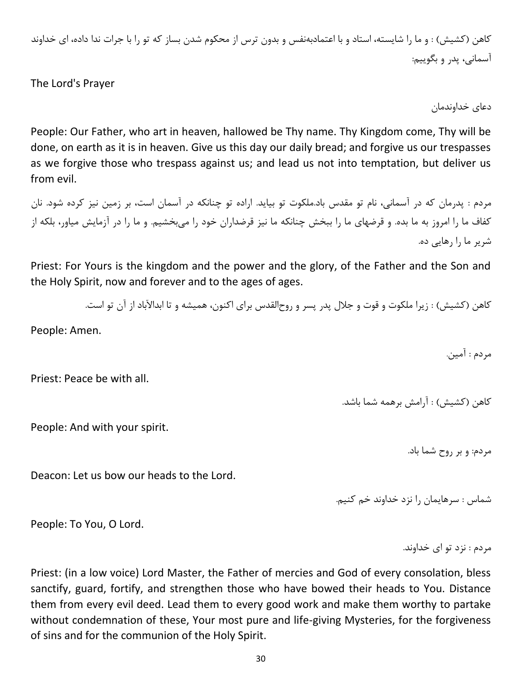کاهن (کشیش) : و ما را شايسته، استاد و با اعتمادبهنفس و بدون ترس از محکوم شدن بساز که تو را با جرات ندا داده، اي خداوند آسماني، پدر و بگويیم:

The Lord's Prayer

دعاي خداوندمان

People: Our Father, who art in heaven, hallowed be Thy name. Thy Kingdom come, Thy will be done, on earth as it is in heaven. Give us this day our daily bread; and forgive us our trespasses as we forgive those who trespass against us; and lead us not into temptation, but deliver us from evil.

مردم : پدرمان که در آسماني، نام تو مقدس باد.ملكوت تو بیايد. اراده تو چنانكه در آسمان است، بر زمین نیز کرده شود. نان کفاف ما را امروز به ما بده. و قرضهاي ما را ببخش چنانكه ما نیز قرضداران خود را ميبخشیم. و ما را در آزمايش میاور، بلكه از شرير ما را رهايي ده.

Priest: For Yours is the kingdom and the power and the glory, of the Father and the Son and the Holy Spirit, now and forever and to the ages of ages.

کاهن (کشیش) : زیرا ملکوت و قوت و جلال پدر پسر و روحالقدس براي اکنون، همیشه و تا ابدالآباد از آن تو است.

People: Amen.

مردم : آمین.

Priest: Peace be with all.

کاهن )کشیش( : آرامش برهمه شما باشد.

People: And with your spirit.

مردم: و بر روح شما باد.

Deacon: Let us bow our heads to the Lord.

شماس : سرهايمان را نزد خداوند خم کنیم.

People: To You, O Lord.

مردم : نزد تو اي خداوند.

Priest: (in a low voice) Lord Master, the Father of mercies and God of every consolation, bless sanctify, guard, fortify, and strengthen those who have bowed their heads to You. Distance them from every evil deed. Lead them to every good work and make them worthy to partake without condemnation of these, Your most pure and life-giving Mysteries, for the forgiveness of sins and for the communion of the Holy Spirit.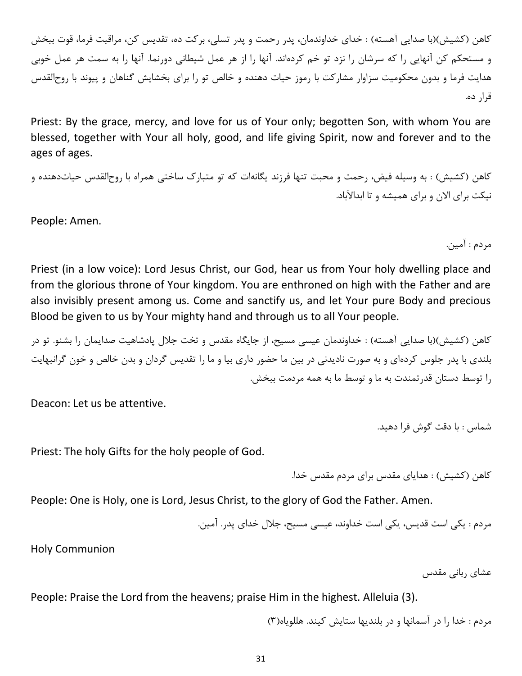كاهن (كشيش)(با صدايي آهسته) : خداي خداوندمان، پدر رحمت و پدر تسلي، بركت ده، تقديس كن، مراقبت فرما، قوت ببخش و مستحكم کن آنهايي را که سرشان را نزد تو خم کردهاند. آنها را از هر عمل شیطاني دورنما. آنها را به سمت هر عمل خوبي هدايت فرما و بدون محكومیت سزاوار مشارکت با رموز حیات دهنده و خالص تو را براي بخشايش گناهان و پیوند با روحالقدس قرار ده.

Priest: By the grace, mercy, and love for us of Your only; begotten Son, with whom You are blessed, together with Your all holy, good, and life giving Spirit, now and forever and to the ages of ages.

کاهن (کشیش) : به وسیله فیض، رحمت و محبت تنها فرزند يگانهات که تو متبارک ساختي همراه با روح|لقدس حیاتدهنده و نیكت برای الان و برای همیشه و تا ابدالآباد.

People: Amen.

مردم : آمین.

Priest (in a low voice): Lord Jesus Christ, our God, hear us from Your holy dwelling place and from the glorious throne of Your kingdom. You are enthroned on high with the Father and are also invisibly present among us. Come and sanctify us, and let Your pure Body and precious Blood be given to us by Your mighty hand and through us to all Your people.

کاهن (کشیش)(با صدايي آهسته) : خداوندمان عیسی مسیح، از جايگاه مقدس و تخت جلال پادشاهیت صدايمان را بشنو. تو در بلندي با پدر جلوس کردهاي و به صورت ناديدني در بین ما حضور داري بیا و ما را تقديس گردان و بدن خالص و خون گرانبهايت را توسط دستان قدرتمندت به ما و توسط ما به همه مردمت ببخش.

Deacon: Let us be attentive.

شماس : با دقت گوش فرا دهید.

Priest: The holy Gifts for the holy people of God.

کاهن )کشیش( : هداياي مقدس براي مردم مقدس خدا.

People: One is Holy, one is Lord, Jesus Christ, to the glory of God the Father. Amen.

مردم : يكي است قديس، يكي است خداوند، عیسي مسیح، جالل خداي پدر. آمین.

Holy Communion

عشاي رباني مقدس

People: Praise the Lord from the heavens; praise Him in the highest. Alleluia (3).

مردم : خدا را در آسمانها و در بلنديها ستايش کیند. هللوياه)3(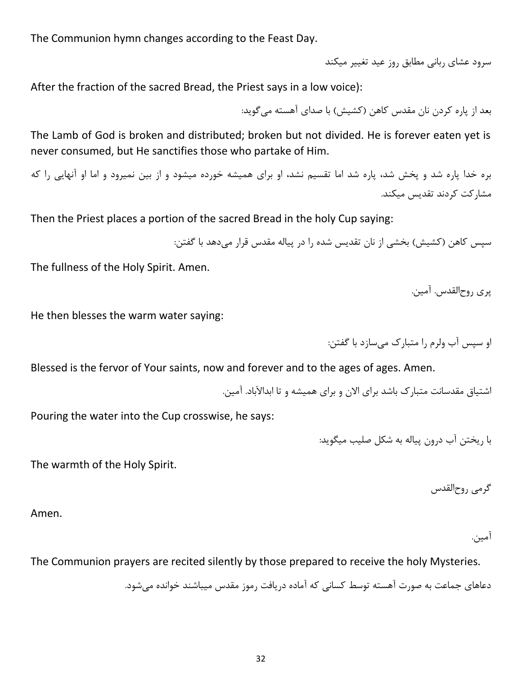The Communion hymn changes according to the Feast Day.

سرود عشاي رباني مطابق روز عید تغییر میكند

After the fraction of the sacred Bread, the Priest says in a low voice):

بعد از پاره کردن نان مقدس کاهن )کشیش( با صداي آهسته ميگويد:

The Lamb of God is broken and distributed; broken but not divided. He is forever eaten yet is never consumed, but He sanctifies those who partake of Him.

بره خدا پاره شد و پخش شد، پاره شد اما تقسیم نشد، او براي همیشه خورده میشود و از بین نمیرود و اما او آنهايي را که مشارکت کردند تقديس میكند.

Then the Priest places a portion of the sacred Bread in the holy Cup saying:

سپس کاهن (کشیش) بخشي از نان تقديس شده را در پیاله مقدس قرار مي دهد با گفتن:

The fullness of the Holy Spirit. Amen.

پري روحالقدس. آمین.

He then blesses the warm water saying:

او سپس آب ولرم را متبارك ميسازد با گفتن:

Blessed is the fervor of Your saints, now and forever and to the ages of ages. Amen.

اشتیاق مقدسانت متبارك باشد براي االن و براي همیشه و تا ابداآلباد. آمین.

Pouring the water into the Cup crosswise, he says:

با ريختن آب درون پیاله به شكل صلیب میگويد:

The warmth of the Holy Spirit.

گرمي روحالقدس

Amen.

آمین.

The Communion prayers are recited silently by those prepared to receive the holy Mysteries.

دعاهاي جماعت به صورت آهسته توسط کساني که آماده دريافت رموز مقدس میباشند خوانده ميشود.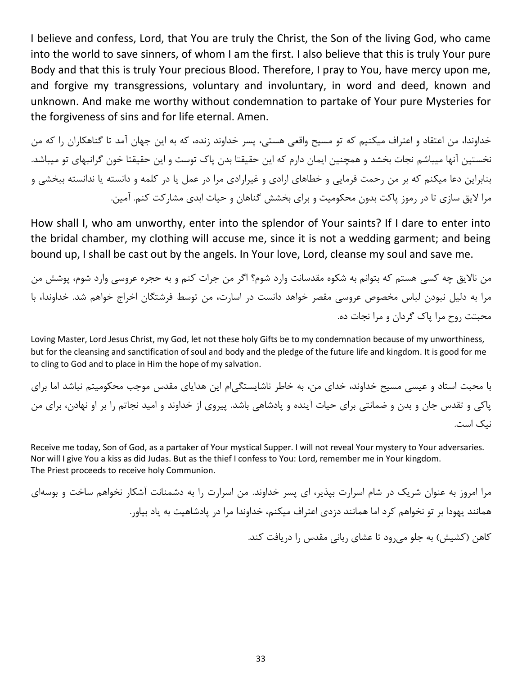I believe and confess, Lord, that You are truly the Christ, the Son of the living God, who came into the world to save sinners, of whom I am the first. I also believe that this is truly Your pure Body and that this is truly Your precious Blood. Therefore, I pray to You, have mercy upon me, and forgive my transgressions, voluntary and involuntary, in word and deed, known and unknown. And make me worthy without condemnation to partake of Your pure Mysteries for the forgiveness of sins and for life eternal. Amen.

خداوندا، من اعتقاد و اعتراف میكنیم که تو مسیح واقعي هستي، پسر خداوند زنده، که به اين جهان آمد تا گناهكاران را که من نخستین آنها میباشم نجات بخشد و همچنین ايمان دارم که اين حقیقتا بدن پاك توست و اين حقیقتا خون گرانبهاي تو میباشد. بنابراين دعا میكنم که بر من رحمت فرمايي و خطاهاي ارادي و غیرارادي مرا در عمل يا در کلمه و دانسته يا ندانسته ببخشي و مرا اليق سازي تا در رموز پاکت بدون محكومیت و براي بخشش گناهان و حیات ابدي مشارکت کنم. آمین.

How shall I, who am unworthy, enter into the splendor of Your saints? If I dare to enter into the bridal chamber, my clothing will accuse me, since it is not a wedding garment; and being bound up, I shall be cast out by the angels. In Your love, Lord, cleanse my soul and save me.

من نااليق چه کسي هستم که بتوانم به شكوه مقدسانت وارد شوم؟ اگر من جرات کنم و به حجره عروسي وارد شوم، پوشش من مرا به دلیل نبودن لباس مخصوص عروسي مقصر خواهد دانست در اسارت، من توسط فرشتگان اخراج خواهم شد. خداوندا، با محبتت روح مرا پاك گردان و مرا نجات ده.

Loving Master, Lord Jesus Christ, my God, let not these holy Gifts be to my condemnation because of my unworthiness, but for the cleansing and sanctification of soul and body and the pledge of the future life and kingdom. It is good for me to cling to God and to place in Him the hope of my salvation.

با محبت استاد و عیسي مسیح خداوند، خداي من، به خاطر ناشايستگيام اين هداياي مقدس موجب محكومیتم نباشد اما براي پاکي و تقدس جان و بدن و ضمانتي براي حیات آينده و پادشاهي باشد. پیروي از خداوند و امید نجاتم را بر او نهادن، براي من نیك است.

Receive me today, Son of God, as a partaker of Your mystical Supper. I will not reveal Your mystery to Your adversaries. Nor will I give You a kiss as did Judas. But as the thief I confess to You: Lord, remember me in Your kingdom. The Priest proceeds to receive holy Communion.

مرا امروز به عنوان شريك در شام اسرارت بپذير، اي پسر خداوند. من اسرارت را به دشمنانت آشكار نخواهم ساخت و بوسهاي همانند يهودا بر تو نخواهم کرد اما همانند دزدي اعتراف میكنم، خداوندا مرا در پادشاهیت به ياد بیاور. کاهن )کشیش( به جلو ميرود تا عشاي رباني مقدس را دريافت کند.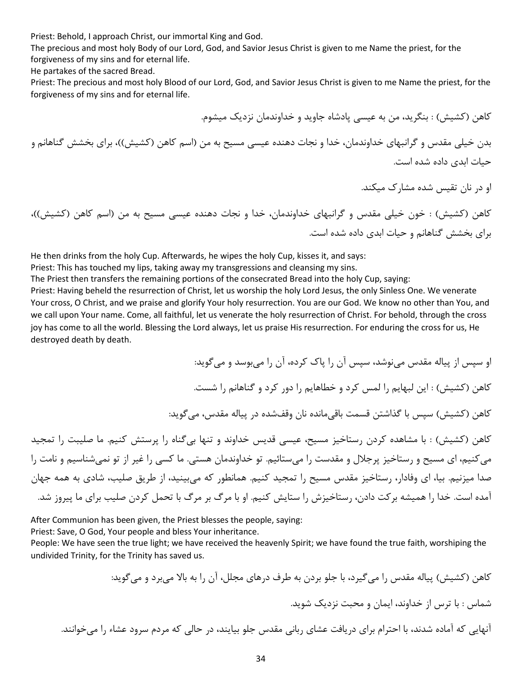Priest: Behold, I approach Christ, our immortal King and God.

The precious and most holy Body of our Lord, God, and Savior Jesus Christ is given to me Name the priest, for the forgiveness of my sins and for eternal life.

He partakes of the sacred Bread.

Priest: The precious and most holy Blood of our Lord, God, and Savior Jesus Christ is given to me Name the priest, for the forgiveness of my sins and for eternal life.

کاهن )کشیش( : بنگريد، من به عیسي پادشاه جاويد و خداوندمان نزديك میشوم.

بدن خیلی مقدس و گرانبهای خداوندمان، خدا و نجات دهنده عیسی مسیح به من (اسم کاهن (کشیش))، برای بخشش گناهانم و حیات ابدي داده شده است.

او در نان تقیس شده مشارك میكند.

کاهن (کشیش) : خون خیلی مقدس و گرانبهای خداوندمان، خدا و نجات دهنده عیسی مسیح به من (اسم کاهن (کشیش))، براي بخشش گناهانم و حیات ابدي داده شده است.

He then drinks from the holy Cup. Afterwards, he wipes the holy Cup, kisses it, and says:

Priest: This has touched my lips, taking away my transgressions and cleansing my sins.

The Priest then transfers the remaining portions of the consecrated Bread into the holy Cup, saying:

Priest: Having beheld the resurrection of Christ, let us worship the holy Lord Jesus, the only Sinless One. We venerate Your cross, O Christ, and we praise and glorify Your holy resurrection. You are our God. We know no other than You, and we call upon Your name. Come, all faithful, let us venerate the holy resurrection of Christ. For behold, through the cross joy has come to all the world. Blessing the Lord always, let us praise His resurrection. For enduring the cross for us, He destroyed death by death.

> او سپس از پیاله مقدس مينوشد، سپس آن را پاك کرده، آن را ميبوسد و ميگويد: کاهن (کشیش) : اين لبهايم را لمس کرد و خطاهايم را دور کرد و گناهانم را شست.

کاهن (کشیش) سپس با گذاشتن قسمت باقي،مانده نان وقفشده در پیاله مقدس، مي گويد:

کاهن (کشیش) : با مشاهده کردن رستاخیز مسیح، عیسی قدیس خداوند و تنها بی گناه را پرستش کنیم. ما صلیبت را تمجید ميکنیم، اي مسیح و رستاخیز پرجالل و مقدست را ميستائیم. تو خداوندمان هستي. ما کسي را غیر از تو نميشناسیم و نامت را صدا میزنیم. بیا، اي وفادار، رستاخیز مقدس مسیح را تمجید کنیم. همانطور که ميبینید، از طريق صلیب، شادي به همه جهان آمده است. خدا را همیشه برکت دادن، رستاخیزش را ستايش کنیم. او با مرگ بر مرگ با تحمل کردن صلیب براي ما پیروز شد.

After Communion has been given, the Priest blesses the people, saying:

Priest: Save, O God, Your people and bless Your inheritance.

People: We have seen the true light; we have received the heavenly Spirit; we have found the true faith, worshiping the undivided Trinity, for the Trinity has saved us.

کاهن (کشیش) پیاله مقدس را ميگیرد، با جلو بردن به طرف درهاي مجلل، آن را به بالا ميبرد و ميگويد: شماس : با ترس از خداوند، ايمان و محبت نزديك شويد. آنهايي که آماده شدند، با احترام براي دريافت عشاي رباني مقدس جلو بیايند، در حالي که مردم سرود عشاء را ميخوانند.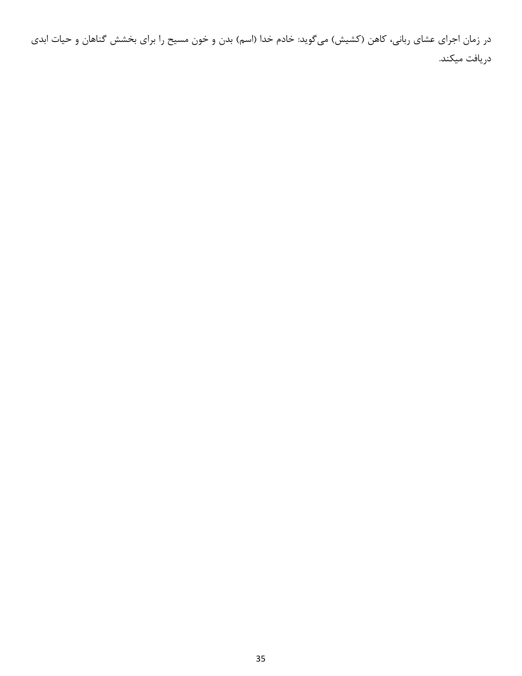در زمان اجراي عشاي رباني، کاهن (کشيش) ميگويد: خادم خدا (اسم) بدن و خون مسيح را براي بخشش گناهان و حيات ابدي دريافت میكند.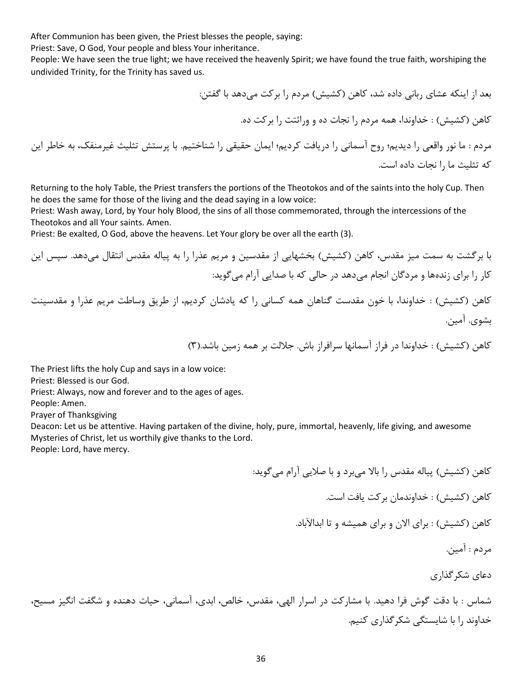After Communion has been given, the Priest blesses the people, saying:

Priest: Save, O God, Your people and bless Your inheritance.

People: We have seen the true light; we have received the heavenly Spirit; we have found the true faith, worshiping the undivided Trinity, for the Trinity has saved us.

> بعد از اينكه عشاي رباني داده شد، كاهن (كشيش) مردم را بركت مي دهد با گفتن: کاهن (کشیش) : خداوندا، همه مردم را نجات ده و وراثتت را برکت ده.

مردم : ما نور واقعي را ديديم؛ روح آسماني را دريافت کرديم؛ ايمان حقیقي را شناختیم. با پرستش تثلیث غیرمنفك، به خاطر اين که تثلیث ما را نجات داده است.

Returning to the holy Table, the Priest transfers the portions of the Theotokos and of the saints into the holy Cup. Then he does the same for those of the living and the dead saying in a low voice:

Priest: Wash away, Lord, by Your holy Blood, the sins of all those commemorated, through the intercessions of the Theotokos and all Your saints. Amen.

Priest: Be exalted, O God, above the heavens. Let Your glory be over all the earth (3).

با برگشت به سمت میز مقدس، کاهن (کشیش) بخشهایی از مقدسین و مریم عذرا را به پیاله مقدس انتقال می۵هد. سپس این کار را براي زندهها و مردگان انجام ميدهد در حالي که با صدايي آرام ميگويد:

کاهن )کشیش( : خداوندا، با خون مقدست گناهان همه کساني را که يادشان کرديم، از طريق وساطت مريم عذرا و مقدسینت بشوي. آمین.

کاهن )کشیش( : خداوندا در فراز آسمانها سرافراز باش. جاللت بر همه زمین باشد.)3(

The Priest lifts the holy Cup and says in a low voice:

Priest: Blessed is our God.

Priest: Always, now and forever and to the ages of ages.

People: Amen.

Prayer of Thanksgiving

Deacon: Let us be attentive. Having partaken of the divine, holy, pure, immortal, heavenly, life giving, and awesome Mysteries of Christ, let us worthily give thanks to the Lord. People: Lord, have mercy.

> کاهن (کشیش) پیاله مقدس را بالا ميبرد و با صلايي آرام ميگويد: کاهن )کشیش( : خداوندمان برکت يافت است. کاهن (کشیش) : براي الان و براي همیشه و تا ابدالآباد. مردم : آمین. دعاي شكرگذاري

شماس : با دقت گوش فرا دهید. با مشارکت در اسرار الهي، مقدس، خالص، ابدي، آسماني، حیات دهنده و شگفت انگیز مسیح، خداوند را با شايستگي شكرگذاري کنیم.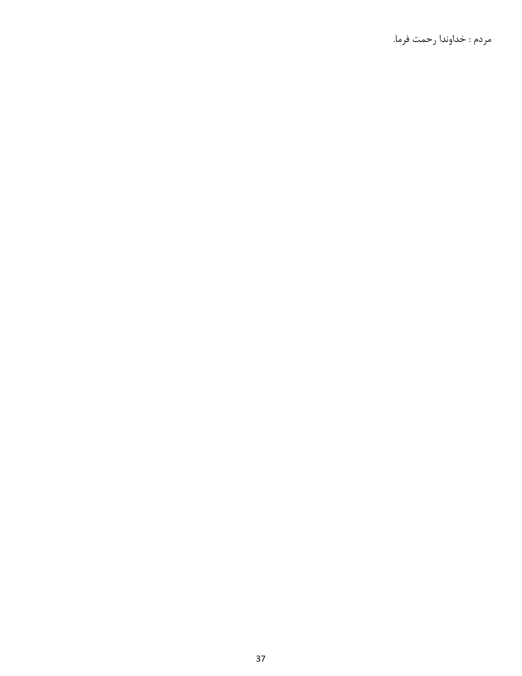## مردم : خداوندا رحمت فرما.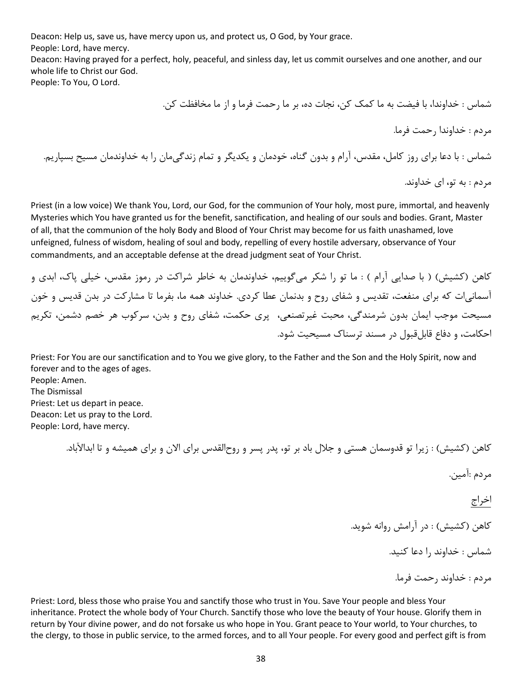Deacon: Help us, save us, have mercy upon us, and protect us, O God, by Your grace.

People: Lord, have mercy.

Deacon: Having prayed for a perfect, holy, peaceful, and sinless day, let us commit ourselves and one another, and our whole life to Christ our God.

People: To You, O Lord.

شماس : خداوندا، با فیضت به ما کمك کن، نجات ده، بر ما رحمت فرما و از ما مخافظت کن. مردم : خداوندا رحمت فرما. شماس : با دعا براي روز کامل، مقدس، آرام و بدون گناه، خودمان و يكديگر و تمام زندگيمان را به خداوندمان مسیح بسپاريم. مردم : به تو، اي خداوند.

Priest (in a low voice) We thank You, Lord, our God, for the communion of Your holy, most pure, immortal, and heavenly Mysteries which You have granted us for the benefit, sanctification, and healing of our souls and bodies. Grant, Master of all, that the communion of the holy Body and Blood of Your Christ may become for us faith unashamed, love unfeigned, fulness of wisdom, healing of soul and body, repelling of every hostile adversary, observance of Your commandments, and an acceptable defense at the dread judgment seat of Your Christ.

کاهن )کشیش( ) با صدايي آرام ( : ما تو را شكر ميگويیم، خداوندمان به خاطر شراکت در رموز مقدس، خیلي پاك، ابدي و آسمانيات که براي منفعت، تقديس و شفاي روح و بدنمان عطا کردي. خداوند همه ما، بفرما تا مشارکت در بدن قديس و خون مسیحت موجب ايمان بدون شرمندگي، محبت غیرتصنعي، پري حكمت، شفاي روح و بدن، سرکوب هر خصم دشمن، تكريم احكامت، و دفاع قابلقبول در مسند ترسناك مسیحیت شود.

Priest: For You are our sanctification and to You we give glory, to the Father and the Son and the Holy Spirit, now and forever and to the ages of ages.

People: Amen. The Dismissal Priest: Let us depart in peace. Deacon: Let us pray to the Lord. People: Lord, have mercy.

> کاهن (کشیش) : زيرا تو قدوسمان هستي و جلال باد بر تو، پدر پسر و روحالقدس براي الان و براي همیشه و تا ابدالآباد. مردم :آمین. اخراج

> > کاهن )کشیش( : در آرامش روانه شويد.

شماس : خداوند را دعا کنید.

مردم : خداوند رحمت فرما.

Priest: Lord, bless those who praise You and sanctify those who trust in You. Save Your people and bless Your inheritance. Protect the whole body of Your Church. Sanctify those who love the beauty of Your house. Glorify them in return by Your divine power, and do not forsake us who hope in You. Grant peace to Your world, to Your churches, to the clergy, to those in public service, to the armed forces, and to all Your people. For every good and perfect gift is from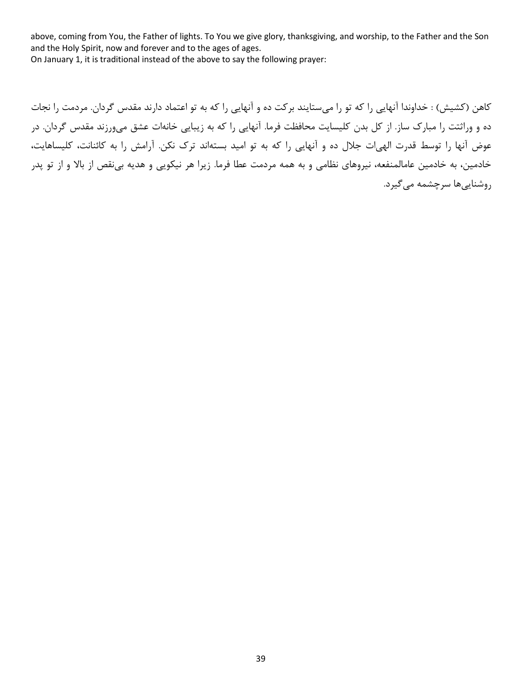above, coming from You, the Father of lights. To You we give glory, thanksgiving, and worship, to the Father and the Son and the Holy Spirit, now and forever and to the ages of ages.

On January 1, it is traditional instead of the above to say the following prayer:

کاهن (کشیش) : خداوندا آنهايي را که تو را ميستايند برکت ده و آنهايي را که به تو اعتماد دارند مقدس گردان. مردمت را نجات ده و وراثتت را مبارك ساز. از کل بدن کلیسايت محافظت فرما. آنهايي را که به زيبايي خانهات عشق ميورزند مقدس گردان. در عوض آنها را توسط قدرت الهيات جالل ده و آنهايي را که به تو امید بستهاند ترك نكن. آرامش را به کائنانت، کلیساهايت، خادمین، به خادمین عامالمنفعه، نیروهاي نظامي و به همه مردمت عطا فرما. زيرا هر نیكويي و هديه بينقص از باال و از تو پدر روشناييها سرچشمه ميگیرد.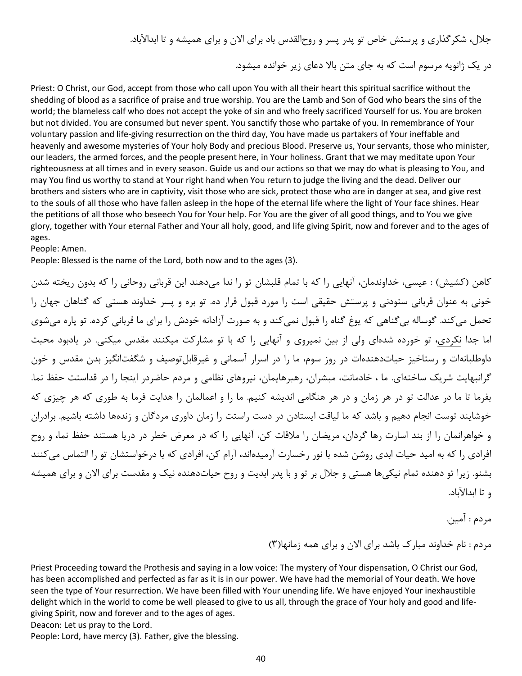جلال، شكرگذاري و پرستش خاص تو پدر پسر و روحالقدس باد براي الان و براي همیشه و تا ابدالآباد. در يك ژانويه مرسوم است که به جاي متن باال دعاي زير خوانده میشود.

Priest: O Christ, our God, accept from those who call upon You with all their heart this spiritual sacrifice without the shedding of blood as a sacrifice of praise and true worship. You are the Lamb and Son of God who bears the sins of the world; the blameless calf who does not accept the yoke of sin and who freely sacrificed Yourself for us. You are broken but not divided. You are consumed but never spent. You sanctify those who partake of you. In remembrance of Your voluntary passion and life-giving resurrection on the third day, You have made us partakers of Your ineffable and heavenly and awesome mysteries of Your holy Body and precious Blood. Preserve us, Your servants, those who minister, our leaders, the armed forces, and the people present here, in Your holiness. Grant that we may meditate upon Your righteousness at all times and in every season. Guide us and our actions so that we may do what is pleasing to You, and may You find us worthy to stand at Your right hand when You return to judge the living and the dead. Deliver our brothers and sisters who are in captivity, visit those who are sick, protect those who are in danger at sea, and give rest to the souls of all those who have fallen asleep in the hope of the eternal life where the light of Your face shines. Hear the petitions of all those who beseech You for Your help. For You are the giver of all good things, and to You we give glory, together with Your eternal Father and Your all holy, good, and life giving Spirit, now and forever and to the ages of ages.

### People: Amen.

People: Blessed is the name of the Lord, both now and to the ages (3).

کاهن (کشیش) : عیسی، خداوندمان، آنهایی را که با تمام قلبشان تو را ندا میدهند این قربانی روحانی را که بدون ریخته شدن خوني به عنوان قرباني ستودني و پرستش حقیقي است را مورد قبول قرار ده. تو بره و پسر خداوند هستي که گناهان جهان را تحمل مي کند. گوساله بي گناهي که يوغ گناه را قبول نمي کند و به صورت آزادانه خودش را براي ما قرباني کرده. تو پاره مي شوي اما جدا نكردي، تو خورده شدهاي ولي از بین نمیروي و آنهايي را که با تو مشارکت میكنند مقدس میكني. در يادبود محبت داوطلبانهات و رستاخیز حیاتدهندهات در روز سوم، ما را در اسرار آسماني و غیرقابلتوصیف و شگفتانگیز بدن مقدس و خون گرانبهايت شريك ساختهاي. ما ، خادمانت، مبشران، رهبرهايمان، نیروهاي نظامي و مردم حاضردر اينجا را در قداستت حفظ نما. بفرما تا ما در عدالت تو در هر زمان و در هر هنگامي انديشه کنیم. ما را و اعمالمان را هدايت فرما به طوري که هر چیزي که خوشايند توست انجام دهیم و باشد که ما لیاقت ايستادن در دست راستت را زمان داوري مردگان و زندهها داشته باشیم. برادران و خواهرانمان را از بند اسارت رها گردان، مريضان را مالقات کن، آنهايي را که در معرض خطر در دريا هستند حفظ نما، و روح افرادي را که به امید حیات ابدي روشن شده با نور رخسارت آرمیدهاند، آرام کن، افرادي که با درخواستشان تو را التماس ميکنند بشنو. زيرا تو دهنده تمام نیكيها هستي و جالل بر تو و با پدر ابديت و روح حیاتدهنده نیك و مقدست براي االن و براي همیشه و تا ابداآلباد.

مردم : آمین.

مردم : نام خداوند مبارك باشد براي االن و براي همه زمانها)3(

Priest Proceeding toward the Prothesis and saying in a low voice: The mystery of Your dispensation, O Christ our God, has been accomplished and perfected as far as it is in our power. We have had the memorial of Your death. We hove seen the type of Your resurrection. We have been filled with Your unending life. We have enjoyed Your inexhaustible delight which in the world to come be well pleased to give to us all, through the grace of Your holy and good and lifegiving Spirit, now and forever and to the ages of ages.

Deacon: Let us pray to the Lord.

People: Lord, have mercy (3). Father, give the blessing.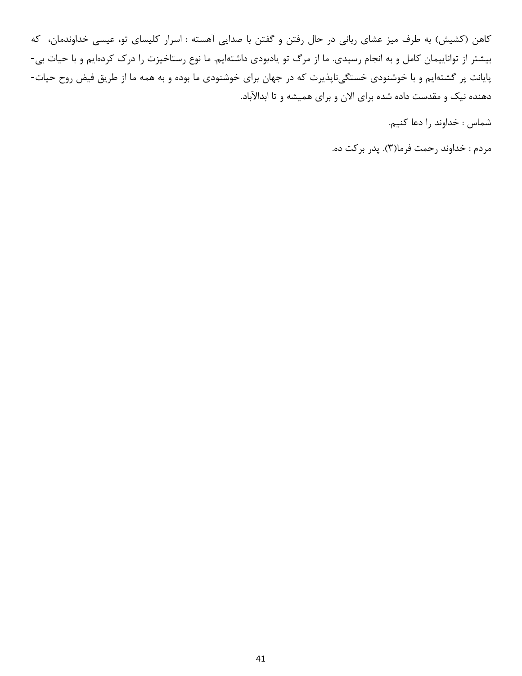کاهن (کشیش) به طرف میز عشاي رباني در حال رفتن و گفتن با صدايي آهسته : اسرار کلیساي تو، عیسي خداوندمان، که بیشتر از توانايیمان کامل و به انجام رسیدي. ما از مرگ تو يادبودي داشتهايم. ما نوع رستاخیزت را درك کردهايم و با حیات بي- پايانت پر گشتهايم و با خوشنودي خستگيناپذيرت که در جهان براي خوشنودي ما بوده و به همه ما از طريق فیض روح حیات- دهنده نیك و مقدست داده شده براي االن و براي همیشه و تا ابداآلباد.

شماس : خداوند را دعا کنیم.

مردم : خداوند رحمت فرما(٣). پدر برکت ده.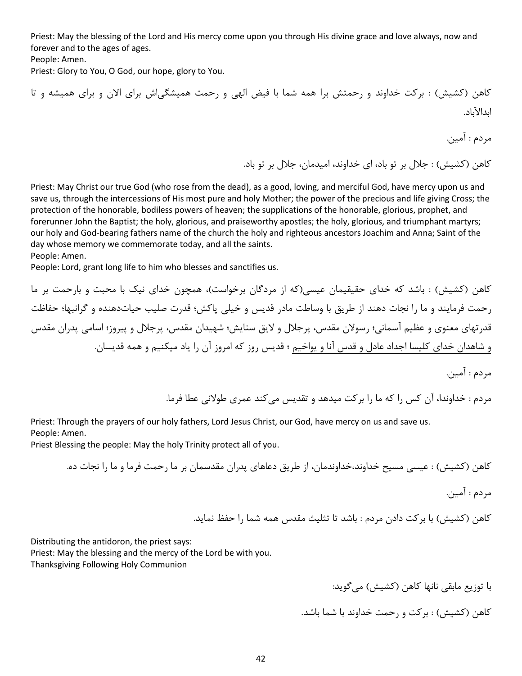Priest: May the blessing of the Lord and His mercy come upon you through His divine grace and love always, now and forever and to the ages of ages.

People: Amen.

Priest: Glory to You, O God, our hope, glory to You.

کاهن (کشیش) : برکت خداوند و رحمتش برا همه شما با فیض الهي و رحمت همیشگياش براي الان و براي همیشه و تا ابدالآباد.

مردم : آمین.

کاهن (کشیش) : جلال بر تو باد، اي خداوند، امیدمان، جلال بر تو باد.

Priest: May Christ our true God (who rose from the dead), as a good, loving, and merciful God, have mercy upon us and save us, through the intercessions of His most pure and holy Mother; the power of the precious and life giving Cross; the protection of the honorable, bodiless powers of heaven; the supplications of the honorable, glorious, prophet, and forerunner John the Baptist; the holy, glorious, and praiseworthy apostles; the holy, glorious, and triumphant martyrs; our holy and God-bearing fathers name of the church the holy and righteous ancestors Joachim and Anna; Saint of the day whose memory we commemorate today, and all the saints.

People: Amen.

People: Lord, grant long life to him who blesses and sanctifies us.

کاهن (کشیش) : باشد که خدای حقیقیمان عیسی(که از مردگان برخواست)، همچون خدای نیک با محبت و بارحمت بر ما رحمت فرمايند و ما را نجات دهند از طريق با وساطت مادر قديس و خیلي پاکش؛ قدرت صلیب حیاتدهنده و گرانبها؛ حفاظت قدرتهاي معنوي و عظیم آسماني؛ رسوالن مقدس، پرجالل و اليق ستايش؛ شهیدان مقدس، پرجالل و پیروز؛ اسامي پدران مقدس و شاهدان خداي کلیسا اجداد عادل و قدس آنا و يواخیم ؛ قديس روز که امروز آن را ياد میكنیم و همه قديسان.

مردم : آمین.

مردم : خداوندا، آن کس را که ما را برکت میدهد و تقديس ميکند عمري طوالني عطا فرما.

Priest: Through the prayers of our holy fathers, Lord Jesus Christ, our God, have mercy on us and save us. People: Amen.

Priest Blessing the people: May the holy Trinity protect all of you.

کاهن )کشیش( : عیسي مسیح خداوند،خداوندمان، از طريق دعاهاي پدران مقدسمان بر ما رحمت فرما و ما را نجات ده. مردم : آمین.

کاهن (کشیش) با بر کت دادن مردم : باشد تا تثلیث مقدس همه شما را حفظ نمايد.

Distributing the antidoron, the priest says:

Priest: May the blessing and the mercy of the Lord be with you. Thanksgiving Following Holy Communion

> با توزيع مابقي نانها كاهن (كشيش) ميگويد: کاهن )کشیش( : برکت و رحمت خداوند با شما باشد.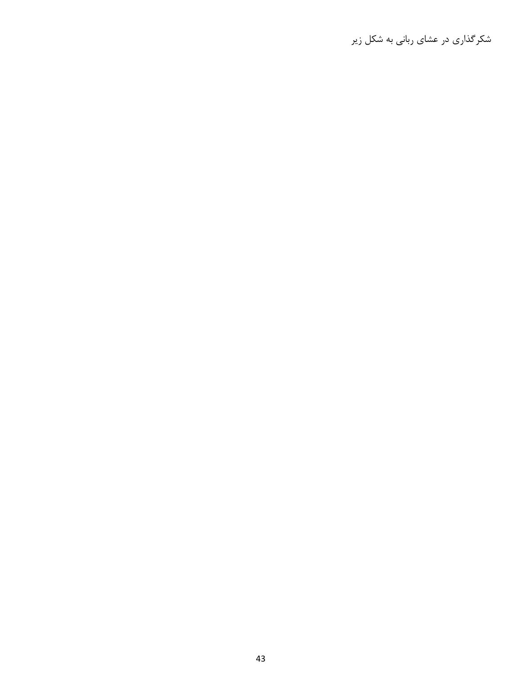# شكرگذاري در عشاي رباني به شكل زير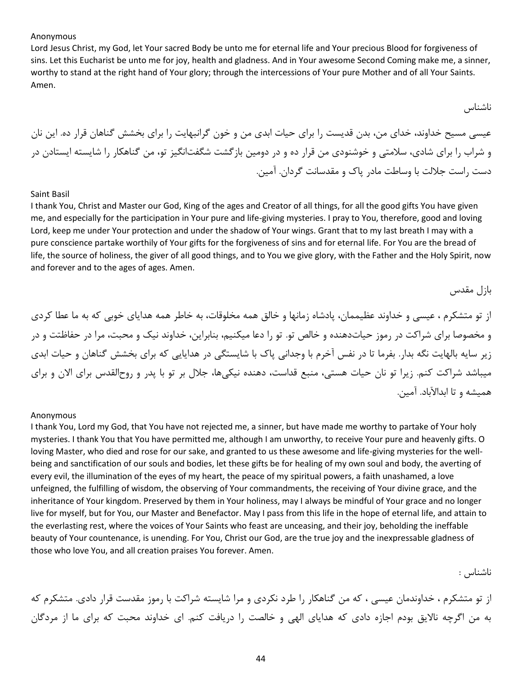#### Anonymous

Lord Jesus Christ, my God, let Your sacred Body be unto me for eternal life and Your precious Blood for forgiveness of sins. Let this Eucharist be unto me for joy, health and gladness. And in Your awesome Second Coming make me, a sinner, worthy to stand at the right hand of Your glory; through the intercessions of Your pure Mother and of all Your Saints. Amen.

ناشناس

عیسي مسیح خداوند، خداي من، بدن قديست را براي حیات ابدي من و خون گرانبهايت را براي بخشش گناهان قرار ده. اين نان و شراب را براي شادي، سالمتي و خوشنودي من قرار ده و در دومین بازگشت شگفتانگیز تو، من گناهكار را شايسته ايستادن در دست راست جاللت با وساطت مادر پاك و مقدسانت گردان. آمین.

### Saint Basil

I thank You, Christ and Master our God, King of the ages and Creator of all things, for all the good gifts You have given me, and especially for the participation in Your pure and life-giving mysteries. I pray to You, therefore, good and loving Lord, keep me under Your protection and under the shadow of Your wings. Grant that to my last breath I may with a pure conscience partake worthily of Your gifts for the forgiveness of sins and for eternal life. For You are the bread of life, the source of holiness, the giver of all good things, and to You we give glory, with the Father and the Holy Spirit, now and forever and to the ages of ages. Amen.

بازل مقدس

از تو متشكرم ، عیسي و خداوند عظیممان، پادشاه زمانها و خالق همه مخلوقات، به خاطر همه هداياي خوبي که به ما عطا کردي و مخصوصا براي شراکت در رموز حیاتدهنده و خالص تو. تو را دعا میكنیم، بنابراين، خداوند نیك و محبت، مرا در حفاظتت و در زير سايه بالهايت نگه بدار. بفرما تا در نفس آخرم با وجداني پاك با شايستگي در هدايايي که براي بخشش گناهان و حیات ابدي میباشد شراکت کنم. زيرا تو نان حیات هستي، منبع قداست، دهنده نیكيها، جالل بر تو با پدر و روحالقدس براي االن و براي همیشه و تا ابداآلباد. آمین.

#### Anonymous

I thank You, Lord my God, that You have not rejected me, a sinner, but have made me worthy to partake of Your holy mysteries. I thank You that You have permitted me, although I am unworthy, to receive Your pure and heavenly gifts. O loving Master, who died and rose for our sake, and granted to us these awesome and life-giving mysteries for the wellbeing and sanctification of our souls and bodies, let these gifts be for healing of my own soul and body, the averting of every evil, the illumination of the eyes of my heart, the peace of my spiritual powers, a faith unashamed, a love unfeigned, the fulfilling of wisdom, the observing of Your commandments, the receiving of Your divine grace, and the inheritance of Your kingdom. Preserved by them in Your holiness, may I always be mindful of Your grace and no longer live for myself, but for You, our Master and Benefactor. May I pass from this life in the hope of eternal life, and attain to the everlasting rest, where the voices of Your Saints who feast are unceasing, and their joy, beholding the ineffable beauty of Your countenance, is unending. For You, Christ our God, are the true joy and the inexpressable gladness of those who love You, and all creation praises You forever. Amen.

ناشناس :

از تو متشكرم ، خداوندمان عیسي ، که من گناهكار را طرد نكردي و مرا شايسته شراکت با رموز مقدست قرار دادي. متشكرم که به من اگرچه نااليق بودم اجازه دادي که هداياي الهي و خالصت را دريافت کنم. اي خداوند محبت که براي ما از مردگان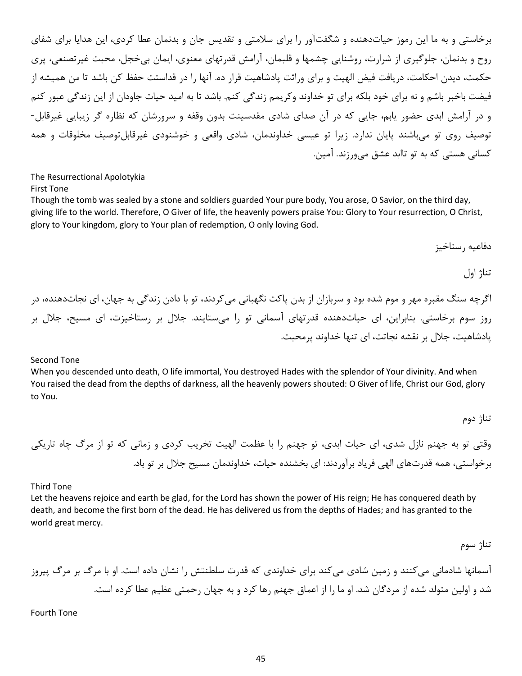برخاستي و به ما اين رموز حیاتدهنده و شگفتآور را براي سالمتي و تقديس جان و بدنمان عطا کردي، اين هدايا براي شفاي روح و بدنمان، جلوگیري از شرارت، روشنايي چشمها و قلبمان، آرامش قدرتهاي معنوي، ايمان بيخجل، محبت غیرتصنعي، پري حكمت، ديدن احكامت، دريافت فیض الهیت و براي وراثت پادشاهیت قرار ده. آنها را در قداستت حفظ کن باشد تا من همیشه از فیضت باخبر باشم و نه براي خود بلكه براي تو خداوند وکريمم زندگي کنم. باشد تا به امید حیات جاودان از اين زندگي عبور کنم و در آرامش ابدي حضور يابم، جايي که در آن صداي شادي مقدسینت بدون وقفه و سرورشان که نظاره گر زيبايي غیرقابل- توصیف روي تو ميباشند پايان ندارد. زيرا تو عیسي خداوندمان، شادي واقعي و خوشنودي غیرقابلتوصیف مخلوقات و همه کساني هستي که به تو تاابد عشق ميورزند. آمین.

## The Resurrectional Apolotykia

First Tone

Though the tomb was sealed by a stone and soldiers guarded Your pure body, You arose, O Savior, on the third day, giving life to the world. Therefore, O Giver of life, the heavenly powers praise You: Glory to Your resurrection, O Christ, glory to Your kingdom, glory to Your plan of redemption, O only loving God.

دفاعیه رستاخیز

تناژ اول

اگرچه سنگ مقبره مهر و موم شده بود و سربازان از بدن پاکت نگهباني ميکردند، تو با دادن زندگي به جهان، اي نجاتدهنده، در روز سوم برخاستي. بنابراين، اي حیاتدهنده قدرتهاي آسماني تو را ميستايند. جالل بر رستاخیزت، اي مسیح، جالل بر پادشاهیت، جالل بر نقشه نجاتت، اي تنها خداوند پرمحبت.

#### Second Tone

When you descended unto death, O life immortal, You destroyed Hades with the splendor of Your divinity. And when You raised the dead from the depths of darkness, all the heavenly powers shouted: O Giver of life, Christ our God, glory to You.

تناژ دوم

وقتي تو به جهنم نازل شدي، اي حیات ابدي، تو جهنم را با عظمت الهیت تخريب کردي و زماني که تو از مرگ چاه تاريكي برخواستي، همه قدرتهاي الهي فرياد برآوردند: اي بخشنده حیات، خداوندمان مسیح جالل بر تو باد.

#### Third Tone

Let the heavens rejoice and earth be glad, for the Lord has shown the power of His reign; He has conquered death by death, and become the first born of the dead. He has delivered us from the depths of Hades; and has granted to the world great mercy.

تناژ سوم

آسمانها شادماني ميکنند و زمین شادي ميکند براي خداوندي که قدرت سلطنتش را نشان داده است. او با مرگ بر مرگ پیروز شد و اولین متولد شده از مردگان شد. او ما را از اعماق جهنم رها کرد و به جهان رحمتي عظیم عطا کرده است.

Fourth Tone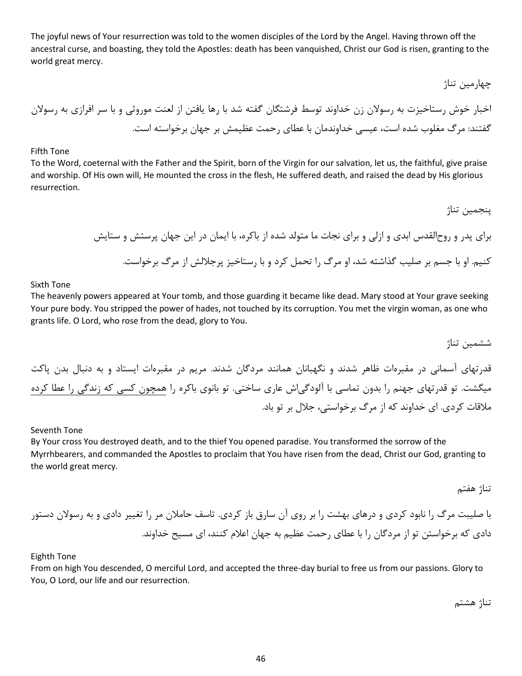The joyful news of Your resurrection was told to the women disciples of the Lord by the Angel. Having thrown off the ancestral curse, and boasting, they told the Apostles: death has been vanquished, Christ our God is risen, granting to the world great mercy.

چهارمین تناژ اخبار خوش رستاخیزت به رسوالن زن خداوند توسط فرشتگان گفته شد با رها يافتن از لعنت موروثي و با سر افرازي به رسوالن گفتند: مرگ مغلوب شده است، عیسي خداوندمان با عطاي رحمت عظیمش بر جهان برخواسته است.

#### Fifth Tone

To the Word, coeternal with the Father and the Spirit, born of the Virgin for our salvation, let us, the faithful, give praise and worship. Of His own will, He mounted the cross in the flesh, He suffered death, and raised the dead by His glorious resurrection.

پنجمین تناژ براي پدر و روحالقدس ابدي و ازلي و براي نجات ما متولد شده از باکره، با ايمان در اين جهان پرستش و ستايش کنیم. او با جسم بر صلیب گذاشته شد، او مرگ را تحمل کرد و با رستاخیز پرجاللش از مرگ برخواست.

#### Sixth Tone

The heavenly powers appeared at Your tomb, and those guarding it became like dead. Mary stood at Your grave seeking Your pure body. You stripped the power of hades, not touched by its corruption. You met the virgin woman, as one who grants life. O Lord, who rose from the dead, glory to You.

ششمین تناژ

قدرتهاي آسماني در مقبرهات ظاهر شدند و نگهبانان همانند مردگان شدند. مريم در مقبرهات ايستاد و به دنبال بدن پاکت میگشت. تو قدرتهاي جهنم را بدون تماسي با آلودگياش عاري ساختي. تو بانوي باکره را همچون کسي که زندگي را عطا کرده مالقات کردي. اي خداوند که از مرگ برخواستي، جالل بر تو باد.

#### Seventh Tone

By Your cross You destroyed death, and to the thief You opened paradise. You transformed the sorrow of the Myrrhbearers, and commanded the Apostles to proclaim that You have risen from the dead, Christ our God, granting to the world great mercy.

تناژ هفتم

با صلیبت مرگ را نابود کردي و درهاي بهشت را بر روي آن سارق باز کردي. تاسف حامالن مر را تغییر دادي و به رسوالن دستور دادي که برخواستن تو از مردگان را با عطاي رحمت عظیم به جهان اعالم کنند، اي مسیح خداوند.

#### Eighth Tone

From on high You descended, O merciful Lord, and accepted the three-day burial to free us from our passions. Glory to You, O Lord, our life and our resurrection.

تناژ هشتم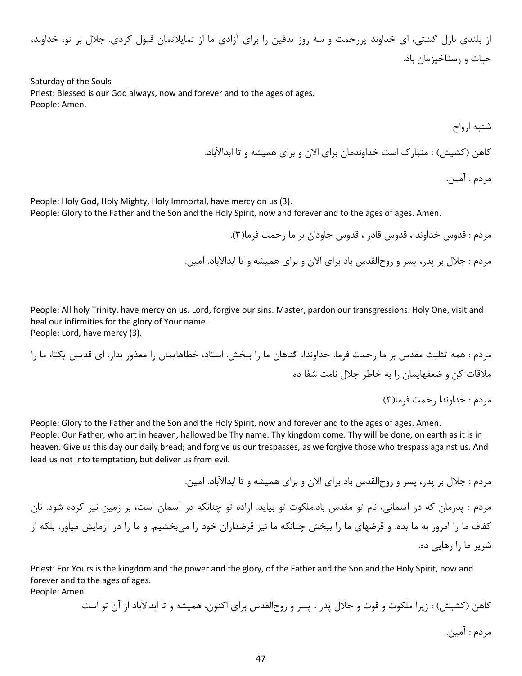از بلندي نازل گشتي، اي خداوند پررحمت و سه روز تدفین را براي آزادي ما از تمايالتمان قبول کردي. جالل بر تو، خداوند، حیات و رستاخیزمان باد.

Saturday of the Souls Priest: Blessed is our God always, now and forever and to the ages of ages. People: Amen.

شنبه ارواح

کاهن )کشیش( : متبارك است خداوندمان براي االن و براي همیشه و تا ابداآلباد. مردم : آمین.

People: Holy God, Holy Mighty, Holy Immortal, have mercy on us (3). People: Glory to the Father and the Son and the Holy Spirit, now and forever and to the ages of ages. Amen.

> مردم : قدوس خداوند ، قدوس قادر ، قدوس جاودان بر ما رحمت فرما)3(. مردم : جلال بر پدر، پسر و روحالقدس باد براي الان و براي همیشه و تا ابدالآباد. آمین.

People: All holy Trinity, have mercy on us. Lord, forgive our sins. Master, pardon our transgressions. Holy One, visit and heal our infirmities for the glory of Your name. People: Lord, have mercy (3).

مردم : همه تثلیث مقدس بر ما رحمت فرما. خداوندا، گناهان ما را ببخش. استاد، خطاهايمان را معذور بدار. اي قديس يكتا، ما را مالقات کن و ضعفهايمان را به خاطر جالل نامت شفا ده. مردم : خداوندا رحمت فرما)3(.

People: Glory to the Father and the Son and the Holy Spirit, now and forever and to the ages of ages. Amen. People: Our Father, who art in heaven, hallowed be Thy name. Thy kingdom come. Thy will be done, on earth as it is in heaven. Give us this day our daily bread; and forgive us our trespasses, as we forgive those who trespass against us. And lead us not into temptation, but deliver us from evil.

مردم : جلال بر پدر، پسر و روحالقدس باد براي الان و براي همیشه و تا ابدالآباد. آمین.

مردم : پدرمان که در آسماني، نام تو مقدس باد.ملكوت تو بیايد. اراده تو چنانكه در آسمان است، بر زمین نیز کرده شود. نان کفاف ما را امروز به ما بده. و قرضهاي ما را ببخش چنانكه ما نیز قرضداران خود را ميبخشیم. و ما را در آزمايش میاور، بلكه از شرير ما را رهايي ده.

Priest: For Yours is the kingdom and the power and the glory, of the Father and the Son and the Holy Spirit, now and forever and to the ages of ages.

People: Amen.

کاهن )کشیش( : زيرا ملكوت و قوت و جالل پدر ، پسر و روحالقدس براي اکنون، همیشه و تا ابداآلباد از آن تو است. مردم : آمین.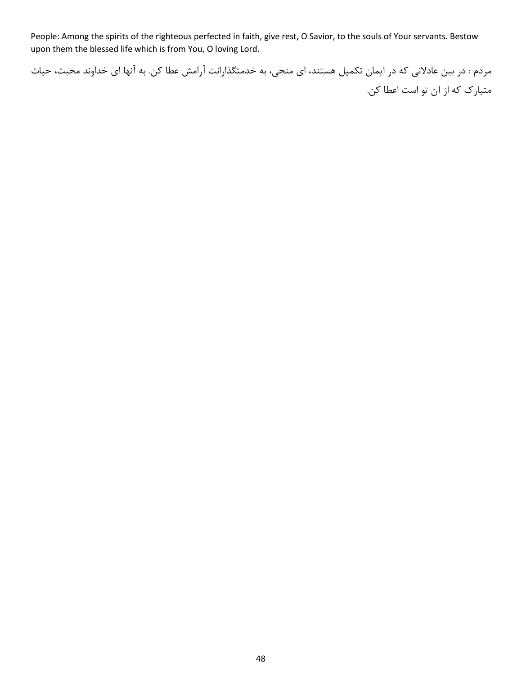People: Among the spirits of the righteous perfected in faith, give rest, O Savior, to the souls of Your servants. Bestow upon them the blessed life which is from You, O loving Lord.

مردم : در بین عادالني که در ايمان تكمیل هستند، اي منجي، به خدمتگذارانت آرامش عطا کن. به آنها اي خداوند محبت، حیات متبارك که از آن تو است اعطا کن.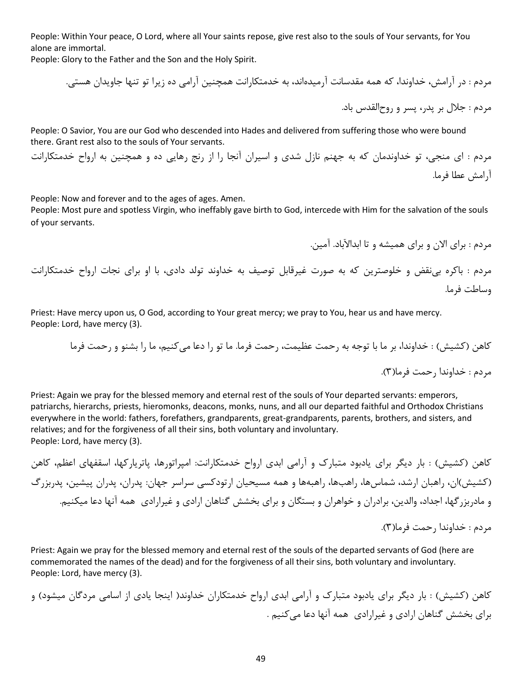People: Within Your peace, O Lord, where all Your saints repose, give rest also to the souls of Your servants, for You alone are immortal.

People: Glory to the Father and the Son and the Holy Spirit.

مردم : در آرامش، خداوندا، که همه مقدسانت آرمیدهاند، به خدمتكارانت همچنین آرامي ده زيرا تو تنها جاويدان هستي. مردم : جالل بر پدر، پسر و روحالقدس باد.

People: O Savior, You are our God who descended into Hades and delivered from suffering those who were bound there. Grant rest also to the souls of Your servants.

مردم : اي منجي، تو خداوندمان که به جهنم نازل شدي و اسیران آنجا را از رنج رهايي ده و همچنین به ارواح خدمتكارانت آرامش عطا فرما.

People: Now and forever and to the ages of ages. Amen.

People: Most pure and spotless Virgin, who ineffably gave birth to God, intercede with Him for the salvation of the souls of your servants.

مردم : برای الان و برای همیشه و تا ابدالآباد. آمین.

مردم : باکره بينقض و خلوصترين که به صورت غیرقابل توصیف به خداوند تولد دادي، با او براي نجات ارواح خدمتكارانت وساطت فرما.

Priest: Have mercy upon us, O God, according to Your great mercy; we pray to You, hear us and have mercy. People: Lord, have mercy (3).

کاهن )کشیش( : خداوندا، بر ما با توجه به رحمت عظیمت، رحمت فرما. ما تو را دعا ميکنیم، ما را بشنو و رحمت فرما

مردم : خداوندا رحمت فرما)3(.

Priest: Again we pray for the blessed memory and eternal rest of the souls of Your departed servants: emperors, patriarchs, hierarchs, priests, hieromonks, deacons, monks, nuns, and all our departed faithful and Orthodox Christians everywhere in the world: fathers, forefathers, grandparents, great-grandparents, parents, brothers, and sisters, and relatives; and for the forgiveness of all their sins, both voluntary and involuntary. People: Lord, have mercy (3).

کاهن (کشیش) : بار ديگر براي يادبود متبارک و آرامي ابدي ارواح خدمتکارانت: امپراتورها، پاتريارکها، اسقفهاي اعظم، کاهن )کشیش(ان، راهبان ارشد، شماسها، راهبها، راهبهها و همه مسیحیان ارتودکسي سراسر جهان: پدران، پدران پیشین، پدربزرگ و مادربزرگها، اجداد، والدين، برادران و خواهران و بستگان و براي بخشش گناهان ارادي و غیرارادي همه آنها دعا میكنیم.

```
مردم : خداوندا رحمت فرما)3(.
```
Priest: Again we pray for the blessed memory and eternal rest of the souls of the departed servants of God (here are commemorated the names of the dead) and for the forgiveness of all their sins, both voluntary and involuntary. People: Lord, have mercy (3).

کاهن )کشیش( : بار ديگر براي يادبود متبارك و آرامي ابدي ارواح خدمتكاران خداوند) اينجا يادي از اسامي مردگان میشود( و براي بخشش گناهان ارادي و غیرارادي همه آنها دعا ميکنیم .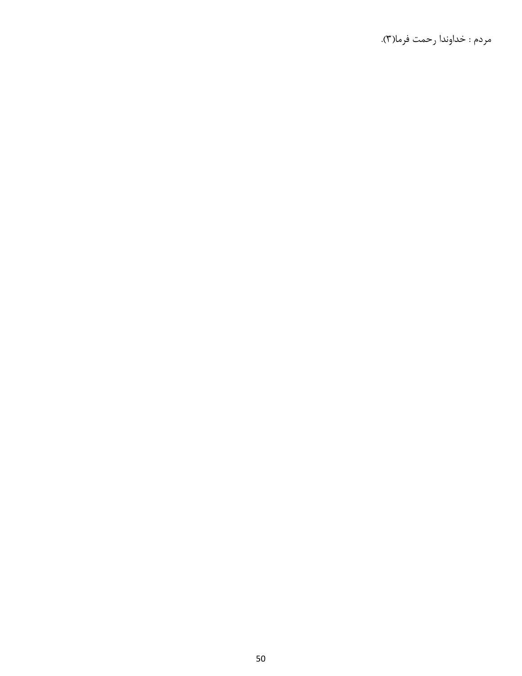مردم : خداوندا رحمت فرما(٣).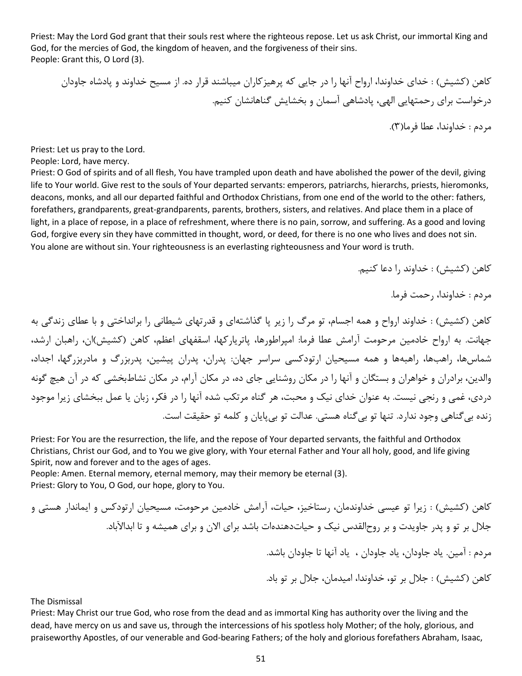Priest: May the Lord God grant that their souls rest where the righteous repose. Let us ask Christ, our immortal King and God, for the mercies of God, the kingdom of heaven, and the forgiveness of their sins. People: Grant this, O Lord (3).

کاهن )کشیش( : خداي خداوندا، ارواح آنها را در جايي که پرهیزکاران میباشند قرار ده. از مسیح خداوند و پادشاه جاودان درخواست براي رحمتهايي الهي، پادشاهي آسمان و بخشايش گناهانشان کنیم.

مردم : خداوندا، عطا فرما)3(.

Priest: Let us pray to the Lord.

People: Lord, have mercy.

Priest: O God of spirits and of all flesh, You have trampled upon death and have abolished the power of the devil, giving life to Your world. Give rest to the souls of Your departed servants: emperors, patriarchs, hierarchs, priests, hieromonks, deacons, monks, and all our departed faithful and Orthodox Christians, from one end of the world to the other: fathers, forefathers, grandparents, great-grandparents, parents, brothers, sisters, and relatives. And place them in a place of light, in a place of repose, in a place of refreshment, where there is no pain, sorrow, and suffering. As a good and loving God, forgive every sin they have committed in thought, word, or deed, for there is no one who lives and does not sin. You alone are without sin. Your righteousness is an everlasting righteousness and Your word is truth.

کاهن )کشیش( : خداوند را دعا کنیم.

مردم : خداوندا، رحمت فرما.

کاهن (کشیش) : خداوند ارواح و همه اجسام، تو مرگ را زير پا گذاشتهاي و قدرتهاي شیطاني را برانداختي و با عطاي زندگي به جهانت. به ارواح خادمین مرحومت آرامش عطا فرما: امپراطورها، پاتریارکها، اسقفهای اعظم، کاهن (کشیش)ان، راهبان ارشد، شماسها، راهبها، راهبهها و همه مسیحیان ارتودکسي سراسر جهان: پدران، پدران پیشین، پدربزرگ و مادربزرگها، اجداد، والدين، برادران و خواهران و بستگان و آنها را در مكان روشنايي جاي ده، در مكان آرام، در مكان نشاطبخشي که در آن هیچ گونه دردي، غمي و رنجي نیست. به عنوان خداي نیك و محبت، هر گناه مرتكب شده آنها را در فكر، زبان يا عمل ببخشاي زيرا موجود زنده بيگناهي وجود ندارد. تنها تو بيگناه هستي. عدالت تو بيپايان و کلمه تو حقیقت است.

Priest: For You are the resurrection, the life, and the repose of Your departed servants, the faithful and Orthodox Christians, Christ our God, and to You we give glory, with Your eternal Father and Your all holy, good, and life giving Spirit, now and forever and to the ages of ages.

People: Amen. Eternal memory, eternal memory, may their memory be eternal (3). Priest: Glory to You, O God, our hope, glory to You.

کاهن )کشیش( : زيرا تو عیسي خداوندمان، رستاخیز، حیات، آرامش خادمین مرحومت، مسیحیان ارتودکس و ايماندار هستي و جلال بر تو و پدر جاویدت و بر روحالقدس نیک و حیاتدهندهات باشد برای الان و برای همیشه و تا ابدالآباد. مردم : آمین. ياد جاودان، ياد جاودان ، ياد آنها تا جاودان باشد. کاهن )کشیش( : جالل بر تو، خداوندا، امیدمان، جالل بر تو باد.

The Dismissal

Priest: May Christ our true God, who rose from the dead and as immortal King has authority over the living and the dead, have mercy on us and save us, through the intercessions of his spotless holy Mother; of the holy, glorious, and praiseworthy Apostles, of our venerable and God-bearing Fathers; of the holy and glorious forefathers Abraham, Isaac,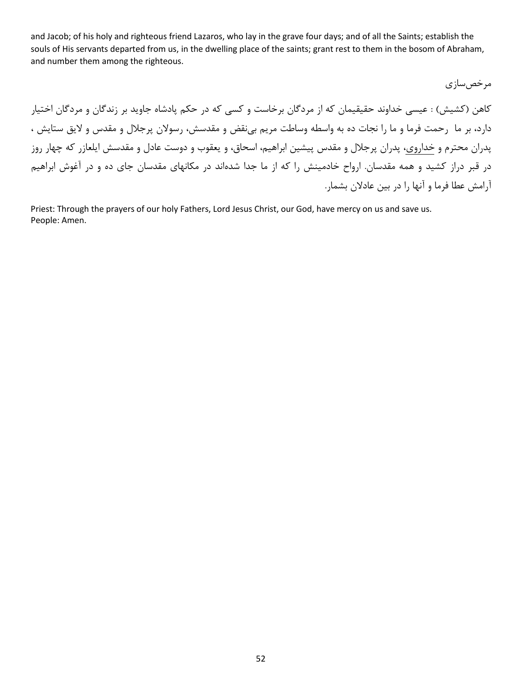and Jacob; of his holy and righteous friend Lazaros, who lay in the grave four days; and of all the Saints; establish the souls of His servants departed from us, in the dwelling place of the saints; grant rest to them in the bosom of Abraham, and number them among the righteous.

مرخصسازي کاهن (کشیش) : عیسی خداوند حقیقیمان که از مردگان برخاست و کسی که در حکم پادشاه جاوید بر زندگان و مردگان اختیار دارد، بر ما رحمت فرما و ما را نجات ده به واسطه وساطت مريم بينقض و مقدسش، رسوالن پرجالل و مقدس و اليق ستايش ، پدران محترم و خداروي، پدران پرجالل و مقدس پیشین ابراهیم، اسحاق، و يعقوب و دوست عادل و مقدسش ايلعازر که چهار روز در قبر دراز کشید و همه مقدسان. ارواح خادمینش را که از ما جدا شدهاند در مكانهاي مقدسان جاي ده و در آغوش ابراهیم آرامش عطا فرما و آنها را در بین عادالن بشمار.

Priest: Through the prayers of our holy Fathers, Lord Jesus Christ, our God, have mercy on us and save us. People: Amen.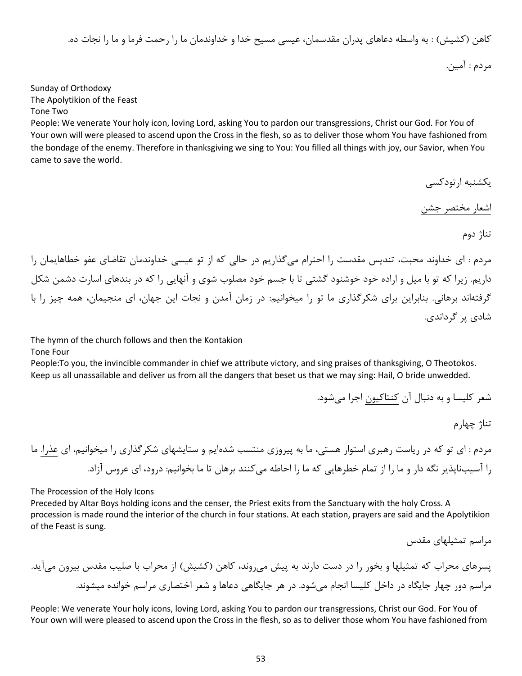کاهن (کشیش) : به واسطه دعاهاي پدران مقدسمان، عیسی مسیح خدا و خداوندمان ما را رحمت فرما و ما را نجات ده.

مردم : آمین.

Sunday of Orthodoxy

The Apolytikion of the Feast

Tone Two

People: We venerate Your holy icon, loving Lord, asking You to pardon our transgressions, Christ our God. For You of Your own will were pleased to ascend upon the Cross in the flesh, so as to deliver those whom You have fashioned from the bondage of the enemy. Therefore in thanksgiving we sing to You: You filled all things with joy, our Savior, when You came to save the world.

يكشنبه ارتودکسي

اشعار مختصر جشن

تناژ دوم

مردم : اي خداوند محبت، تنديس مقدست را احترام ميگذاريم در حالي که از تو عیسي خداوندمان تقاضاي عفو خطاهايمان را داريم. زيرا که تو با میل و اراده خود خوشنود گشتي تا با جسم خود مصلوب شوي و آنهايي را که در بندهاي اسارت دشمن شكل گرفتهاند برهاني. بنابراين براي شكرگذاري ما تو را میخوانیم: در زمان آمدن و نجات اين جهان، اي منجیمان، همه چیز را با شادي پر گرداندي.

The hymn of the church follows and then the Kontakion

Tone Four

People:To you, the invincible commander in chief we attribute victory, and sing praises of thanksgiving, O Theotokos. Keep us all unassailable and deliver us from all the dangers that beset us that we may sing: Hail, O bride unwedded.

شعر کلیسا و به دنبال آن کنتاکیون اجرا ميشود. تناژ چهارم مردم : اي تو که در رياست رهبري استوار هستي، ما به پیروزي منتسب شدهايم و ستايشهاي شكرگذاري را میخوانیم، اي عذرا. ما را آسیبناپذير نگه دار و ما را از تمام خطرهايي که ما را احاطه ميکنند برهان تا ما بخوانیم: درود، اي عروس آزاد.

The Procession of the Holy Icons

Preceded by Altar Boys holding icons and the censer, the Priest exits from the Sanctuary with the holy Cross. A procession is made round the interior of the church in four stations. At each station, prayers are said and the Apolytikion of the Feast is sung.

مراسم تمثیلهاي مقدس

پسرهاي محراب که تمثيلها و بخور را در دست دارند به پيش مي وند، کاهن (کشيش) از محراب با صليب مقدس بيرون مي آيد. مراسم دور چهار جايگاه در داخل کلیسا انجام ميشود. در هر جايگاهي دعاها و شعر اختصاري مراسم خوانده میشوند.

People: We venerate Your holy icons, loving Lord, asking You to pardon our transgressions, Christ our God. For You of Your own will were pleased to ascend upon the Cross in the flesh, so as to deliver those whom You have fashioned from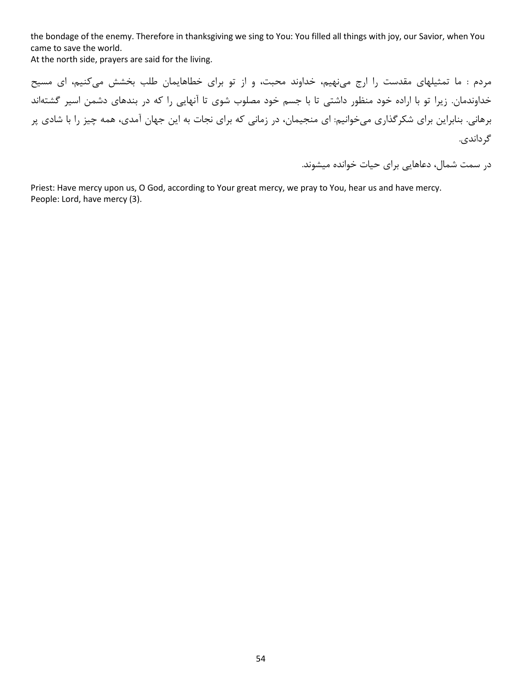the bondage of the enemy. Therefore in thanksgiving we sing to You: You filled all things with joy, our Savior, when You came to save the world.

At the north side, prayers are said for the living.

مردم : ما تمثیلهاي مقدست را ارج مينهیم، خداوند محبت، و از تو براي خطاهايمان طلب بخشش ميکنیم، اي مسیح خداوندمان. زيرا تو با اراده خود منظور داشتي تا با جسم خود مصلوب شوي تا آنهايي را که در بندهاي دشمن اسیر گشتهاند برهاني. بنابراين براي شكرگذاري ميخوانیم: اي منجیمان، در زماني که براي نجات به اين جهان آمدي، همه چیز را با شادي پر گرداندي.

در سمت شمال، دعاهايي براي حیات خوانده میشوند.

Priest: Have mercy upon us, O God, according to Your great mercy, we pray to You, hear us and have mercy. People: Lord, have mercy (3).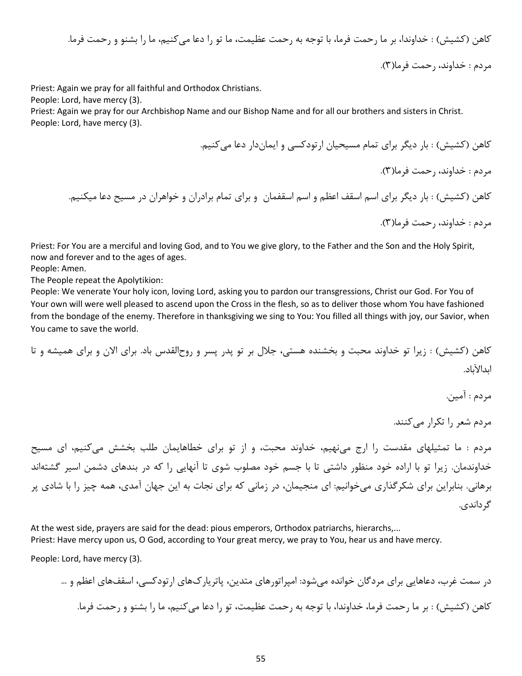کاهن )کشیش( : خداوندا، بر ما رحمت فرما، با توجه به رحمت عظیمت، ما تو را دعا ميکنیم، ما را بشنو و رحمت فرما. مردم : خداوند، رحمت فرما)3(.

Priest: Again we pray for all faithful and Orthodox Christians. People: Lord, have mercy (3).

Priest: Again we pray for our Archbishop Name and our Bishop Name and for all our brothers and sisters in Christ. People: Lord, have mercy (3).

کاهن (کشیش) : بار ديگر براي تمام مسیحیان ارتودکسي و ايماندار دعا مي کنيم. مردم : خداوند، , حمت فرما(٣). کاهن (کشیش) : بار دیگر براي اسم اسقف اعظم و اسم اسقفمان و براي تمام برادران و خواهران در مسیح دعا میکنیم. مردم : خداوند، , حمت فرما(٣).

Priest: For You are a merciful and loving God, and to You we give glory, to the Father and the Son and the Holy Spirit, now and forever and to the ages of ages.

People: Amen.

The People repeat the Apolytikion:

People: We venerate Your holy icon, loving Lord, asking you to pardon our transgressions, Christ our God. For You of Your own will were well pleased to ascend upon the Cross in the flesh, so as to deliver those whom You have fashioned from the bondage of the enemy. Therefore in thanksgiving we sing to You: You filled all things with joy, our Savior, when You came to save the world.

کاهن (کشیش) : زيرا تو خداوند محبت و بخشنده هستي، جلال بر تو پدر پسر و روحالقدس باد. براي الان و براي همیشه و تا ابدالاباد.

مردم : آمین.

مردم شعر را تكرار مي كنند.

مردم : ما تمثیلهاي مقدست را ارج مينهیم، خداوند محبت، و از تو براي خطاهايمان طلب بخشش ميکنیم، اي مسیح خداوندمان. زيرا تو با اراده خود منظور داشتي تا با جسم خود مصلوب شوي تا آنهايي را که در بندهاي دشمن اسیر گشتهاند برهاني. بنابراين براي شكرگذاري ميخوانیم: اي منجیمان، در زماني که براي نجات به اين جهان آمدي، همه چیز را با شادي پر گرداندي.

At the west side, prayers are said for the dead: pious emperors, Orthodox patriarchs, hierarchs,... Priest: Have mercy upon us, O God, according to Your great mercy, we pray to You, hear us and have mercy.

People: Lord, have mercy (3).

در سمت غرب، دعاهايي براي مردگان خوانده ميشود: امپراتورهاي متدين، پاترياركهاي ارتودکسي، اسقفهاي اعظم و ... کاهن )کشیش( : بر ما رحمت فرما، خداوندا، با توجه به رحمت عظیمت، تو را دعا ميکنیم، ما را بشنو و رحمت فرما.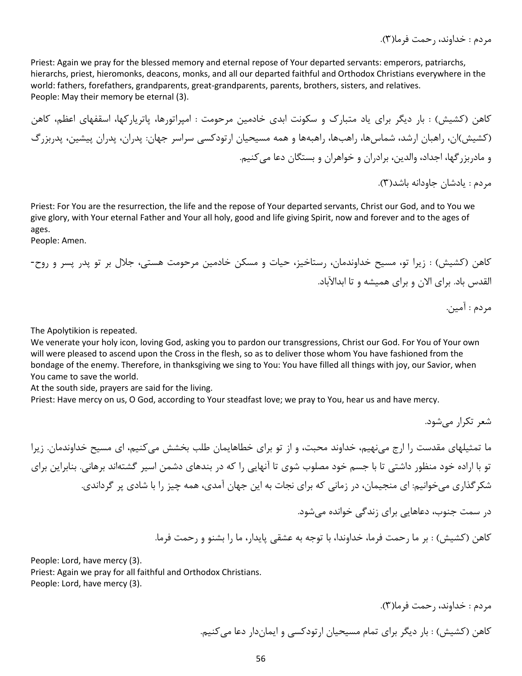Priest: Again we pray for the blessed memory and eternal repose of Your departed servants: emperors, patriarchs, hierarchs, priest, hieromonks, deacons, monks, and all our departed faithful and Orthodox Christians everywhere in the world: fathers, forefathers, grandparents, great-grandparents, parents, brothers, sisters, and relatives. People: May their memory be eternal (3).

کاهن )کشیش( : بار ديگر براي ياد متبارك و سكونت ابدي خادمین مرحومت : امپراتورها، پاتريارکها، اسقفهاي اعظم، کاهن )کشیش(ان، راهبان ارشد، شماسها، راهبها، راهبهها و همه مسیحیان ارتودکسي سراسر جهان: پدران، پدران پیشین، پدربزرگ و مادربزرگها، اجداد، والدين، برادران و خواهران و بستگان دعا ميکنیم.

مردم : خداوند، رحمت فرما(٣).

Priest: For You are the resurrection, the life and the repose of Your departed servants, Christ our God, and to You we give glory, with Your eternal Father and Your all holy, good and life giving Spirit, now and forever and to the ages of ages.

People: Amen.

کاهن )کشیش( : زيرا تو، مسیح خداوندمان، رستاخیز، حیات و مسكن خادمین مرحومت هستي، جالل بر تو پدر پسر و روح- القدس باد. براي الان و براي همیشه و تا ابدالآباد.

مردم : آمین.

The Apolytikion is repeated.

We venerate your holy icon, loving God, asking you to pardon our transgressions, Christ our God. For You of Your own will were pleased to ascend upon the Cross in the flesh, so as to deliver those whom You have fashioned from the bondage of the enemy. Therefore, in thanksgiving we sing to You: You have filled all things with joy, our Savior, when You came to save the world.

At the south side, prayers are said for the living.

Priest: Have mercy on us, O God, according to Your steadfast love; we pray to You, hear us and have mercy.

شعر تكرار ميشود.

ما تمثیلهاي مقدست را ارج مينهیم، خداوند محبت، و از تو براي خطاهايمان طلب بخشش ميکنیم، اي مسیح خداوندمان. زيرا تو با اراده خود منظور داشتي تا با جسم خود مصلوب شوي تا آنهايي را که در بندهاي دشمن اسیر گشتهاند برهاني. بنابراين براي شكرگذاري ميخوانیم: اي منجیمان، در زماني که براي نجات به اين جهان آمدي، همه چیز را با شادي پر گرداندي.

در سمت جنوب، دعاهايي براي زندگي خوانده ميشود.

کاهن )کشیش( : بر ما رحمت فرما، خداوندا، با توجه به عشقي پايدار، ما را بشنو و رحمت فرما.

People: Lord, have mercy (3).

Priest: Again we pray for all faithful and Orthodox Christians. People: Lord, have mercy (3).

مردم : خداوند، رحمت فرما(٣).

کاهن (کشیش) : بار ديگر براي تمام مسیحیان ارتودکسي و ايماندار دعا مي کنیم.

مردم : يادشان جاودانه باشد)3(.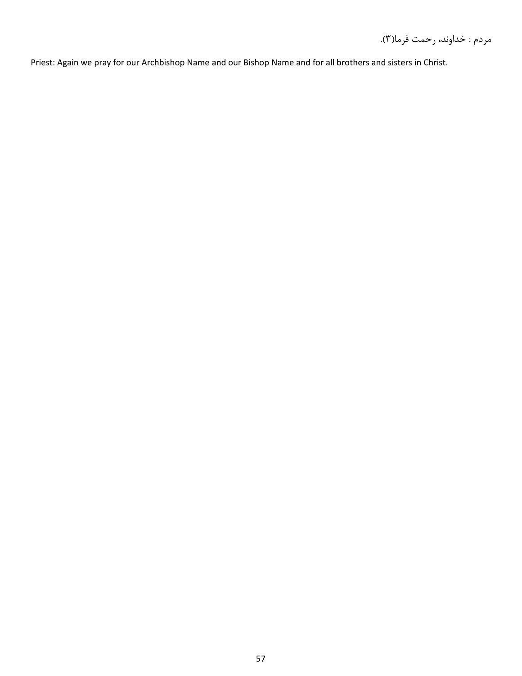Priest: Again we pray for our Archbishop Name and our Bishop Name and for all brothers and sisters in Christ.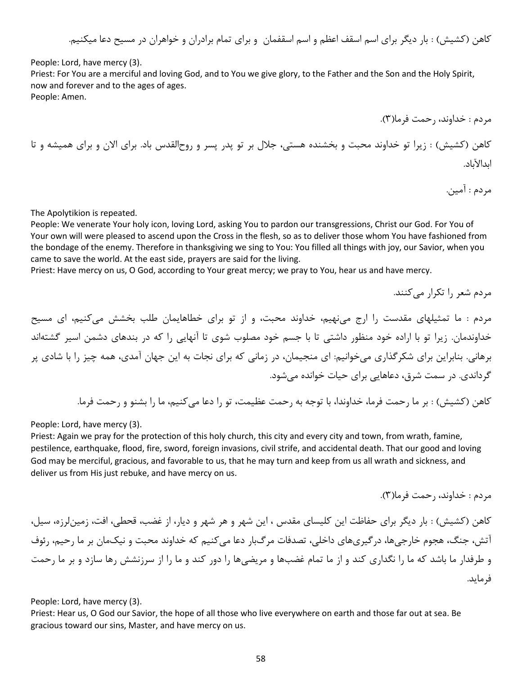کاهن )کشیش( : بار ديگر براي اسم اسقف اعظم و اسم اسقفمان و براي تمام برادران و خواهران در مسیح دعا میكنیم.

People: Lord, have mercy (3).

Priest: For You are a merciful and loving God, and to You we give glory, to the Father and the Son and the Holy Spirit, now and forever and to the ages of ages.

People: Amen.

مردم : خداوند، رحمت فرما(٣).

کاهن (کشیش) : زيرا تو خداوند محبت و بخشنده هستي، جلال بر تو پدر پسر و روحالقدس باد. براي الان و براي همیشه و تا ابدالآباد.

مردم : آمین.

The Apolytikion is repeated.

People: We venerate Your holy icon, loving Lord, asking You to pardon our transgressions, Christ our God. For You of Your own will were pleased to ascend upon the Cross in the flesh, so as to deliver those whom You have fashioned from the bondage of the enemy. Therefore in thanksgiving we sing to You: You filled all things with joy, our Savior, when you came to save the world. At the east side, prayers are said for the living.

Priest: Have mercy on us, O God, according to Your great mercy; we pray to You, hear us and have mercy.

مردم شعر را تكرار ميکنند.

مردم : ما تمثیلهاي مقدست را ارج مينهیم، خداوند محبت، و از تو براي خطاهايمان طلب بخشش ميکنیم، اي مسیح خداوندمان. زيرا تو با اراده خود منظور داشتي تا با جسم خود مصلوب شوي تا آنهايي را که در بندهاي دشمن اسیر گشتهاند برهاني. بنابراين براي شكرگذاري ميخوانیم: اي منجیمان، در زماني که براي نجات به اين جهان آمدي، همه چیز را با شادي پر گرداندي. در سمت شرق، دعاهايي براي حيات خوانده مي شود.

کاهن (کشیش) : بر ما رحمت فرما، خداوندا، با توجه به رحمت عظیمت، تو را دعا مي کنیم، ما را بشنو و رحمت فرما.

People: Lord, have mercy (3).

Priest: Again we pray for the protection of this holy church, this city and every city and town, from wrath, famine, pestilence, earthquake, flood, fire, sword, foreign invasions, civil strife, and accidental death. That our good and loving God may be merciful, gracious, and favorable to us, that he may turn and keep from us all wrath and sickness, and deliver us from His just rebuke, and have mercy on us.

مردم : خداوند، رحمت فرما)3(.

کاهن (کشیش) : بار ديگر براي حفاظت اين کليساي مقدس ، اين شهر و هر شهر و ديار، از غضب، قحطي، افت، زمينلرزه، سيل، آتش، جنگ، هجوم خارجيها، درگیريهاي داخلي، تصدفات مرگبار دعا ميکنیم که خداوند محبت و نیكمان بر ما رحیم، رئوف و طرفدار ما باشد که ما را نگداري کند و از ما تمام غضبها و مريضيها را دور کند و ما را از سرزنشش رها سازد و بر ما رحمت فرمايد.

People: Lord, have mercy (3).

Priest: Hear us, O God our Savior, the hope of all those who live everywhere on earth and those far out at sea. Be gracious toward our sins, Master, and have mercy on us.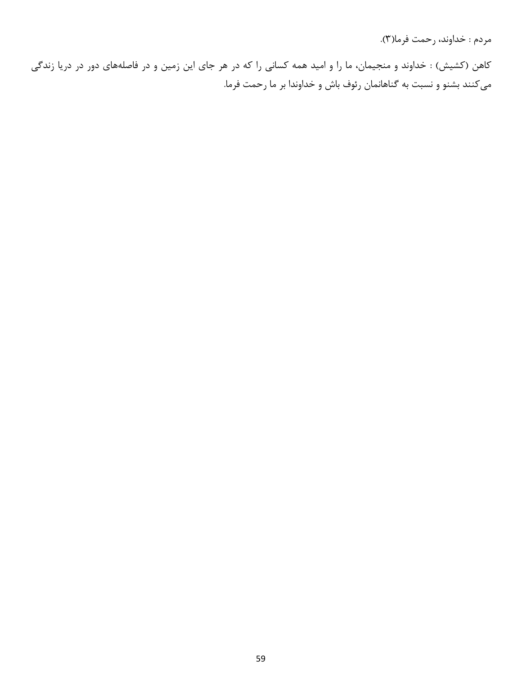مردم : خداوند، رحمت فرما(٣).

کاهن (کشیش) : خداوند و منجیمان، ما را و امید همه کساني را که در هر جاي اين زمين و در فاصلههاي دور در دريا زندگي ميکنند بشنو و نسبت به گناهانمان رئوف باش و خداوندا بر ما رحمت فرما.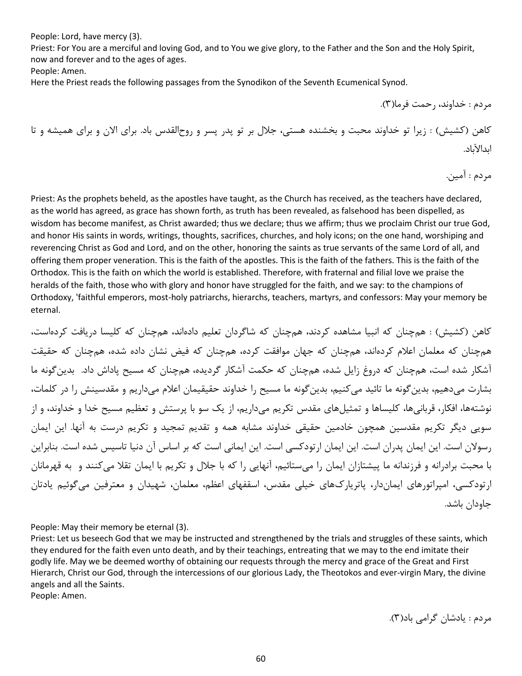People: Lord, have mercy (3).

Priest: For You are a merciful and loving God, and to You we give glory, to the Father and the Son and the Holy Spirit, now and forever and to the ages of ages.

People: Amen.

Here the Priest reads the following passages from the Synodikon of the Seventh Ecumenical Synod.

مردم : خداوند، , حمت فرما(٣). کاهن (کشیش) : زيرا تو خداوند محبت و بخشنده هستي، جلال بر تو پدر پسر و روحالقدس باد. براي الان و براي همیشه و تا ابدالآباد.

```
مردم : آمین.
```
Priest: As the prophets beheld, as the apostles have taught, as the Church has received, as the teachers have declared, as the world has agreed, as grace has shown forth, as truth has been revealed, as falsehood has been dispelled, as wisdom has become manifest, as Christ awarded; thus we declare; thus we affirm; thus we proclaim Christ our true God, and honor His saints in words, writings, thoughts, sacrifices, churches, and holy icons; on the one hand, worshiping and reverencing Christ as God and Lord, and on the other, honoring the saints as true servants of the same Lord of all, and offering them proper veneration. This is the faith of the apostles. This is the faith of the fathers. This is the faith of the Orthodox. This is the faith on which the world is established. Therefore, with fraternal and filial love we praise the heralds of the faith, those who with glory and honor have struggled for the faith, and we say: to the champions of Orthodoxy, 'faithful emperors, most-holy patriarchs, hierarchs, teachers, martyrs, and confessors: May your memory be eternal.

کاهن )کشیش( : همچنان که انبیا مشاهده کردند، همچنان که شاگردان تعلیم دادهاند، همچنان که کلیسا دريافت کردهاست، همچنان که معلمان اعالم کردهاند، همچنان که جهان موافقت کرده، همچنان که فیض نشان داده شده، همچنان که حقیقت آشكار شده است، همچنان که دروغ زايل شده، همچنان که حكمت آشكار گرديده، همچنان که مسیح پاداش داد. بدينگونه ما بشارت ميدهیم، بدينگونه ما تائید ميکنیم، بدينگونه ما مسیح را خداوند حقیقیمان اعالم ميداريم و مقدسینش را در کلمات، نوشتهها، افكار، قربانيها، کلیساها و تمثیلهاي مقدس تكريم ميداريم، از يك سو با پرستش و تعظیم مسیح خدا و خداوند، و از سويي ديگر تكريم مقدسین همچون خادمین حقیقي خداوند مشابه همه و تقديم تمجید و تكريم درست به آنها. اين ايمان رسوالن است. اين ايمان پدران است. اين ايمان ارتودکسي است. اين ايماني است که بر اساس آن دنیا تاسیس شده است. بنابراين با محبت برادرانه و فرزندانه ما پیشتازان ايمان را ميستائیم، آنهايي را که با جالل و تكريم با ايمان تقال ميکنند و به قهرمانان ارتودکسي، امپراتورهاي ايماندار، پاترياركهاي خیلي مقدس، اسقفهاي اعظم، معلمان، شهیدان و معترفین ميگوئیم يادتان جاودان باشد.

People: May their memory be eternal (3).

Priest: Let us beseech God that we may be instructed and strengthened by the trials and struggles of these saints, which they endured for the faith even unto death, and by their teachings, entreating that we may to the end imitate their godly life. May we be deemed worthy of obtaining our requests through the mercy and grace of the Great and First Hierarch, Christ our God, through the intercessions of our glorious Lady, the Theotokos and ever-virgin Mary, the divine angels and all the Saints.

People: Amen.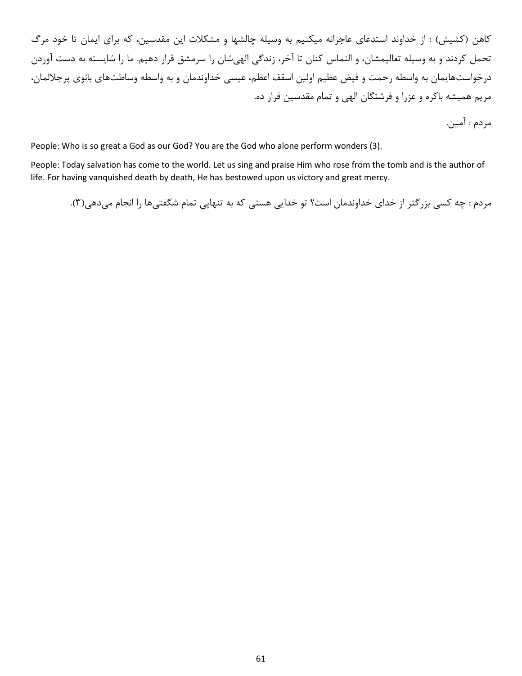کاهن (کشیش) : از خداوند استدعاي عاجزانه میکنیم به وسیله چالشها و مشکلات این مقدسین، که براي ايمان تا خود مرگ تحمل کردند و به وسیله تعالیمشان، و التماس کنان تا آخر، زندگي الهيشان را سرمشق قرار دهیم. ما را شايسته به دست آوردن درخواستهايمان به واسطه رحمت و فیض عظیم اولین اسقف اعظم، عیسي خداوندمان و به واسطه وساطتهاي بانوي پرجاللمان، مريم همیشه باکره و عزرا و فرشتگان الهي و تمام مقدسین قرار ده.

مردم : آمین.

People: Who is so great a God as our God? You are the God who alone perform wonders (3).

People: Today salvation has come to the world. Let us sing and praise Him who rose from the tomb and is the author of life. For having vanquished death by death, He has bestowed upon us victory and great mercy.

مردم : چه کسي بزرگتر از خداي خداوندمان است؟ تو خدايي هستي که به تنهايي تمام شگفتيها را انجام ميدهي)3(.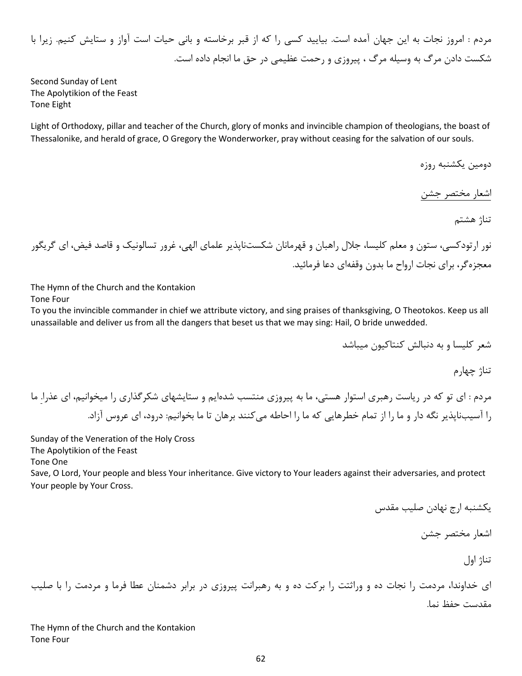مردم : امروز نجات به اين جهان آمده است. بیايید کسي را که از قبر برخاسته و باني حیات است آواز و ستايش کنیم. زيرا با شكست دادن مرگ به وسیله مرگ ، پیروزي و رحمت عظیمي در حق ما انجام داده است.

Second Sunday of Lent The Apolytikion of the Feast Tone Eight

Light of Orthodoxy, pillar and teacher of the Church, glory of monks and invincible champion of theologians, the boast of Thessalonike, and herald of grace, O Gregory the Wonderworker, pray without ceasing for the salvation of our souls.

دومین يكشنبه روزه اشعار مختصر جشن تناژ هشتم نور ارتودکسي، ستون و معلم کلیسا، جالل راهبان و قهرمانان شكستناپذير علماي الهي، غرور تسالونیك و قاصد فیض، اي گريگور معجزهگر، براي نجات ارواح ما بدون وقفهاي دعا فرمائید.

The Hymn of the Church and the Kontakion

Tone Four

To you the invincible commander in chief we attribute victory, and sing praises of thanksgiving, O Theotokos. Keep us all unassailable and deliver us from all the dangers that beset us that we may sing: Hail, O bride unwedded.

شعر کلیسا و به دنبالش کنتاکیون میباشد

تناژ چهارم

مردم : اي تو که در رياست رهبري استوار هستي، ما به پیروزي منتسب شدهايم و ستايشهاي شكرگذاري را میخوانیم، اي عذرا. ما را آسیبناپذير نگه دار و ما را از تمام خطرهايي که ما را احاطه ميکنند برهان تا ما بخوانیم: درود، اي عروس آزاد.

Sunday of the Veneration of the Holy Cross The Apolytikion of the Feast Tone One

Save, O Lord, Your people and bless Your inheritance. Give victory to Your leaders against their adversaries, and protect Your people by Your Cross.

يكشنبه ارج نهادن صلیب مقدس

اشعار مختصر جشن

تناژ اول

اي خداوندا، مردمت را نجات ده و وراثتت را برکت ده و به رهبرانت پیروزي در برابر دشمنان عطا فرما و مردمت را با صلیب مقدست حفظ نما.

The Hymn of the Church and the Kontakion Tone Four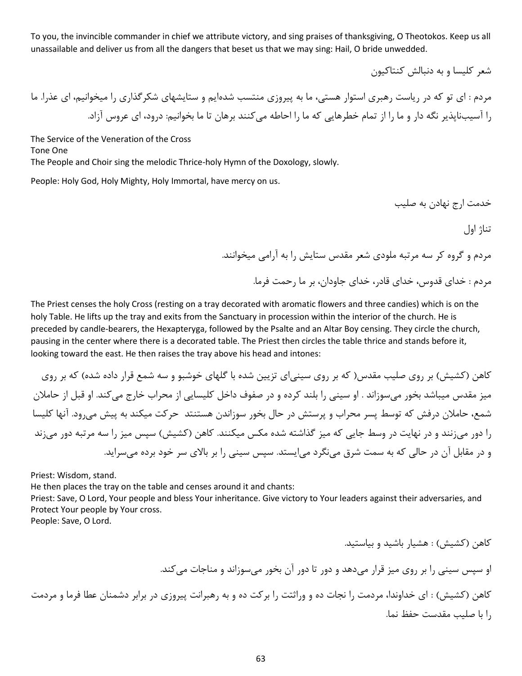To you, the invincible commander in chief we attribute victory, and sing praises of thanksgiving, O Theotokos. Keep us all unassailable and deliver us from all the dangers that beset us that we may sing: Hail, O bride unwedded.

شعر کلیسا و به دنبالش کنتاکیون

مردم : اي تو که در رياست رهبري استوار هستي، ما به پیروزي منتسب شدهايم و ستايشهاي شكرگذاري را میخوانیم، اي عذرا. ما را آسیبناپذير نگه دار و ما را از تمام خطرهايي که ما را احاطه ميکنند برهان تا ما بخوانیم: درود، اي عروس آزاد.

The Service of the Veneration of the Cross Tone One

The People and Choir sing the melodic Thrice-holy Hymn of the Doxology, slowly.

People: Holy God, Holy Mighty, Holy Immortal, have mercy on us.

خدمت ارج نهادن به صلیب

## تناژ اول

مردم و گروه کر سه مرتبه ملودي شعر مقدس ستايش را به آرامي میخوانند.

مردم : خداي قدوس، خداي قادر، خداي جاودان، بر ما رحمت فرما.

The Priest censes the holy Cross (resting on a tray decorated with aromatic flowers and three candies) which is on the holy Table. He lifts up the tray and exits from the Sanctuary in procession within the interior of the church. He is preceded by candle-bearers, the Hexapteryga, followed by the Psalte and an Altar Boy censing. They circle the church, pausing in the center where there is a decorated table. The Priest then circles the table thrice and stands before it, looking toward the east. He then raises the tray above his head and intones:

کاهن (کشیش) بر روي صلیب مقدس( که بر روي سيني|ي تزيين شده با گلهاي خوشبو و سه شمع قرار داده شده) که بر روي میز مقدس میباشد بخور ميسوزاند . او سیني را بلند کرده و در صفوف داخل کلیسايي از محراب خارج ميکند. او قبل از حامالن شمع، حامالن درفش که توسط پسر محراب و پرستش در حال بخور سوزاندن هستنتد حرکت میكند به پیش ميرود. آنها کلیسا را دور ميزنند و در نهايت در وسط جايي که میز گذاشته شده مكس میكنند. کاهن )کشیش( سپس میز را سه مرتبه دور ميزند و در مقابل آن در حالي که به سمت شرق مينگرد ميايستد. سپس سیني را بر باالي سر خود برده ميسرايد.

Priest: Wisdom, stand.

He then places the tray on the table and censes around it and chants:

Priest: Save, O Lord, Your people and bless Your inheritance. Give victory to Your leaders against their adversaries, and Protect Your people by Your cross.

People: Save, O Lord.

کاهن (کشیش) : هشیار باشید و بیاستید. او سپس سیني را بر روي میز قرار مي دهد و دور تا دور آن بخور مي سوزاند و مناجات مي کند. کاهن (کشیش) : اي خداوندا، مردمت را نجات ده و وراثتت را برکت ده و به رهبرانت پیروزي در برابر دشمنان عطا فرما و مردمت را با صلیب مقدست حفظ نما.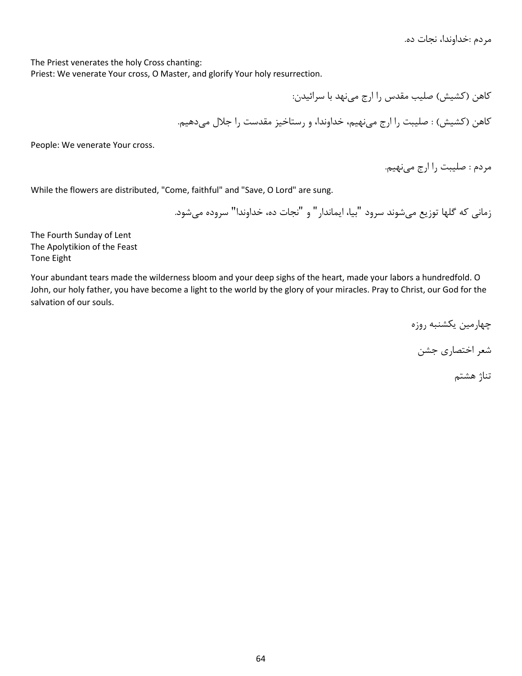The Priest venerates the holy Cross chanting: Priest: We venerate Your cross, O Master, and glorify Your holy resurrection.

> کاهن )کشیش( صلیب مقدس را ارج مينهد با سرائیدن: کاهن (کشیش) : صلیبت را ارج مينهیم، خداوندا، و رستاخیز مقدست را جلال ميدهیم.

People: We venerate Your cross.

مردم : صلیبت را ارج مينهیم.

While the flowers are distributed, "Come, faithful" and "Save, O Lord" are sung.

زماني که گلها توزيع ميشوند سرود "بیا، ايماندار" و "نجات ده، خداوندا" سروده ميشود.

The Fourth Sunday of Lent The Apolytikion of the Feast Tone Eight

Your abundant tears made the wilderness bloom and your deep sighs of the heart, made your labors a hundredfold. O John, our holy father, you have become a light to the world by the glory of your miracles. Pray to Christ, our God for the salvation of our souls.

> چهارمین يكشنبه روزه شعر اختصاري جشن

> > تناژ هشتم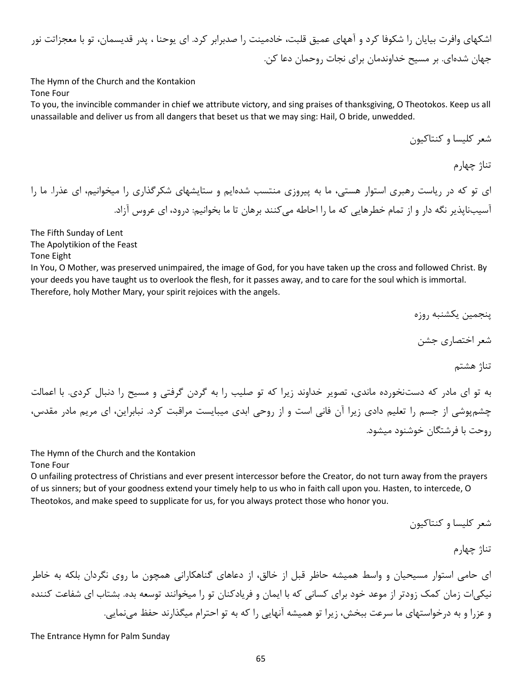اشكهاي وافرت بیايان را شكوفا کرد و آههاي عمیق قلبت، خادمینت را صدبرابر کرد. اي يوحنا ، پدر قديسمان، تو با معجزاتت نور جهان شدهاي. بر مسیح خداوندمان براي نجات روحمان دعا کن.

The Hymn of the Church and the Kontakion

Tone Four

To you, the invincible commander in chief we attribute victory, and sing praises of thanksgiving, O Theotokos. Keep us all unassailable and deliver us from all dangers that beset us that we may sing: Hail, O bride, unwedded.

شعر کلیسا و کنتاکیون

تناژ چهارم

اي تو که در رياست رهبري استوار هستي، ما به پیروزي منتسب شدهايم و ستايشهاي شكرگذاري را میخوانیم، اي عذرا. ما را آسیبناپذير نگه دار و از تمام خطرهايي که ما را احاطه ميکنند برهان تا ما بخوانیم: درود، اي عروس آزاد.

The Fifth Sunday of Lent

The Apolytikion of the Feast

Tone Eight

In You, O Mother, was preserved unimpaired, the image of God, for you have taken up the cross and followed Christ. By your deeds you have taught us to overlook the flesh, for it passes away, and to care for the soul which is immortal. Therefore, holy Mother Mary, your spirit rejoices with the angels.

پنجمین يكشنبه روزه شعر اختصاري جشن تناژ هشتم به تو اي مادر که دستنخورده ماندي، تصوير خداوند زيرا که تو صلیب را به گردن گرفتي و مسیح را دنبال کردي. با اعمالت چشمپوشي از جسم را تعلیم دادي زيرا آن فاني است و از روحي ابدي میبايست مراقبت کرد. نبابراين، اي مريم مادر مقدس، روحت با فرشتگان خوشنود میشود.

The Hymn of the Church and the Kontakion

Tone Four

O unfailing protectress of Christians and ever present intercessor before the Creator, do not turn away from the prayers of us sinners; but of your goodness extend your timely help to us who in faith call upon you. Hasten, to intercede, O Theotokos, and make speed to supplicate for us, for you always protect those who honor you.

شعر کلیسا و کنتاکیون

تناژ چهارم

اي حامي استوار مسیحیان و واسط همیشه حاظر قبل از خالق، از دعاهاي گناهكاراني همچون ما روي نگردان بلكه به خاطر نیكيات زمان کمك زودتر از موعد خود براي کساني که با ايمان و فريادکنان تو را میخوانند توسعه بده. بشتاب اي شفاعت کننده و عزرا و به درخواستهاي ما سرعت ببخش، زيرا تو همیشه آنهايي را که به تو احترام میگذارند حفظ مينمايي.

The Entrance Hymn for Palm Sunday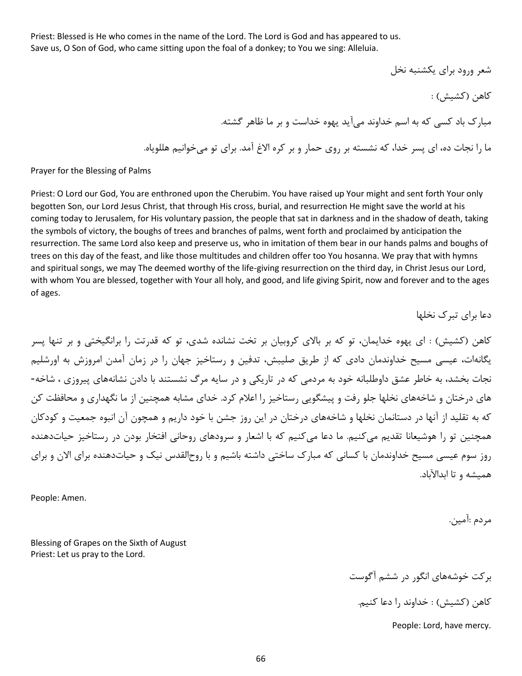Priest: Blessed is He who comes in the name of the Lord. The Lord is God and has appeared to us. Save us, O Son of God, who came sitting upon the foal of a donkey; to You we sing: Alleluia.

> شعر ورود براي يكشنبه نخل کاهن (کشیش) : مبارك باد کسي که به اسم خداوند ميآيد يهوه خداست و بر ما ظاهر گشته. ما را نجات ده، اي پسر خدا، که نشسته بر روي حمار و بر کره االغ آمد. براي تو ميخوانیم هللوياه.

Prayer for the Blessing of Palms

Priest: O Lord our God, You are enthroned upon the Cherubim. You have raised up Your might and sent forth Your only begotten Son, our Lord Jesus Christ, that through His cross, burial, and resurrection He might save the world at his coming today to Jerusalem, for His voluntary passion, the people that sat in darkness and in the shadow of death, taking the symbols of victory, the boughs of trees and branches of palms, went forth and proclaimed by anticipation the resurrection. The same Lord also keep and preserve us, who in imitation of them bear in our hands palms and boughs of trees on this day of the feast, and like those multitudes and children offer too You hosanna. We pray that with hymns and spiritual songs, we may The deemed worthy of the life-giving resurrection on the third day, in Christ Jesus our Lord, with whom You are blessed, together with Your all holy, and good, and life giving Spirit, now and forever and to the ages of ages.

دعا براي تبرك نخلها

کاهن (کشیش) : اي يهوه خدايمان، تو که بر بالاي کروبيان بر تخت نشانده شدي، تو که قدرتت را برانگیختي و بر تنها پسر يگانهات، عیسي مسیح خداوندمان دادي که از طريق صلیبش، تدفین و رستاخیز جهان را در زمان آمدن امروزش به اورشلیم نجات بخشد، به خاطر عشق داوطلبانه خود به مردمي که در تاريكي و در سايه مرگ نشستند با دادن نشانههاي پیروزي ، شاخه- هاي درختان و شاخههاي نخلها جلو رفت و پیشگويي رستاخیز را اعالم کرد. خداي مشابه همچنین از ما نگهداري و محافظت کن که به تقلید از آنها در دستانمان نخلها و شاخههاي درختان در اين روز جشن با خود داريم و همچون آن انبوه جمعیت و کودکان همچنین تو را هوشیعانا تقديم ميکنیم. ما دعا ميکنیم که با اشعار و سرودهاي روحاني افتخار بودن در رستاخیز حیاتدهنده روز سوم عیسي مسیح خداوندمان با کساني که مبارك ساختي داشته باشیم و با روحالقدس نیك و حیاتدهنده براي االن و براي همیشه و تا ابداآلباد.

People: Amen.

مردم :آمین.

Blessing of Grapes on the Sixth of August Priest: Let us pray to the Lord.

> برکت خوشههاي انگور در ششم آگوست کاهن )کشیش( : خداوند را دعا کنیم.

> > People: Lord, have mercy.